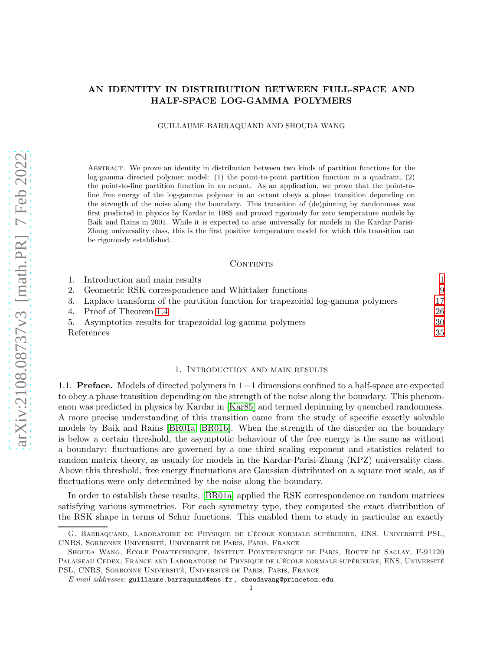# <span id="page-0-1"></span>AN IDENTITY IN DISTRIBUTION BETWEEN FULL-SPACE AND HALF-SPACE LOG-GAMMA POLYMERS

GUILLAUME BARRAQUAND AND SHOUDA WANG

Abstract. We prove an identity in distribution between two kinds of partition functions for the log-gamma directed polymer model: (1) the point-to-point partition function in a quadrant, (2) the point-to-line partition function in an octant. As an application, we prove that the point-toline free energy of the log-gamma polymer in an octant obeys a phase transition depending on the strength of the noise along the boundary. This transition of (de)pinning by randomness was first predicted in physics by Kardar in 1985 and proved rigorously for zero temperature models by Baik and Rains in 2001. While it is expected to arise universally for models in the Kardar-Parisi-Zhang universality class, this is the first positive temperature model for which this transition can be rigorously established.

#### CONTENTS

|            | 1. Introduction and main results                                                  |    |
|------------|-----------------------------------------------------------------------------------|----|
|            | 2. Geometric RSK correspondence and Whittaker functions                           | 9  |
|            | 3. Laplace transform of the partition function for trapezoidal log-gamma polymers | 17 |
|            | 4. Proof of Theorem 1.4                                                           | 26 |
|            | 5. Asymptotics results for trapezoidal log-gamma polymers                         | 30 |
| References |                                                                                   | 35 |

### 1. Introduction and main results

<span id="page-0-0"></span>1.1. **Preface.** Models of directed polymers in  $1+1$  dimensions confined to a half-space are expected to obey a phase transition depending on the strength of the noise along the boundary. This phenomenon was predicted in physics by Kardar in [\[Kar85\]](#page-35-0) and termed depinning by quenched randomness. A more precise understanding of this transition came from the study of specific exactly solvable models by Baik and Rains [\[BR01a,](#page-34-1) [BR01b\]](#page-34-2). When the strength of the disorder on the boundary is below a certain threshold, the asymptotic behaviour of the free energy is the same as without a boundary: fluctuations are governed by a one third scaling exponent and statistics related to random matrix theory, as usually for models in the Kardar-Parisi-Zhang (KPZ) universality class. Above this threshold, free energy fluctuations are Gaussian distributed on a square root scale, as if fluctuations were only determined by the noise along the boundary.

In order to establish these results, [\[BR01a\]](#page-34-1) applied the RSK correspondence on random matrices satisfying various symmetries. For each symmetry type, they computed the exact distribution of the RSK shape in terms of Schur functions. This enabled them to study in particular an exactly

G. BARRAQUAND, LABORATOIRE DE PHYSIQUE DE L'ÉCOLE NORMALE SUPÉRIEURE, ENS, UNIVERSITÉ PSL. CNRS, SORBONNE UNIVERSITÉ, UNIVERSITÉ DE PARIS, PARIS, FRANCE

SHOUDA WANG, ÉCOLE POLYTECHNIQUE, INSTITUT POLYTECHNIQUE DE PARIS, ROUTE DE SACLAY, F-91120 PALAISEAU CEDEX, FRANCE AND LABORATOIRE DE PHYSIQUE DE L'ÉCOLE NORMALE SUPÉRIEURE, ENS, UNIVERSITÉ PSL, CNRS, SORBONNE UNIVERSITÉ, UNIVERSITÉ DE PARIS, PARIS, FRANCE

*E-mail addresses*: guillaume.barraquand@ens.fr, shoudawang@princeton.edu.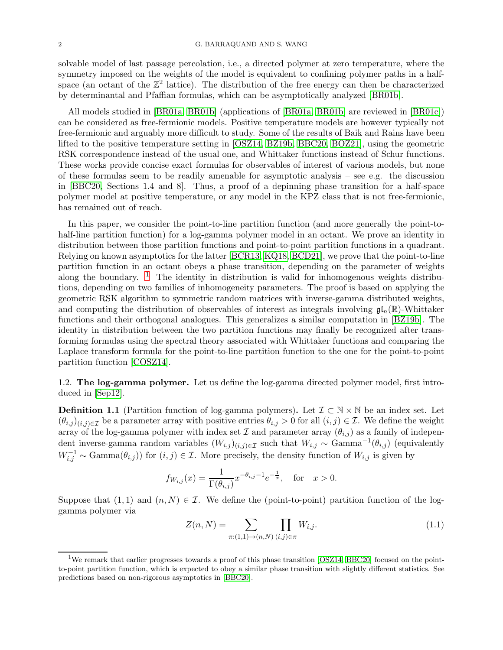<span id="page-1-2"></span>solvable model of last passage percolation, i.e., a directed polymer at zero temperature, where the symmetry imposed on the weights of the model is equivalent to confining polymer paths in a halfspace (an octant of the  $\mathbb{Z}^2$  lattice). The distribution of the free energy can then be characterized by determinantal and Pfaffian formulas, which can be asymptotically analyzed [\[BR01b\]](#page-34-2).

All models studied in [\[BR01a,](#page-34-1) [BR01b\]](#page-34-2) (applications of [\[BR01a,](#page-34-1) [BR01b\]](#page-34-2) are reviewed in [\[BR01c\]](#page-34-3)) can be considered as free-fermionic models. Positive temperature models are however typically not free-fermionic and arguably more difficult to study. Some of the results of Baik and Rains have been lifted to the positive temperature setting in [\[OSZ14,](#page-35-1) [BZ19b,](#page-34-4) [BBC20,](#page-34-5) [BOZ21\]](#page-34-6), using the geometric RSK correspondence instead of the usual one, and Whittaker functions instead of Schur functions. These works provide concise exact formulas for observables of interest of various models, but none of these formulas seem to be readily amenable for asymptotic analysis – see e.g. the discussion in [\[BBC20,](#page-34-5) Sections 1.4 and 8]. Thus, a proof of a depinning phase transition for a half-space polymer model at positive temperature, or any model in the KPZ class that is not free-fermionic, has remained out of reach.

In this paper, we consider the point-to-line partition function (and more generally the point-tohalf-line partition function) for a log-gamma polymer model in an octant. We prove an identity in distribution between those partition functions and point-to-point partition functions in a quadrant. Relying on known asymptotics for the latter [\[BCR13,](#page-35-2) [KQ18,](#page-35-3) [BCD21\]](#page-34-7), we prove that the point-to-line partition function in an octant obeys a phase transition, depending on the parameter of weights along the boundary.  $1$  The identity in distribution is valid for inhomogenous weights distributions, depending on two families of inhomogeneity parameters. The proof is based on applying the geometric RSK algorithm to symmetric random matrices with inverse-gamma distributed weights, and computing the distribution of observables of interest as integrals involving  $\mathfrak{gl}_n(\mathbb{R})$ -Whittaker functions and their orthogonal analogues. This generalizes a similar computation in [\[BZ19b\]](#page-34-4). The identity in distribution between the two partition functions may finally be recognized after transforming formulas using the spectral theory associated with Whittaker functions and comparing the Laplace transform formula for the point-to-line partition function to the one for the point-to-point partition function [\[COSZ14\]](#page-35-4).

1.2. The log-gamma polymer. Let us define the log-gamma directed polymer model, first introduced in [\[Sep12\]](#page-35-5).

**Definition 1.1** (Partition function of log-gamma polymers). Let  $\mathcal{I} \subset \mathbb{N} \times \mathbb{N}$  be an index set. Let  $(\theta_{i,j})_{(i,j)\in\mathcal{I}}$  be a parameter array with positive entries  $\theta_{i,j} > 0$  for all  $(i,j) \in \mathcal{I}$ . We define the weight array of the log-gamma polymer with index set  $\mathcal I$  and parameter array  $(\theta_{i,j})$  as a family of independent inverse-gamma random variables  $(W_{i,j})_{(i,j)\in\mathcal{I}}$  such that  $W_{i,j} \sim \text{Gamma}^{-1}(\theta_{i,j})$  (equivalently  $W_{i,j}^{-1} \sim \text{Gamma}(\theta_{i,j})$  for  $(i,j) \in \mathcal{I}$ . More precisely, the density function of  $W_{i,j}$  is given by

$$
f_{W_{i,j}}(x) = \frac{1}{\Gamma(\theta_{i,j})} x^{-\theta_{i,j}-1} e^{-\frac{1}{x}}, \text{ for } x > 0.
$$

Suppose that  $(1,1)$  and  $(n, N) \in \mathcal{I}$ . We define the (point-to-point) partition function of the loggamma polymer via

<span id="page-1-1"></span>
$$
Z(n,N) = \sum_{\pi:(1,1)\to(n,N)} \prod_{(i,j)\in\pi} W_{i,j}.
$$
 (1.1)

<span id="page-1-0"></span><sup>&</sup>lt;sup>1</sup>We remark that earlier progresses towards a proof of this phase transition [\[OSZ14,](#page-35-1) [BBC20\]](#page-34-5) focused on the pointto-point partition function, which is expected to obey a similar phase transition with slightly different statistics. See predictions based on non-rigorous asymptotics in [\[BBC20\]](#page-34-5).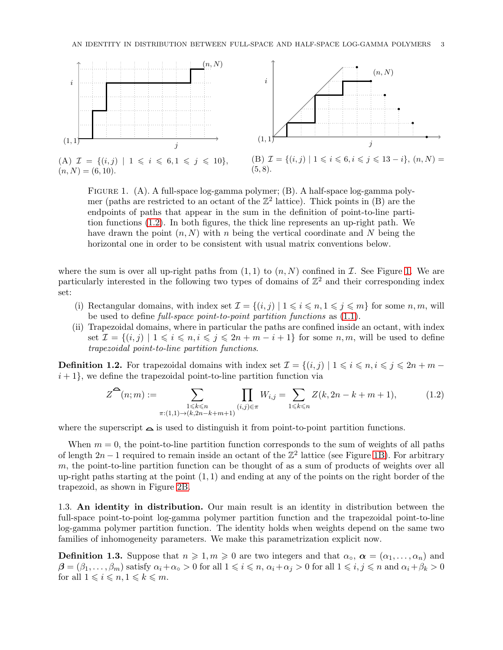<span id="page-2-1"></span>

Figure 1. (A). A full-space log-gamma polymer; (B). A half-space log-gamma polymer (paths are restricted to an octant of the  $\mathbb{Z}^2$  lattice). Thick points in (B) are the endpoints of paths that appear in the sum in the definition of point-to-line partition functions [\(1.2\)](#page-2-0). In both figures, the thick line represents an up-right path. We have drawn the point  $(n, N)$  with n being the vertical coordinate and N being the horizontal one in order to be consistent with usual matrix conventions below.

where the sum is over all up-right paths from  $(1, 1)$  to  $(n, N)$  confined in  $\mathcal I$ . See Figure [1.](#page-2-1) We are particularly interested in the following two types of domains of  $\mathbb{Z}^2$  and their corresponding index set:

- (i) Rectangular domains, with index set  $\mathcal{I} = \{(i, j) | 1 \leq i \leq n, 1 \leq j \leq m\}$  for some  $n, m$ , will be used to define full-space point-to-point partition functions as [\(1.1\)](#page-1-1).
- (ii) Trapezoidal domains, where in particular the paths are confined inside an octant, with index set  $\mathcal{I} = \{(i, j) \mid 1 \leq i \leq n, i \leq j \leq 2n + m - i + 1\}$  for some  $n, m$ , will be used to define trapezoidal point-to-line partition functions.

<span id="page-2-3"></span>**Definition 1.2.** For trapezoidal domains with index set  $\mathcal{I} = \{(i, j) | 1 \leq i \leq n, i \leq j \leq 2n + m$  $i+1$ , we define the trapezoidal point-to-line partition function via

<span id="page-2-0"></span>
$$
Z^{\bullet}(n;m) := \sum_{\substack{1 \le k \le n \\ \pi:(1,1) \to (k,2n-k+m+1)}} \prod_{(i,j) \in \pi} W_{i,j} = \sum_{1 \le k \le n} Z(k, 2n-k+m+1), \tag{1.2}
$$

where the superscript  $\Delta$  is used to distinguish it from point-to-point partition functions.

When  $m = 0$ , the point-to-line partition function corresponds to the sum of weights of all paths of length  $2n - 1$  required to remain inside an octant of the  $\mathbb{Z}^2$  lattice (see Figure [1B\)](#page-2-1). For arbitrary  $m$ , the point-to-line partition function can be thought of as a sum of products of weights over all up-right paths starting at the point  $(1, 1)$  and ending at any of the points on the right border of the trapezoid, as shown in Figure [2B.](#page-3-1)

1.3. An identity in distribution. Our main result is an identity in distribution between the full-space point-to-point log-gamma polymer partition function and the trapezoidal point-to-line log-gamma polymer partition function. The identity holds when weights depend on the same two families of inhomogeneity parameters. We make this parametrization explicit now.

<span id="page-2-2"></span>**Definition 1.3.** Suppose that  $n \geq 1, m \geq 0$  are two integers and that  $\alpha_0$ ,  $\alpha = (\alpha_1, \dots, \alpha_n)$  and  $\beta = (\beta_1, \ldots, \beta_m)$  satisfy  $\alpha_i + \alpha_o > 0$  for all  $1 \leq i \leq n$ ,  $\alpha_i + \alpha_j > 0$  for all  $1 \leq i, j \leq n$  and  $\alpha_i + \beta_k > 0$ for all  $1 \leq i \leq n, 1 \leq k \leq m$ .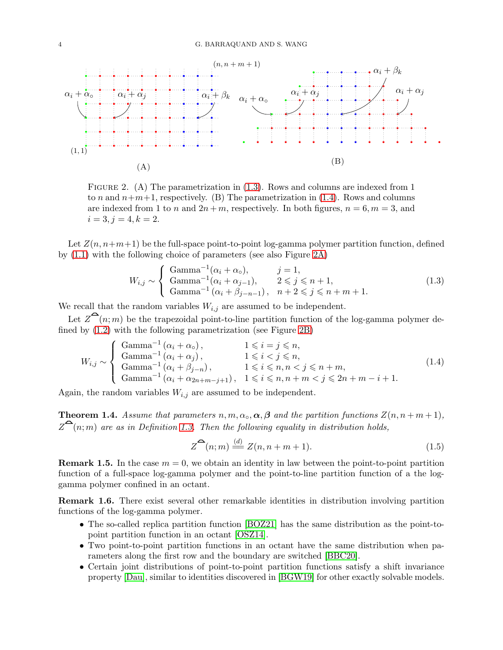<span id="page-3-5"></span><span id="page-3-1"></span>

FIGURE 2. (A) The parametrization in  $(1.3)$ . Rows and columns are indexed from 1 to n and  $n+m+1$ , respectively. (B) The parametrization in [\(1.4\)](#page-3-3). Rows and columns are indexed from 1 to n and  $2n + m$ , respectively. In both figures,  $n = 6, m = 3$ , and  $i = 3, j = 4, k = 2.$ 

Let  $Z(n, n+m+1)$  be the full-space point-to-point log-gamma polymer partition function, defined by [\(1.1\)](#page-1-1) with the following choice of parameters (see also Figure [2A\)](#page-3-1)

<span id="page-3-2"></span>
$$
W_{i,j} \sim \begin{cases} \text{Gamma}^{-1}(\alpha_i + \alpha_o), & j = 1, \\ \text{Gamma}^{-1}(\alpha_i + \alpha_{j-1}), & 2 \leq j \leq n+1, \\ \text{Gamma}^{-1}(\alpha_i + \beta_{j-n-1}), & n+2 \leq j \leq n+m+1. \end{cases}
$$
(1.3)

We recall that the random variables  $W_{i,j}$  are assumed to be independent.

Let  $Z^{\mathbf{a}}(n;m)$  be the trapezoidal point-to-line partition function of the log-gamma polymer defined by [\(1.2\)](#page-2-0) with the following parametrization (see Figure [2B\)](#page-3-1)

<span id="page-3-3"></span>
$$
W_{i,j} \sim \begin{cases} \text{Gamma}^{-1} (\alpha_i + \alpha_o), & 1 \leq i = j \leq n, \\ \text{Gamma}^{-1} (\alpha_i + \alpha_j), & 1 \leq i < j \leq n, \\ \text{Gamma}^{-1} (\alpha_i + \beta_{j-n}), & 1 \leq i \leq n, n < j \leq n+m, \\ \text{Gamma}^{-1} (\alpha_i + \alpha_{2n+m-j+1}), & 1 \leq i \leq n, n+m < j \leq 2n+m-i+1. \end{cases}
$$
(1.4)

Again, the random variables  $W_{i,j}$  are assumed to be independent.

<span id="page-3-0"></span>**Theorem 1.4.** Assume that parameters  $n, m, \alpha_o, \alpha, \beta$  and the partition functions  $Z(n, n + m + 1)$ ,  $Z^{\bigcirc}(n;m)$  are as in Definition [1.3.](#page-2-2) Then the following equality in distribution holds,

<span id="page-3-4"></span>
$$
Z^{\bullet}(n;m) \stackrel{(d)}{=} Z(n,n+m+1). \tag{1.5}
$$

**Remark 1.5.** In the case  $m = 0$ , we obtain an identity in law between the point-to-point partition function of a full-space log-gamma polymer and the point-to-line partition function of a the loggamma polymer confined in an octant.

Remark 1.6. There exist several other remarkable identities in distribution involving partition functions of the log-gamma polymer.

- The so-called replica partition function [\[BOZ21\]](#page-34-6) has the same distribution as the point-topoint partition function in an octant [\[OSZ14\]](#page-35-1).
- Two point-to-point partition functions in an octant have the same distribution when parameters along the first row and the boundary are switched [\[BBC20\]](#page-34-5).
- Certain joint distributions of point-to-point partition functions satisfy a shift invariance property [\[Dau\]](#page-35-6), similar to identities discovered in [\[BGW19\]](#page-35-7) for other exactly solvable models.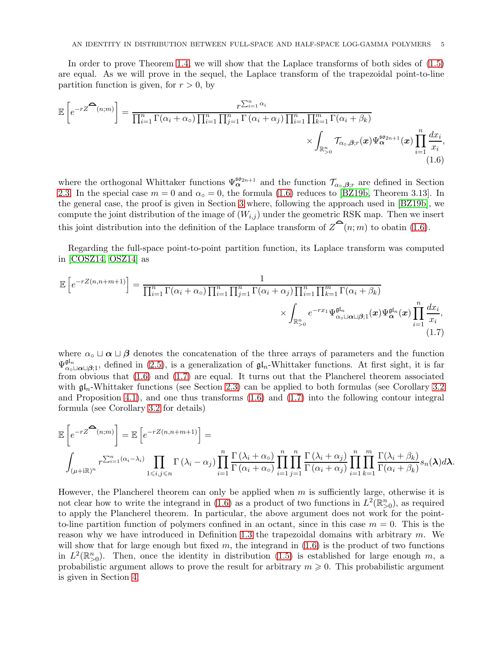<span id="page-4-2"></span>In order to prove Theorem [1.4,](#page-3-0) we will show that the Laplace transforms of both sides of [\(1.5\)](#page-3-4) are equal. As we will prove in the sequel, the Laplace transform of the trapezoidal point-to-line partition function is given, for  $r > 0$ , by

$$
\mathbb{E}\left[e^{-rZ^{\widehat{\Phi}}(n;m)}\right] = \frac{r^{\sum_{i=1}^{n}\alpha_i}}{\prod_{i=1}^{n}\Gamma(\alpha_i+\alpha_0)\prod_{i=1}^{n}\prod_{j=1}^{n}\Gamma(\alpha_i+\alpha_j)\prod_{i=1}^{n}\prod_{k=1}^{m}\Gamma(\alpha_i+\beta_k)} \times \int_{\mathbb{R}_{>0}^{n}} \mathcal{T}_{\alpha_0,\beta;r}(x)\Psi_{\alpha}^{\mathfrak{so}_{2n+1}}(x)\prod_{i=1}^{n}\frac{dx_i}{x_i},
$$
\n(1.6)

<span id="page-4-0"></span>where the orthogonal Whittaker functions  $\Psi_{\alpha}^{\mathfrak{so}_{2n+1}}$  and the function  $\mathcal{T}_{\alpha_{\circ},\beta,r}$  are defined in Section [2.3.](#page-12-0) In the special case  $m = 0$  and  $\alpha_{\rm o} = 0$ , the formula [\(1.6\)](#page-4-0) reduces to [\[BZ19b,](#page-34-4) Theorem 3.13]. In the general case, the proof is given in Section [3](#page-16-0) where, following the approach used in [\[BZ19b\]](#page-34-4), we compute the joint distribution of the image of  $(W_{i,j})$  under the geometric RSK map. Then we insert this joint distribution into the definition of the Laplace transform of  $\mathcal{Z}^{\bullet}(n; m)$  to obatin [\(1.6\)](#page-4-0).

Regarding the full-space point-to-point partition function, its Laplace transform was computed in [\[COSZ14,](#page-35-4) [OSZ14\]](#page-35-1) as

$$
\mathbb{E}\left[e^{-rZ(n,n+m+1)}\right] = \frac{1}{\prod_{i=1}^{n}\Gamma(\alpha_i+\alpha_0)\prod_{i=1}^{n}\prod_{j=1}^{n}\Gamma(\alpha_i+\alpha_j)\prod_{i=1}^{n}\prod_{k=1}^{m}\Gamma(\alpha_i+\beta_k)}} \times \int_{\mathbb{R}_{\geq 0}^{n}} e^{-rx_1} \Psi_{\alpha_0 \sqcup \alpha \sqcup \beta;1}^{\mathfrak{gl}_n}(x) \Psi_{\alpha}^{\mathfrak{gl}_n}(x) \prod_{i=1}^{n} \frac{dx_i}{x_i},
$$
\n(1.7)

<span id="page-4-1"></span>where  $\alpha_{\circ} \sqcup \alpha \sqcup \beta$  denotes the concatenation of the three arrays of parameters and the function  $\Psi_{\alpha_0 \sqcup \alpha \sqcup \beta;1}^{\mathfrak{gl}_n}$ , defined in [\(2.5\)](#page-14-0), is a generalization of  $\mathfrak{gl}_n$ -Whittaker functions. At first sight, it is far from obvious that [\(1.6\)](#page-4-0) and [\(1.7\)](#page-4-1) are equal. It turns out that the Plancherel theorem associated with  $\mathfrak{gl}_n$ -Whittaker functions (see Section [2.3\)](#page-12-0) can be applied to both formulas (see Corollary [3.2](#page-23-0)) and Proposition [4.1\)](#page-25-1), and one thus transforms  $(1.6)$  and  $(1.7)$  into the following contour integral formula (see Corollary [3.2](#page-23-0) for details)

$$
\mathbb{E}\left[e^{-rZ^{\sum_{i=1}^{n}(n;m)}}\right] = \mathbb{E}\left[e^{-rZ(n,n+m+1)}\right] =
$$
\n
$$
\int_{(\mu+\mathrm{i}\mathbb{R})^n} r^{\sum_{i=1}^{n}(\alpha_i-\lambda_i)} \prod_{1\leqslant i,j\leqslant n} \Gamma(\lambda_i-\alpha_j) \prod_{i=1}^n \frac{\Gamma(\lambda_i+\alpha_0)}{\Gamma(\alpha_i+\alpha_0)} \prod_{i=1}^n \prod_{j=1}^n \frac{\Gamma(\lambda_i+\alpha_j)}{\Gamma(\alpha_i+\alpha_j)} \prod_{i=1}^n \prod_{k=1}^m \frac{\Gamma(\lambda_i+\beta_k)}{\Gamma(\alpha_i+\beta_k)} s_n(\lambda) d\lambda.
$$

However, the Plancherel theorem can only be applied when  $m$  is sufficiently large, otherwise it is not clear how to write the integrand in [\(1.6\)](#page-4-0) as a product of two functions in  $L^2(\mathbb{R}^n_{>0})$ , as required to apply the Plancherel theorem. In particular, the above argument does not work for the pointto-line partition function of polymers confined in an octant, since in this case  $m = 0$ . This is the reason why we have introduced in Definition [1.3](#page-2-2) the trapezoidal domains with arbitrary  $m$ . We will show that for large enough but fixed  $m$ , the integrand in  $(1.6)$  is the product of two functions in  $L^2(\mathbb{R}_{>0}^n)$ . Then, once the identity in distribution [\(1.5\)](#page-3-4) is established for large enough m, a probabilistic argument allows to prove the result for arbitrary  $m \geqslant 0$ . This probabilistic argument is given in Section [4.](#page-25-0)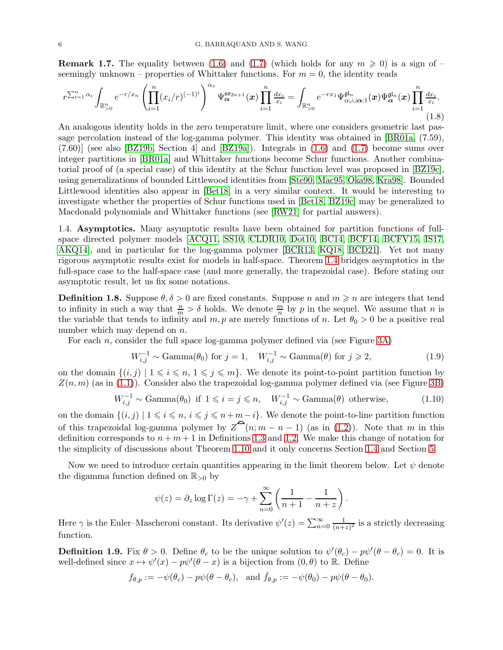<span id="page-5-4"></span>**Remark 1.7.** The equality between [\(1.6\)](#page-4-0) and [\(1.7\)](#page-4-1) (which holds for any  $m \ge 0$ ) is a sign of – seemingly unknown – properties of Whittaker functions. For  $m = 0$ , the identity reads

$$
r^{\sum_{i=1}^n \alpha_i} \int_{\mathbb{R}^n_{>0}} e^{-r/x_n} \left( \prod_{i=1}^n (x_i/r)^{(-1)^i} \right)^{\alpha_0} \Psi_{\alpha}^{\mathfrak{so}_{2n+1}}(\boldsymbol{x}) \prod_{i=1}^n \frac{dx_i}{x_i} = \int_{\mathbb{R}^n_{>0}} e^{-rx_1} \Psi_{\alpha_0 \sqcup \alpha;1}^{\mathfrak{gl}_n}(\boldsymbol{x}) \Psi_{\alpha}^{\mathfrak{gl}_n}(\boldsymbol{x}) \prod_{i=1}^n \frac{dx_i}{x_i}.
$$
\n(1.8)

An analogous identity holds in the zero temperature limit, where one considers geometric last passage percolation instead of the log-gamma polymer. This identity was obtained in [\[BR01a,](#page-34-1) (7.59), (7.60)] (see also [\[BZ19b,](#page-34-4) Section 4] and [\[BZ19a\]](#page-34-8)). Integrals in [\(1.6\)](#page-4-0) and [\(1.7\)](#page-4-1) become sums over integer partitions in [\[BR01a\]](#page-34-1) and Whittaker functions become Schur functions. Another combinatorial proof of (a special case) of this identity at the Schur function level was proposed in [\[BZ19c\]](#page-34-9), using generalizations of bounded Littlewood identities from [\[Ste90,](#page-36-0) [Mac95,](#page-35-8) [Oka98,](#page-35-9) [Kra98\]](#page-35-10). Bounded Littlewood identities also appear in [\[Bet18\]](#page-34-10) in a very similar context. It would be interesting to investigate whether the properties of Schur functions used in [\[Bet18,](#page-34-10) [BZ19c\]](#page-34-9) may be generalized to Macdonald polynomials and Whittaker functions (see [\[RW21\]](#page-35-11) for partial answers).

<span id="page-5-0"></span>1.4. Asymptotics. Many asymptotic results have been obtained for partition functions of fullspace directed polymer models [\[ACQ11,](#page-34-11) [SS10,](#page-35-12) [CLDR10,](#page-35-13) [Dot10,](#page-35-14) [BC14,](#page-34-12) [BCF14,](#page-34-13) [BCFV15,](#page-34-14) [IS17,](#page-35-15) [AKQ14\]](#page-34-15), and in particular for the log-gamma polymer [\[BCR13,](#page-35-2) [KQ18,](#page-35-3) [BCD21\]](#page-34-7). Yet not many rigorous asymptotic results exist for models in half-space. Theorem [1.4](#page-3-0) bridges asymptotics in the full-space case to the half-space case (and more generally, the trapezoidal case). Before stating our asymptotic result, let us fix some notations.

<span id="page-5-3"></span>**Definition 1.8.** Suppose  $\theta$ ,  $\delta > 0$  are fixed constants. Suppose n and  $m \geq n$  are integers that tend to infinity in such a way that  $\frac{n}{m} > \delta$  holds. We denote  $\frac{m}{n}$  by p in the sequel. We assume that n is the variable that tends to infinity and  $m, p$  are merely functions of n. Let  $\theta_0 > 0$  be a positive real number which may depend on *n*.

For each  $n$ , consider the full space log-gamma polymer defined via (see Figure [3A\)](#page-6-0)

<span id="page-5-1"></span>
$$
W_{i,j}^{-1} \sim \text{Gamma}(\theta_0) \text{ for } j = 1, \quad W_{i,j}^{-1} \sim \text{Gamma}(\theta) \text{ for } j \ge 2,
$$
 (1.9)

on the domain  $\{(i, j) | 1 \leq i \leq n, 1 \leq j \leq m\}$ . We denote its point-to-point partition function by  $Z(n, m)$  (as in [\(1.1\)](#page-1-1)). Consider also the trapezoidal log-gamma polymer defined via (see Figure [3B\)](#page-6-0)

<span id="page-5-2"></span>
$$
W_{i,j}^{-1} \sim \text{Gamma}(\theta_0) \text{ if } 1 \leq i = j \leq n, \quad W_{i,j}^{-1} \sim \text{Gamma}(\theta) \text{ otherwise,}
$$
 (1.10)

on the domain  $\{(i, j) \mid 1 \leq i \leq n, i \leq j \leq n+m-i\}$ . We denote the point-to-line partition function of this trapezoidal log-gamma polymer by  $Z^{\bullet}(n; m-n-1)$  (as in [\(1.2\)](#page-2-0)). Note that m in this definition corresponds to  $n + m + 1$  in Definitions [1.3](#page-2-2) and [1.2.](#page-2-3) We make this change of notation for the simplicity of discussions about Theorem [1.10](#page-6-1) and it only concerns Section [1.4](#page-5-0) and Section [5.](#page-29-0)

Now we need to introduce certain quantities appearing in the limit theorem below. Let  $\psi$  denote the digamma function defined on  $\mathbb{R}_{>0}$  by

$$
\psi(z) = \partial_z \log \Gamma(z) = -\gamma + \sum_{n=0}^{\infty} \left( \frac{1}{n+1} - \frac{1}{n+z} \right).
$$

Here  $\gamma$  is the Euler–Mascheroni constant. Its derivative  $\psi'(z) = \sum_{n=0}^{\infty} \frac{1}{(n+\gamma)^n}$  $\frac{1}{(n+z)^2}$  is a strictly decreasing function.

**Definition 1.9.** Fix  $\theta > 0$ . Define  $\theta_c$  to be the unique solution to  $\psi'(\theta_c) - p\psi'(\theta - \theta_c) = 0$ . It is well-defined since  $x \mapsto \psi'(x) - p\psi'(\theta - x)$  is a bijection from  $(0, \theta)$  to R. Define

$$
f_{\theta,p} := -\psi(\theta_c) - p\psi(\theta - \theta_c)
$$
, and  $\bar{f}_{\theta,p} := -\psi(\theta_0) - p\psi(\theta - \theta_0)$ .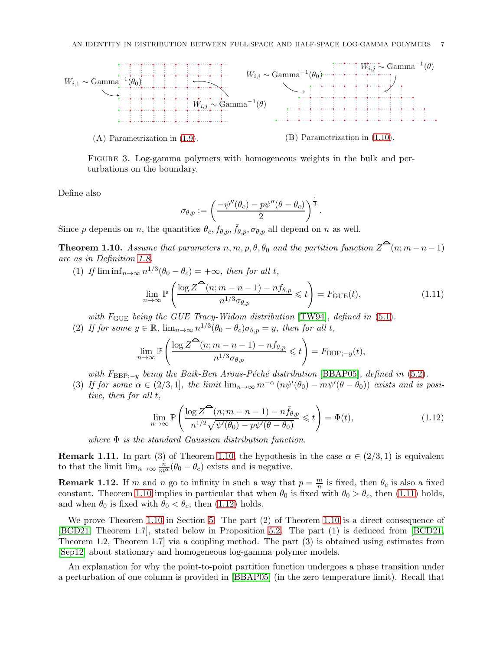<span id="page-6-4"></span><span id="page-6-0"></span>

Figure 3. Log-gamma polymers with homogeneous weights in the bulk and perturbations on the boundary.

Define also

$$
\sigma_{\theta,p}:=\left(\frac{-\psi''(\theta_c)-p\psi''(\theta-\theta_c)}{2}\right)^{\frac{1}{3}}.
$$

Since p depends on n, the quantities  $\theta_c, f_{\theta,p}, \bar{f}_{\theta,p}, \sigma_{\theta,p}$  all depend on n as well.

<span id="page-6-1"></span>**Theorem 1.10.** Assume that parameters  $n, m, p, \theta, \theta_0$  and the partition function  $Z^{\bullet}(n; m-n-1)$ are as in Definition [1.8.](#page-5-3)

(1) If  $\liminf_{n\to\infty} n^{1/3}(\theta_0 - \theta_c) = +\infty$ , then for all t,

<span id="page-6-2"></span>
$$
\lim_{n \to \infty} \mathbb{P}\left(\frac{\log Z^{\widehat{\Theta}}(n; m-n-1) - nf_{\theta, p}}{n^{1/3} \sigma_{\theta, p}} \leq t\right) = F_{\text{GUE}}(t),\tag{1.11}
$$

with  $F_{GUE}$  being the GUE Tracy-Widom distribution [\[TW94\]](#page-36-1), defined in  $(5.1)$ .

(2) If for some  $y \in \mathbb{R}$ ,  $\lim_{n \to \infty} n^{1/3} (\theta_0 - \theta_c) \sigma_{\theta, p} = y$ , then for all t,

$$
\lim_{n \to \infty} \mathbb{P}\left(\frac{\log Z^{\widehat{\Theta}}(n; m-n-1) - nf_{\theta, p}}{n^{1/3} \sigma_{\theta, p}} \leq t\right) = F_{\text{BBP}; -y}(t),
$$

with  $F_{\text{BBP};-y}$  being the Baik-Ben Arous-Péché distribution [\[BBAP05\]](#page-34-16), defined in [\(5.2\)](#page-29-2).

(3) If for some  $\alpha \in (2/3, 1]$ , the limit  $\lim_{n\to\infty} m^{-\alpha} (n\psi'(\theta_0) - m\psi'(\theta - \theta_0))$  exists and is positive, then for all t,

<span id="page-6-3"></span>
$$
\lim_{n \to \infty} \mathbb{P}\left(\frac{\log Z^{\widehat{\Theta}}(n; m-n-1) - n\bar{f}_{\theta, p}}{n^{1/2}\sqrt{\psi'(\theta_0) - p\psi'(\theta - \theta_0)}} \leq t\right) = \Phi(t),\tag{1.12}
$$

where  $\Phi$  is the standard Gaussian distribution function.

**Remark 1.11.** In part (3) of Theorem [1.10,](#page-6-1) the hypothesis in the case  $\alpha \in (2/3, 1)$  is equivalent to that the limit  $\lim_{n\to\infty} \frac{n}{m^{\alpha}}(\theta_0 - \theta_c)$  exists and is negative.

**Remark 1.12.** If m and n go to infinity in such a way that  $p = \frac{m}{n}$  is fixed, then  $\theta_c$  is also a fixed constant. Theorem [1.10](#page-6-1) implies in particular that when  $\theta_0$  is fixed with  $\theta_0 > \theta_c$ , then [\(1.11\)](#page-6-2) holds, and when  $\theta_0$  is fixed with  $\theta_0 < \theta_c$ , then [\(1.12\)](#page-6-3) holds.

We prove Theorem [1.10](#page-6-1) in Section [5.](#page-29-0) The part (2) of Theorem [1.10](#page-6-1) is a direct consequence of [\[BCD21,](#page-34-7) Theorem 1.7], stated below in Proposition [5.2.](#page-30-0) The part (1) is deduced from [\[BCD21,](#page-34-7) Theorem 1.2, Theorem 1.7] via a coupling method. The part (3) is obtained using estimates from [\[Sep12\]](#page-35-5) about stationary and homogeneous log-gamma polymer models.

An explanation for why the point-to-point partition function undergoes a phase transition under a perturbation of one column is provided in [\[BBAP05\]](#page-34-16) (in the zero temperature limit). Recall that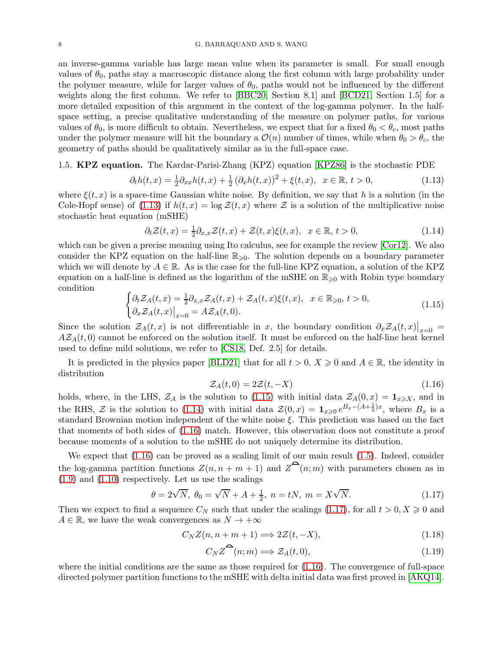<span id="page-7-7"></span>an inverse-gamma variable has large mean value when its parameter is small. For small enough values of  $\theta_0$ , paths stay a macroscopic distance along the first column with large probability under the polymer measure, while for larger values of  $\theta_0$ , paths would not be influenced by the different weights along the first column. We refer to [\[BBC20,](#page-34-5) Section 8.1] and [\[BCD21,](#page-34-7) Section 1.5] for a more detailed exposition of this argument in the context of the log-gamma polymer. In the halfspace setting, a precise qualitative understanding of the measure on polymer paths, for various values of  $\theta_0$ , is more difficult to obtain. Nevertheless, we expect that for a fixed  $\theta_0 < \theta_c$ , most paths under the polymer measure will hit the boundary a  $\mathcal{O}(n)$  number of times, while when  $\theta_0 > \theta_c$ , the geometry of paths should be qualitatively similar as in the full-space case.

### 1.5. **KPZ equation.** The Kardar-Parisi-Zhang (KPZ) equation [\[KPZ86\]](#page-35-16) is the stochastic PDE

<span id="page-7-0"></span>
$$
\partial_t h(t, x) = \frac{1}{2} \partial_{xx} h(t, x) + \frac{1}{2} (\partial_x h(t, x))^2 + \xi(t, x), \ \ x \in \mathbb{R}, \ t > 0,\tag{1.13}
$$

where  $\xi(t, x)$  is a space-time Gaussian white noise. By definition, we say that h is a solution (in the Cole-Hopf sense) of [\(1.13\)](#page-7-0) if  $h(t, x) = \log \mathcal{Z}(t, x)$  where  $\mathcal Z$  is a solution of the multiplicative noise stochastic heat equation (mSHE)

<span id="page-7-2"></span>
$$
\partial_t \mathcal{Z}(t,x) = \frac{1}{2} \partial_{x,x} \mathcal{Z}(t,x) + \mathcal{Z}(t,x) \xi(t,x), \quad x \in \mathbb{R}, \, t > 0,\tag{1.14}
$$

which can be given a precise meaning using Ito calculus, see for example the review [\[Cor12\]](#page-35-17). We also consider the KPZ equation on the half-line  $\mathbb{R}_{\geqslant 0}$ . The solution depends on a boundary parameter which we will denote by  $A \in \mathbb{R}$ . As is the case for the full-line KPZ equation, a solution of the KPZ equation on a half-line is defined as the logarithm of the mSHE on  $\mathbb{R}_{\geq 0}$  with Robin type boundary condition

<span id="page-7-1"></span>
$$
\begin{cases} \partial_t \mathcal{Z}_A(t,x) = \frac{1}{2} \partial_{x,x} \mathcal{Z}_A(t,x) + \mathcal{Z}_A(t,x) \xi(t,x), & x \in \mathbb{R}_{\geqslant 0}, t > 0, \\ \partial_x \mathcal{Z}_A(t,x) \big|_{x=0} = A \mathcal{Z}_A(t,0). \end{cases}
$$
\n(1.15)

Since the solution  $\mathcal{Z}_A(t,x)$  is not differentiable in x, the boundary condition  $\partial_x \mathcal{Z}_A(t,x)|_{x=0}$  $A\mathcal{Z}_A(t,0)$  cannot be enforced on the solution itself. It must be enforced on the half-line heat kernel used to define mild solutions, we refer to [\[CS18,](#page-35-18) Def. 2.5] for details.

It is predicted in the physics paper [\[BLD21\]](#page-34-17) that for all  $t > 0$ ,  $X \geq 0$  and  $A \in \mathbb{R}$ , the identity in distribution

<span id="page-7-3"></span>
$$
\mathcal{Z}_A(t,0) = 2\mathcal{Z}(t,-X) \tag{1.16}
$$

holds, where, in the LHS,  $\mathcal{Z}_A$  is the solution to [\(1.15\)](#page-7-1) with initial data  $\mathcal{Z}_A(0,x) = \mathbf{1}_{x \geqslant X}$ , and in the RHS,  $\mathcal Z$  is the solution to [\(1.14\)](#page-7-2) with initial data  $\mathcal Z(0,x) = \mathbf{1}_{x\geqslant 0} e^{B_x-(A+\frac{1}{2})x}$ , where  $B_x$  is a standard Brownian motion independent of the white noise ξ. This prediction was based on the fact that moments of both sides of [\(1.16\)](#page-7-3) match. However, this observation does not constitute a proof because moments of a solution to the mSHE do not uniquely determine its distribution.

We expect that  $(1.16)$  can be proved as a scaling limit of our main result  $(1.5)$ . Indeed, consider the log-gamma partition functions  $Z(n, n + m + 1)$  and  $Z^{\bullet}(n; m)$  with parameters chosen as in [\(1.9\)](#page-5-1) and [\(1.10\)](#page-5-2) respectively. Let us use the scalings

<span id="page-7-4"></span>
$$
\theta = 2\sqrt{N}, \ \theta_0 = \sqrt{N} + A + \frac{1}{2}, \ n = tN, \ m = X\sqrt{N}.
$$
 (1.17)

Then we expect to find a sequence  $C_N$  such that under the scalings [\(1.17\)](#page-7-4), for all  $t > 0, X \geq 0$  and  $A \in \mathbb{R}$ , we have the weak convergences as  $N \to +\infty$ 

$$
C_N Z(n, n + m + 1) \Longrightarrow 2Z(t, -X), \tag{1.18}
$$

<span id="page-7-6"></span><span id="page-7-5"></span>
$$
C_N Z^{\bullet}(n; m) \Longrightarrow \mathcal{Z}_A(t, 0), \tag{1.19}
$$

where the initial conditions are the same as those required for  $(1.16)$ . The convergence of full-space directed polymer partition functions to the mSHE with delta initial data was first proved in [\[AKQ14\]](#page-34-15).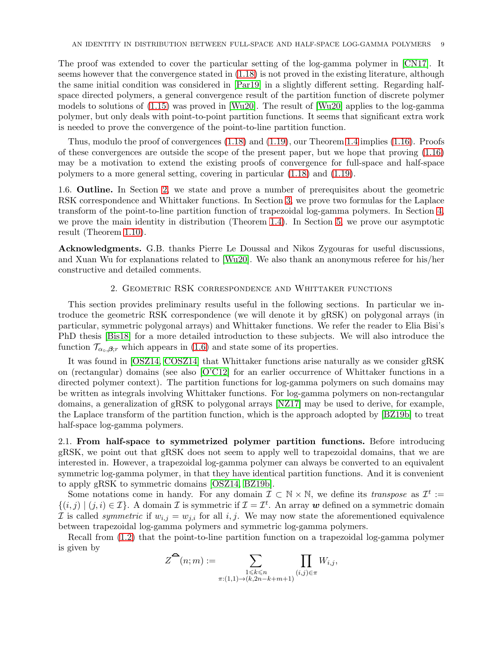<span id="page-8-2"></span>The proof was extended to cover the particular setting of the log-gamma polymer in [\[CN17\]](#page-35-19). It seems however that the convergence stated in [\(1.18\)](#page-7-5) is not proved in the existing literature, although the same initial condition was considered in [\[Par19\]](#page-35-20) in a slightly different setting. Regarding halfspace directed polymers, a general convergence result of the partition function of discrete polymer models to solutions of [\(1.15\)](#page-7-1) was proved in [\[Wu20\]](#page-36-2). The result of [\[Wu20\]](#page-36-2) applies to the log-gamma polymer, but only deals with point-to-point partition functions. It seems that significant extra work is needed to prove the convergence of the point-to-line partition function.

Thus, modulo the proof of convergences  $(1.18)$  and  $(1.19)$ , our Theorem [1.4](#page-3-0) implies  $(1.16)$ . Proofs of these convergences are outside the scope of the present paper, but we hope that proving [\(1.16\)](#page-7-3) may be a motivation to extend the existing proofs of convergence for full-space and half-space polymers to a more general setting, covering in particular [\(1.18\)](#page-7-5) and [\(1.19\)](#page-7-6).

1.6. Outline. In Section [2,](#page-8-0) we state and prove a number of prerequisites about the geometric RSK correspondence and Whittaker functions. In Section [3,](#page-16-0) we prove two formulas for the Laplace transform of the point-to-line partition function of trapezoidal log-gamma polymers. In Section [4,](#page-25-0) we prove the main identity in distribution (Theorem [1.4\)](#page-3-0). In Section [5,](#page-29-0) we prove our asymptotic result (Theorem [1.10\)](#page-6-1).

<span id="page-8-0"></span>Acknowledgments. G.B. thanks Pierre Le Doussal and Nikos Zygouras for useful discussions, and Xuan Wu for explanations related to [\[Wu20\]](#page-36-2). We also thank an anonymous referee for his/her constructive and detailed comments.

## 2. Geometric RSK correspondence and Whittaker functions

This section provides preliminary results useful in the following sections. In particular we introduce the geometric RSK correspondence (we will denote it by gRSK) on polygonal arrays (in particular, symmetric polygonal arrays) and Whittaker functions. We refer the reader to Elia Bisi's PhD thesis [\[Bis18\]](#page-34-18) for a more detailed introduction to these subjects. We will also introduce the function  $\mathcal{T}_{\alpha_{\circ},\beta;r}$  which appears in [\(1.6\)](#page-4-0) and state some of its properties.

It was found in [\[OSZ14,](#page-35-1) [COSZ14\]](#page-35-4) that Whittaker functions arise naturally as we consider gRSK on (rectangular) domains (see also [\[O'C12\]](#page-35-21) for an earlier occurrence of Whittaker functions in a directed polymer context). The partition functions for log-gamma polymers on such domains may be written as integrals involving Whittaker functions. For log-gamma polymers on non-rectangular domains, a generalization of gRSK to polygonal arrays [\[NZ17\]](#page-35-22) may be used to derive, for example, the Laplace transform of the partition function, which is the approach adopted by [\[BZ19b\]](#page-34-4) to treat half-space log-gamma polymers.

<span id="page-8-1"></span>2.1. From half-space to symmetrized polymer partition functions. Before introducing gRSK, we point out that gRSK does not seem to apply well to trapezoidal domains, that we are interested in. However, a trapezoidal log-gamma polymer can always be converted to an equivalent symmetric log-gamma polymer, in that they have identical partition functions. And it is convenient to apply gRSK to symmetric domains [\[OSZ14,](#page-35-1) [BZ19b\]](#page-34-4).

Some notations come in handy. For any domain  $\mathcal{I} \subset \mathbb{N} \times \mathbb{N}$ , we define its *transpose* as  $\mathcal{I}^t :=$  $\{(i,j) | (j,i) \in \mathcal{I}\}\.$  A domain  $\mathcal I$  is symmetric if  $\mathcal I = \mathcal I^t$ . An array w defined on a symmetric domain I is called *symmetric* if  $w_{i,j} = w_{j,i}$  for all i, j. We may now state the aforementioned equivalence between trapezoidal log-gamma polymers and symmetric log-gamma polymers.

Recall from [\(1.2\)](#page-2-0) that the point-to-line partition function on a trapezoidal log-gamma polymer is given by

$$
Z^{\widehat{\bullet}}(n;m) := \sum_{\substack{1 \leq k \leq n \\ \pi:(1,1) \to (k,2n-k+m+1)}} \prod_{(i,j) \in \pi} W_{i,j},
$$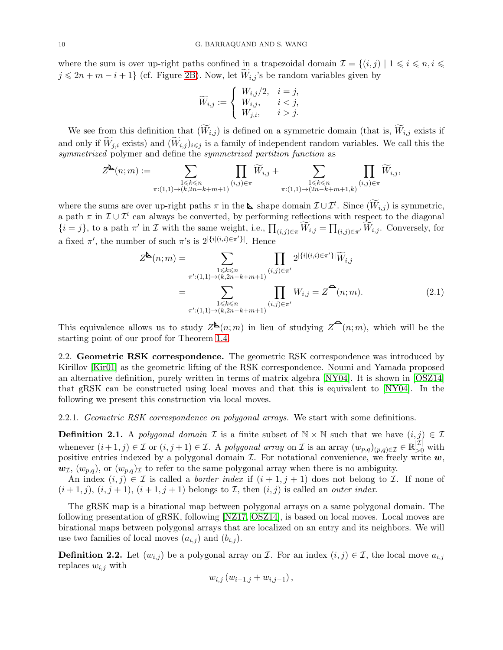<span id="page-9-1"></span>where the sum is over up-right paths confined in a trapezoidal domain  $\mathcal{I} = \{(i,j) | 1 \leq i \leq n, i \leq n\}$  $j \leq 2n + m - i + 1$  (cf. Figure [2B\)](#page-3-1). Now, let  $\widetilde{W}_{i,j}$ 's be random variables given by

$$
\widetilde{W}_{i,j} := \begin{cases} W_{i,j}/2, & i = j, \\ W_{i,j}, & i < j, \\ W_{j,i}, & i > j. \end{cases}
$$

We see from this definition that  $(\widetilde{W}_{i,j})$  is defined on a symmetric domain (that is,  $\widetilde{W}_{i,j}$  exists if and only if  $\widetilde{W}_{j,i}$  exists) and  $(\widetilde{W}_{i,j})_{i\leq j}$  is a family of independent random variables. We call this the symmetrized polymer and define the symmetrized partition function as

$$
Z^{\underbar{\mathbf k}}(n;m):=\sum_{\substack{1\leqslant k\leqslant n\\ \pi:(1,1)\to (k,2n-k+m+1)}}\prod_{(i,j)\in \pi}\widetilde W_{i,j}+\sum_{\substack{1\leqslant k\leqslant n\\ \pi:(1,1)\to (2n-k+m+1,k)}}\prod_{(i,j)\in \pi}\widetilde W_{i,j},
$$

where the sums are over up-right paths  $\pi$  in the **L**-shape domain  $\mathcal{I} \cup \mathcal{I}^t$ . Since  $(\widetilde{W}_{i,j})$  is symmetric, a path  $\pi$  in  $\mathcal{I} \cup \mathcal{I}^t$  can always be converted, by performing reflections with respect to the diagonal  $\{i=j\}$ , to a path  $\pi'$  in  $\mathcal I$  with the same weight, i.e.,  $\prod_{(i,j)\in\pi} \widetilde{W}_{i,j} = \prod_{(i,j)\in\pi'} \widetilde{W}_{i,j}$ . Conversely, for a fixed  $\pi'$ , the number of such  $\pi$ 's is  $2^{|\{i|(i,i)\in\pi'\}|}$ . Hence

<span id="page-9-0"></span>
$$
Z^{\mathbf{b}}(n;m) = \sum_{\substack{1 \le k \le n \\ \pi': (1,1) \to (k,2n-k+m+1)}} \prod_{(i,j) \in \pi'} 2^{\left|\{i\right| (i,i) \in \pi'\}\right|} \widetilde{W}_{i,j}
$$
  

$$
= \sum_{\substack{1 \le k \le n \\ \pi': (1,1) \to (k,2n-k+m+1)}} \prod_{(i,j) \in \pi'} W_{i,j} = Z^{\bullet}(n;m). \tag{2.1}
$$

This equivalence allows us to study  $Z^{\mathbf{b}}(n;m)$  in lieu of studying  $Z^{\mathbf{c}}(n;m)$ , which will be the starting point of our proof for Theorem [1.4.](#page-3-0)

2.2. Geometric RSK correspondence. The geometric RSK correspondence was introduced by Kirillov [\[Kir01\]](#page-35-23) as the geometric lifting of the RSK correspondence. Noumi and Yamada proposed an alternative definition, purely written in terms of matrix algebra [\[NY04\]](#page-35-24). It is shown in [\[OSZ14\]](#page-35-1) that gRSK can be constructed using local moves and that this is equivalent to [\[NY04\]](#page-35-24). In the following we present this construction via local moves.

2.2.1. Geometric RSK correspondence on polygonal arrays. We start with some definitions.

**Definition 2.1.** A polygonal domain  $\mathcal I$  is a finite subset of  $\mathbb N \times \mathbb N$  such that we have  $(i, j) \in \mathcal I$ whenever  $(i + 1, j) \in \mathcal{I}$  or  $(i, j + 1) \in \mathcal{I}$ . A polygonal array on  $\mathcal{I}$  is an array  $(w_{p,q})_{(p,q)\in\mathcal{I}} \in \mathbb{R}_{\geq 0}^{|\mathcal{I}|}$  with positive entries indexed by a polygonal domain  $\mathcal I$ . For notational convenience, we freely write  $w$ ,  $w_{\mathcal{I}}, (w_{p,q})$ , or  $(w_{p,q})_{\mathcal{I}}$  to refer to the same polygonal array when there is no ambiguity.

An index  $(i, j) \in \mathcal{I}$  is called a *border index* if  $(i + 1, j + 1)$  does not belong to  $\mathcal{I}$ . If none of  $(i+1,j), (i,j+1), (i+1,j+1)$  belongs to *I*, then  $(i,j)$  is called an *outer index*.

The gRSK map is a birational map between polygonal arrays on a same polygonal domain. The following presentation of gRSK, following [\[NZ17,](#page-35-22) [OSZ14\]](#page-35-1), is based on local moves. Local moves are birational maps between polygonal arrays that are localized on an entry and its neighbors. We will use two families of local moves  $(a_{i,j})$  and  $(b_{i,j})$ .

**Definition 2.2.** Let  $(w_{i,j})$  be a polygonal array on *I*. For an index  $(i, j) \in I$ , the local move  $a_{i,j}$ replaces  $w_{i,j}$  with

$$
w_{i,j}(w_{i-1,j} + w_{i,j-1}),
$$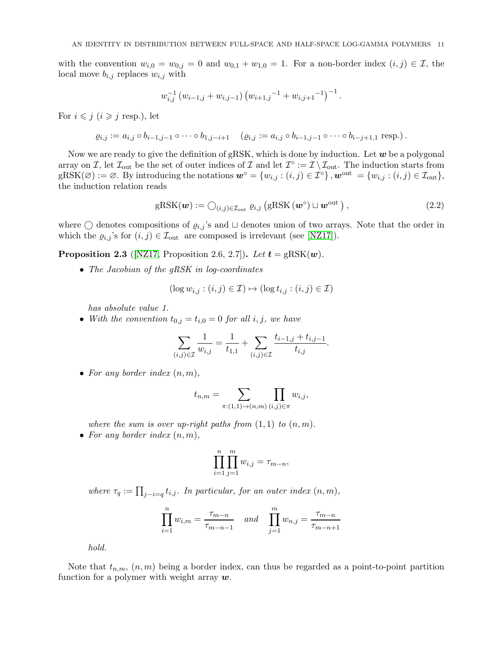<span id="page-10-2"></span>with the convention  $w_{i,0} = w_{0,j} = 0$  and  $w_{0,1} + w_{1,0} = 1$ . For a non-border index  $(i, j) \in \mathcal{I}$ , the local move  $b_{i,j}$  replaces  $w_{i,j}$  with

$$
w_{i,j}^{-1} (w_{i-1,j} + w_{i,j-1}) (w_{i+1,j}^{-1} + w_{i,j+1}^{-1})^{-1}.
$$

For  $i \leq j$   $(i \geq j$  resp.), let

$$
\varrho_{i,j} := a_{i,j} \circ b_{i-1,j-1} \circ \cdots \circ b_{1,j-i+1} \quad (\varrho_{i,j} := a_{i,j} \circ b_{i-1,j-1} \circ \cdots \circ b_{i-j+1,1} \text{ resp.}).
$$

Now we are ready to give the definition of gRSK, which is done by induction. Let  $w$  be a polygonal array on I, let  $\mathcal{I}_{\text{out}}$  be the set of outer indices of I and let  $\mathcal{I}^{\circ} := \mathcal{I} \setminus \mathcal{I}_{\text{out}}$ . The induction starts from  $gRSK(\emptyset) := \emptyset$ . By introducing the notations  $\mathbf{w}^{\circ} = \{w_{i,j} : (i,j) \in \mathcal{I}^{\circ}\}\,$ ,  $\mathbf{w}^{\text{out}} = \{w_{i,j} : (i,j) \in \mathcal{I}_{\text{out}}\}\,$ the induction relation reads

<span id="page-10-0"></span>
$$
gRSK(\boldsymbol{w}) := \bigcirc_{(i,j)\in \mathcal{I}_{\text{out}}} \varrho_{i,j} \left( gRSK(\boldsymbol{w}^{\circ}) \sqcup \boldsymbol{w}^{\text{out}} \right), \qquad (2.2)
$$

where  $\bigcirc$  denotes compositions of  $\varrho_{i,j}$ 's and  $\sqcup$  denotes union of two arrays. Note that the order in which the  $\varrho_{i,j}$ 's for  $(i, j) \in \mathcal{I}_{\text{out}}$  are composed is irrelevant (see [\[NZ17\]](#page-35-22)).

<span id="page-10-1"></span>**Proposition 2.3** ([\[NZ17,](#page-35-22) Proposition 2.6, 2.7]). Let  $t = gRSK(w)$ .

• The Jacobian of the gRSK in log-coordinates

$$
(\log w_{i,j} : (i,j) \in \mathcal{I}) \mapsto (\log t_{i,j} : (i,j) \in \mathcal{I})
$$

has absolute value 1.

• With the convention  $t_{0,j} = t_{i,0} = 0$  for all  $i, j$ , we have

$$
\sum_{(i,j)\in\mathcal{I}}\frac{1}{w_{i,j}} = \frac{1}{t_{1,1}} + \sum_{(i,j)\in\mathcal{I}}\frac{t_{i-1,j} + t_{i,j-1}}{t_{i,j}}.
$$

• For any border index  $(n, m)$ ,

$$
t_{n,m} = \sum_{\pi:(1,1)\to(n,m)} \prod_{(i,j)\in\pi} w_{i,j},
$$

where the sum is over up-right paths from  $(1,1)$  to  $(n,m)$ . • For any border index  $(n, m)$ ,

$$
\prod_{i=1}^n \prod_{j=1}^m w_{i,j} = \tau_{m-n},
$$

where  $\tau_q := \prod_{j-i=q} t_{i,j}$ . In particular, for an outer index  $(n,m)$ ,

$$
\prod_{i=1}^{n} w_{i,m} = \frac{\tau_{m-n}}{\tau_{m-n-1}} \quad and \quad \prod_{j=1}^{m} w_{n,j} = \frac{\tau_{m-n}}{\tau_{m-n+1}}
$$

hold.

Note that  $t_{n,m}$ ,  $(n, m)$  being a border index, can thus be regarded as a point-to-point partition function for a polymer with weight array  $w$ .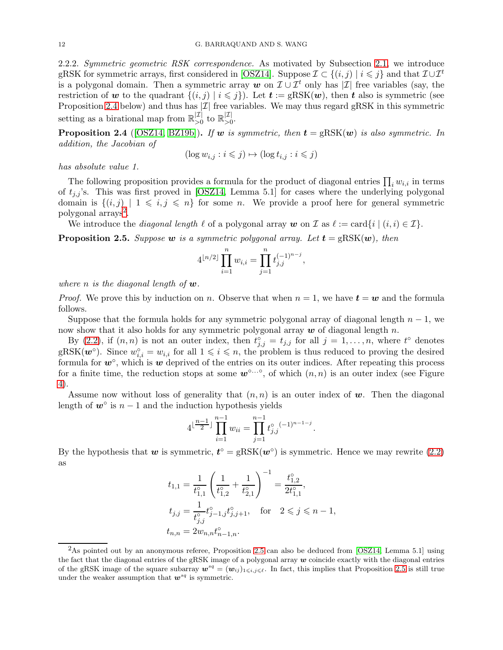<span id="page-11-3"></span>2.2.2. Symmetric geometric RSK correspondence. As motivated by Subsection [2.1,](#page-8-1) we introduce gRSK for symmetric arrays, first considered in [\[OSZ14\]](#page-35-1). Suppose  $\mathcal{I} \subset \{(i,j) \mid i \leq j\}$  and that  $\mathcal{I} \cup \mathcal{I}^t$ is a polygonal domain. Then a symmetric array w on  $\mathcal{I} \cup \mathcal{I}^t$  only has  $|\mathcal{I}|$  free variables (say, the restriction of w to the quadrant  $\{(i, j) | i \leqslant j\}$ ). Let  $t := \text{gRSK}(w)$ , then t also is symmetric (see Proposition [2.4](#page-11-0) below) and thus has  $|\mathcal{I}|$  free variables. We may thus regard gRSK in this symmetric setting as a birational map from  $\mathbb{R}^{|\mathcal{I}|}_{>0}$  $\vert \mathcal{I} \vert >0$  to  $\mathbb{R}_{>0}^{|\mathcal{I}|}$  $>0$ .

<span id="page-11-0"></span>**Proposition 2.4** ([\[OSZ14,](#page-35-1) [BZ19b\]](#page-34-4)). If w is symmetric, then  $t = gRSK(w)$  is also symmetric. In addition, the Jacobian of

$$
(\log w_{i,j}:i\leqslant j)\mapsto (\log t_{i,j}:i\leqslant j)
$$

has absolute value 1.

The following proposition provides a formula for the product of diagonal entries  $\prod_i w_{i,i}$  in terms of  $t_{j,j}$ 's. This was first proved in [\[OSZ14,](#page-35-1) Lemma 5.1] for cases where the underlying polygonal domain is  $\{(i,j) | 1 \leq i,j \leq n\}$  for some n. We provide a proof here for general symmetric polygonal arrays<sup>[2](#page-11-1)</sup>.

We introduce the *diagonal length*  $\ell$  of a polygonal array w on  $\mathcal I$  as  $\ell := \text{card}\{i \mid (i, i) \in \mathcal I\}$ .

<span id="page-11-2"></span>**Proposition 2.5.** Suppose w is a symmetric polygonal array. Let  $t = \text{gRSK}(\boldsymbol{w})$ , then

$$
4^{\lfloor n/2 \rfloor} \prod_{i=1}^n w_{i,i} = \prod_{j=1}^n t_{j,j}^{(-1)^{n-j}},
$$

where n is the diagonal length of  $w$ .

*Proof.* We prove this by induction on n. Observe that when  $n = 1$ , we have  $t = w$  and the formula follows.

Suppose that the formula holds for any symmetric polygonal array of diagonal length  $n-1$ , we now show that it also holds for any symmetric polygonal array  $w$  of diagonal length n.

By [\(2.2\)](#page-10-0), if  $(n, n)$  is not an outer index, then  $t_{j,j}^{\circ} = t_{j,j}$  for all  $j = 1, \ldots, n$ , where  $t^{\circ}$  denotes gRSK $(w^{\circ})$ . Since  $w_{i,i}^{\circ} = w_{i,i}$  for all  $1 \leq i \leq n$ , the problem is thus reduced to proving the desired formula for  $w^{\circ}$ , which is  $w$  deprived of the entries on its outer indices. After repeating this process for a finite time, the reduction stops at some  $w^{\circ}$  of which  $(n, n)$  is an outer index (see Figure [4\)](#page-12-1).

Assume now without loss of generality that  $(n, n)$  is an outer index of w. Then the diagonal length of  $w^{\circ}$  is  $n-1$  and the induction hypothesis yields

$$
4^{\lfloor \frac{n-1}{2} \rfloor} \prod_{i=1}^{n-1} w_{ii} = \prod_{j=1}^{n-1} t_{j,j}^{\circ} (-1)^{n-1-j}
$$

.

By the hypothesis that  $w$  is symmetric,  $t^{\circ} = gRSK(w^{\circ})$  is symmetric. Hence we may rewrite [\(2.2\)](#page-10-0) as

$$
t_{1,1} = \frac{1}{t_{1,1}^{\circ}} \left( \frac{1}{t_{1,2}^{\circ}} + \frac{1}{t_{2,1}^{\circ}} \right)^{-1} = \frac{t_{1,2}^{\circ}}{2t_{1,1}^{\circ}},
$$
  
\n
$$
t_{j,j} = \frac{1}{t_{j,j}^{\circ}} t_{j-1,j}^{\circ} t_{j,j+1}^{\circ}, \quad \text{for} \quad 2 \leqslant j \leqslant n-1,
$$
  
\n
$$
t_{n,n} = 2w_{n,n} t_{n-1,n}^{\circ}.
$$

<span id="page-11-1"></span> $2$ As pointed out by an anonymous referee, Proposition [2.5](#page-11-2) can also be deduced from [\[OSZ14,](#page-35-1) Lemma 5.1] using the fact that the diagonal entries of the gRSK image of a polygonal array  $w$  coincide exactly with the diagonal entries of the gRSK image of the square subarray  $w^{sq} = (w_{ij})_{1 \leq i,j \leq \ell}$ . In fact, this implies that Proposition [2.5](#page-11-2) is still true under the weaker assumption that  $\boldsymbol{w}^{sq}$  is symmetric.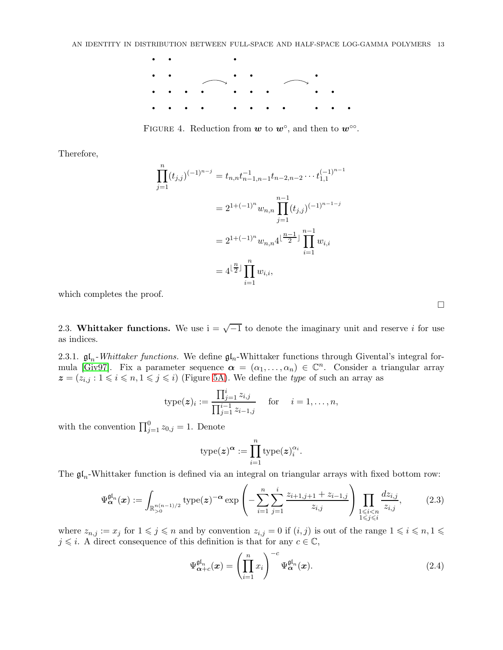<span id="page-12-4"></span><span id="page-12-1"></span>

FIGURE 4. Reduction from  $w$  to  $w^{\circ}$ , and then to  $w^{\circ\circ}$ .

Therefore,

$$
\prod_{j=1}^{n} (t_{j,j})^{(-1)^{n-j}} = t_{n,n} t_{n-1,n-1}^{-1} t_{n-2,n-2} \cdots t_{1,1}^{(-1)^{n-1}}
$$

$$
= 2^{1+(-1)^n} w_{n,n} \prod_{j=1}^{n-1} (t_{j,j})^{(-1)^{n-1-j}}
$$

$$
= 2^{1+(-1)^n} w_{n,n} 4^{\lfloor \frac{n-1}{2} \rfloor} \prod_{i=1}^{n-1} w_{i,i}
$$

$$
= 4^{\lfloor \frac{n}{2} \rfloor} \prod_{i=1}^{n} w_{i,i},
$$

which completes the proof.

<span id="page-12-0"></span>2.3. Whittaker functions. We use  $i = \sqrt{-1}$  to denote the imaginary unit and reserve i for use as indices.

2.3.1.  $\mathfrak{gl}_n$ -Whittaker functions. We define  $\mathfrak{gl}_n$ -Whittaker functions through Givental's integral for-mula [\[Giv97\]](#page-35-25). Fix a parameter sequence  $\alpha = (\alpha_1, \ldots, \alpha_n) \in \mathbb{C}^n$ . Consider a triangular array  $z = (z_{i,j} : 1 \leq i \leq n, 1 \leq j \leq i)$  (Figure [5A\)](#page-13-0). We define the *type* of such an array as

$$
type(z)_i := \frac{\prod_{j=1}^i z_{i,j}}{\prod_{j=1}^{i-1} z_{i-1,j}} \quad \text{for} \quad i = 1, \dots, n,
$$

with the convention  $\prod_{j=1}^{0} z_{0,j} = 1$ . Denote

$$
\mathrm{type}(\boldsymbol{z})^{\boldsymbol{\alpha}} := \prod_{i=1}^n \mathrm{type}(\boldsymbol{z})_i^{\alpha_i}.
$$

The  $\mathfrak{gl}_n$ -Whittaker function is defined via an integral on triangular arrays with fixed bottom row:

<span id="page-12-2"></span>
$$
\Psi_{\alpha}^{\mathfrak{gl}_n}(x) := \int_{\mathbb{R}_{>0}^{n(n-1)/2}} \text{type}(z)^{-\alpha} \exp\left(-\sum_{i=1}^n \sum_{j=1}^i \frac{z_{i+1,j+1} + z_{i-1,j}}{z_{i,j}}\right) \prod_{\substack{1 \le i < n \\ 1 \le j \le i}} \frac{dz_{i,j}}{z_{i,j}},\tag{2.3}
$$

where  $z_{n,j} := x_j$  for  $1 \leq j \leq n$  and by convention  $z_{i,j} = 0$  if  $(i,j)$  is out of the range  $1 \leq i \leq n, 1 \leq j \leq n$  $j \leq i$ . A direct consequence of this definition is that for any  $c \in \mathbb{C}$ ,

<span id="page-12-3"></span>
$$
\Psi_{\alpha+c}^{\mathfrak{gl}_n}(\boldsymbol{x}) = \left(\prod_{i=1}^n x_i\right)^{-c} \Psi_{\alpha}^{\mathfrak{gl}_n}(\boldsymbol{x}). \tag{2.4}
$$

 $\Box$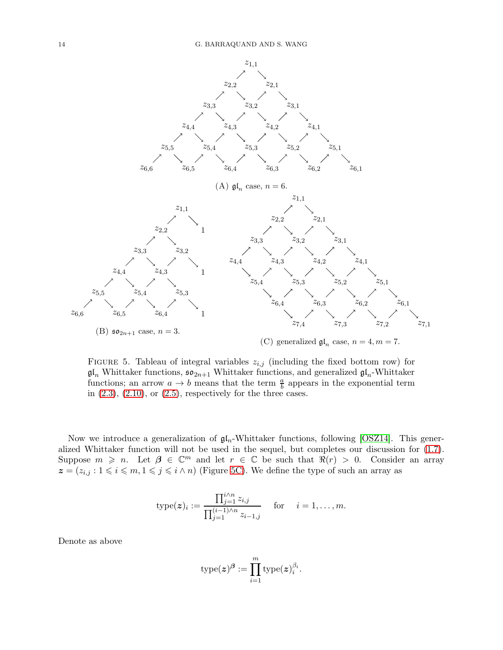<span id="page-13-1"></span><span id="page-13-0"></span>

FIGURE 5. Tableau of integral variables  $z_{i,j}$  (including the fixed bottom row) for  $\mathfrak{gl}_n$  Whittaker functions,  $\mathfrak{so}_{2n+1}$  Whittaker functions, and generalized  $\mathfrak{gl}_n$ -Whittaker functions; an arrow  $a \to b$  means that the term  $\frac{a}{b}$  appears in the exponential term in  $(2.3)$ ,  $(2.10)$ , or  $(2.5)$ , respectively for the three cases.

Now we introduce a generalization of  $\mathfrak{gl}_n$ -Whittaker functions, following [\[OSZ14\]](#page-35-1). This generalized Whittaker function will not be used in the sequel, but completes our discussion for [\(1.7\)](#page-4-1). Suppose  $m \geq n$ . Let  $\beta \in \mathbb{C}^m$  and let  $r \in \mathbb{C}$  be such that  $\Re(r) > 0$ . Consider an array  $z = (z_{i,j} : 1 \leq i \leq m, 1 \leq j \leq i \wedge n)$  (Figure [5C\)](#page-13-0). We define the type of such an array as

$$
\text{type}(\boldsymbol{z})_i := \frac{\prod_{j=1}^{i \wedge n} z_{i,j}}{\prod_{j=1}^{(i-1) \wedge n} z_{i-1,j}} \quad \text{for} \quad i = 1, \dots, m.
$$

Denote as above

$$
\operatorname{type}(\boldsymbol{z})^{\boldsymbol{\beta}} := \prod_{i=1}^m \operatorname{type}(\boldsymbol{z})_i^{\beta_i}.
$$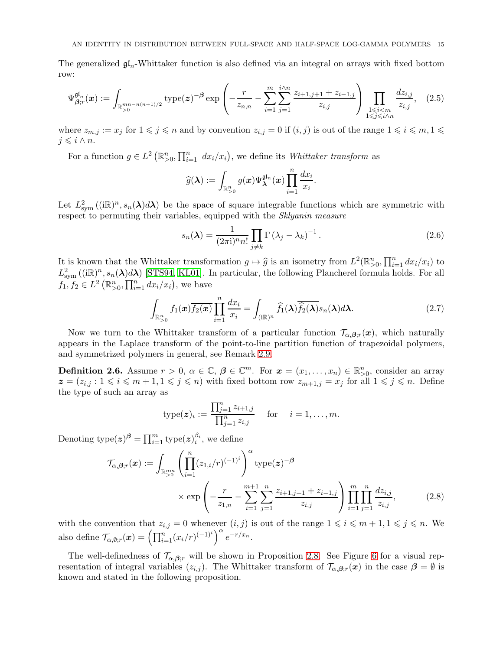<span id="page-14-4"></span>The generalized  $\mathfrak{gl}_n$ -Whittaker function is also defined via an integral on arrays with fixed bottom row:

<span id="page-14-0"></span>
$$
\Psi_{\beta;r}^{\mathfrak{gl}_n}(\boldsymbol{x}) := \int_{\mathbb{R}_{>0}^{mn-n(n+1)/2}} \text{type}(\boldsymbol{z})^{-\beta} \exp\left(-\frac{r}{z_{n,n}} - \sum_{i=1}^{m} \sum_{j=1}^{i \wedge n} \frac{z_{i+1,j+1} + z_{i-1,j}}{z_{i,j}}\right) \prod_{\substack{1 \leqslant i < m \\ 1 \leqslant j \leqslant i \wedge n}} \frac{dz_{i,j}}{z_{i,j}},\tag{2.5}
$$

where  $z_{m,j} := x_j$  for  $1 \leqslant j \leqslant n$  and by convention  $z_{i,j} = 0$  if  $(i, j)$  is out of the range  $1 \leqslant i \leqslant m, 1 \leqslant j \leqslant n$  $j \leqslant i \wedge n$ .

For a function  $g \in L^2(\mathbb{R}_{>0}^n, \prod_{i=1}^n dx_i/x_i)$ , we define its *Whittaker transform* as

$$
\widehat{g}(\boldsymbol{\lambda}) := \int_{\mathbb{R}^n_{>0}} g(\boldsymbol{x}) \Psi_{\boldsymbol{\lambda}}^{\mathfrak{gl}_n}(\boldsymbol{x}) \prod_{i=1}^n \frac{dx_i}{x_i}.
$$

Let  $L^2_{sym}((i\mathbb{R})^n, s_n(\lambda)d\lambda)$  be the space of square integrable functions which are symmetric with respect to permuting their variables, equipped with the *Sklyanin measure* 

<span id="page-14-3"></span>
$$
s_n(\lambda) = \frac{1}{(2\pi i)^n n!} \prod_{j \neq k} \Gamma(\lambda_j - \lambda_k)^{-1}.
$$
 (2.6)

It is known that the Whittaker transformation  $g \mapsto \hat{g}$  is an isometry from  $L^2(\mathbb{R}^n_{>0}, \prod_{i=1}^n dx_i/x_i)$  to  $L^2(\mathbb{R}^n)$  to  $L^2(\mathbb{R}^n)$  $L^2_{sym}((i\mathbb{R})^n, s_n(\lambda)d\lambda)$  [\[STS94,](#page-35-26) [KL01\]](#page-35-27). In particular, the following Plancherel formula holds. For all  $f_1, f_2 \in L^2\left(\mathbb{R}_{>0}^n, \prod_{i=1}^n dx_i/x_i\right)$ , we have

<span id="page-14-2"></span>
$$
\int_{\mathbb{R}_{>0}^n} f_1(\boldsymbol{x}) \overline{f_2(\boldsymbol{x})} \prod_{i=1}^n \frac{dx_i}{x_i} = \int_{(i\mathbb{R})^n} \widehat{f}_1(\boldsymbol{\lambda}) \overline{\widehat{f}_2(\boldsymbol{\lambda})} s_n(\boldsymbol{\lambda}) d\boldsymbol{\lambda}.
$$
\n(2.7)

Now we turn to the Whittaker transform of a particular function  $\mathcal{T}_{\alpha,\beta,r}(x)$ , which naturally appears in the Laplace transform of the point-to-line partition function of trapezoidal polymers, and symmetrized polymers in general, see Remark [2.9.](#page-15-0)

<span id="page-14-1"></span>**Definition 2.6.** Assume  $r > 0$ ,  $\alpha \in \mathbb{C}$ ,  $\beta \in \mathbb{C}^m$ . For  $x = (x_1, \ldots, x_n) \in \mathbb{R}_{>0}^n$ , consider an array  $z = (z_{i,j} : 1 \leq i \leq m+1, 1 \leq j \leq n)$  with fixed bottom row  $z_{m+1,j} = x_j$  for all  $1 \leq j \leq n$ . Define the type of such an array as

$$
type(z)_i := \frac{\prod_{j=1}^n z_{i+1,j}}{\prod_{j=1}^n z_{i,j}} \quad \text{ for } \quad i = 1, \dots, m.
$$

Denoting  $\text{type}(z)^{\beta} = \prod_{i=1}^{m} \text{type}(z)^{\beta_i}_{i}$ , we define

$$
\mathcal{T}_{\alpha,\beta;r}(\boldsymbol{x}) := \int_{\mathbb{R}_{>0}^{nm}} \left( \prod_{i=1}^{n} (z_{1,i}/r)^{(-1)^{i}} \right)^{\alpha} \text{type}(\boldsymbol{z})^{-\beta} \times \exp\left( -\frac{r}{z_{1,n}} - \sum_{i=1}^{m+1} \sum_{j=1}^{n} \frac{z_{i+1,j+1} + z_{i-1,j}}{z_{i,j}} \right) \prod_{i=1}^{m} \prod_{j=1}^{n} \frac{dz_{i,j}}{z_{i,j}},
$$
\n(2.8)

with the convention that  $z_{i,j} = 0$  whenever  $(i, j)$  is out of the range  $1 \leq i \leq m + 1, 1 \leq j \leq n$ . We also define  $\mathcal{T}_{\alpha,\emptyset;r}(\boldsymbol{x}) = \left(\prod_{i=1}^n (x_i/r)^{(-1)^i}\right)^{\alpha} e^{-r/x_n}.$ 

The well-definedness of  $\mathcal{T}_{\alpha,\beta;r}$  will be shown in Proposition [2.8.](#page-15-1) See Figure [6](#page-15-2) for a visual representation of integral variables  $(z_{i,j})$ . The Whittaker transform of  $\mathcal{T}_{\alpha,\beta,r}(x)$  in the case  $\beta = \emptyset$  is known and stated in the following proposition.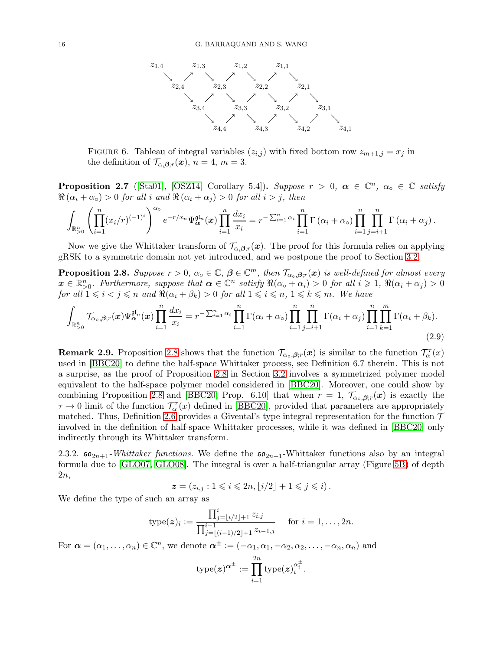<span id="page-15-3"></span><span id="page-15-2"></span>

FIGURE 6. Tableau of integral variables  $(z_{i,j})$  with fixed bottom row  $z_{m+1,j} = x_j$  in the definition of  $\mathcal{T}_{\alpha,\beta;r}(\boldsymbol{x}), n = 4, m = 3.$ 

**Proposition 2.7** ([\[Sta01\]](#page-36-3), [\[OSZ14,](#page-35-1) Corollary 5.4]). Suppose  $r > 0$ ,  $\alpha \in \mathbb{C}^n$ ,  $\alpha_0 \in \mathbb{C}$  satisfy  $\Re(\alpha_i + \alpha_o) > 0$  for all i and  $\Re(\alpha_i + \alpha_j) > 0$  for all  $i > j$ , then

$$
\int_{\mathbb{R}_{>0}^n} \left( \prod_{i=1}^n (x_i/r)^{(-1)^i} \right)^{\alpha_0} e^{-r/x_n} \Psi_{\alpha}^{\mathfrak{gl}_n}(\boldsymbol{x}) \prod_{i=1}^n \frac{dx_i}{x_i} = r^{-\sum_{i=1}^n \alpha_i} \prod_{i=1}^n \Gamma(\alpha_i + \alpha_0) \prod_{i=1}^n \prod_{j=i+1}^n \Gamma(\alpha_i + \alpha_j).
$$

Now we give the Whittaker transform of  $\mathcal{T}_{\alpha,\beta,r}(x)$ . The proof for this formula relies on applying gRSK to a symmetric domain not yet introduced, and we postpone the proof to Section [3.2.](#page-20-0)

<span id="page-15-1"></span>**Proposition 2.8.** Suppose  $r > 0$ ,  $\alpha \circ \in \mathbb{C}$ ,  $\boldsymbol{\beta} \in \mathbb{C}^m$ , then  $\mathcal{T}_{\alpha \circ \beta,r}(x)$  is well-defined for almost every  $\boldsymbol{x} \in \mathbb{R}_{>0}^n$ . Furthermore, suppose that  $\boldsymbol{\alpha} \in \mathbb{C}^n$  satisfy  $\Re(\alpha \circ \alpha + \alpha_i) > 0$  for all  $i \geq 1$ ,  $\Re(\alpha_i + \alpha_j) > 0$ for all  $1 \leq i < j \leq n$  and  $\Re(\alpha_i + \beta_k) > 0$  for all  $1 \leq i \leq n, 1 \leq k \leq m$ . We have

$$
\int_{\mathbb{R}_{>0}^n} \mathcal{T}_{\alpha_o,\beta;r}(\boldsymbol{x}) \Psi_{\alpha}^{\mathfrak{gl}_n}(\boldsymbol{x}) \prod_{i=1}^n \frac{dx_i}{x_i} = r^{-\sum_{i=1}^n \alpha_i} \prod_{i=1}^n \Gamma(\alpha_i + \alpha_o) \prod_{i=1}^n \prod_{j=i+1}^n \Gamma(\alpha_i + \alpha_j) \prod_{i=1}^n \prod_{k=1}^m \Gamma(\alpha_i + \beta_k).
$$
\n(2.9)

<span id="page-15-0"></span>**Remark 2.9.** Proposition [2.8](#page-15-1) shows that the function  $\mathcal{T}_{\alpha_{\circ},\beta,r}(x)$  is similar to the function  $\mathcal{T}_{\alpha}^{\tau}(x)$ used in [\[BBC20\]](#page-34-5) to define the half-space Whittaker process, see Definition 6.7 therein. This is not a surprise, as the proof of Proposition [2.8](#page-15-1) in Section [3.2](#page-20-0) involves a symmetrized polymer model equivalent to the half-space polymer model considered in [\[BBC20\]](#page-34-5). Moreover, one could show by combining Proposition [2.8](#page-15-1) and [\[BBC20,](#page-34-5) Prop. 6.10] that when  $r = 1$ ,  $\mathcal{T}_{\alpha_{\circ},\beta,r}(x)$  is exactly the  $\tau \to 0$  limit of the function  $\mathcal{T}_{\alpha}^{\tau}(x)$  defined in [\[BBC20\]](#page-34-5), provided that parameters are appropriately matched. Thus, Definition [2.6](#page-14-1) provides a Givental's type integral representation for the function  $\mathcal T$ involved in the definition of half-space Whittaker processes, while it was defined in [\[BBC20\]](#page-34-5) only indirectly through its Whittaker transform.

2.3.2.  $\mathfrak{so}_{2n+1}$ -Whittaker functions. We define the  $\mathfrak{so}_{2n+1}$ -Whittaker functions also by an integral formula due to [\[GLO07,](#page-35-28) [GLO08\]](#page-35-29). The integral is over a half-triangular array (Figure [5B\)](#page-13-0) of depth 2n,

$$
\boldsymbol{z} = (z_{i,j} : 1 \leq i \leq 2n, \lfloor i/2 \rfloor + 1 \leq j \leq i).
$$

We define the type of such an array as

$$
\text{type}(\boldsymbol{z})_i := \frac{\prod_{j=1}^i i/2 + 1 \ z_{i,j}}{\prod_{j=1}^{i-1} i} \quad \text{for } i = 1, \ldots, 2n.
$$

For  $\boldsymbol{\alpha} = (\alpha_1, \dots, \alpha_n) \in \mathbb{C}^n$ , we denote  $\boldsymbol{\alpha}^{\pm} := (-\alpha_1, \alpha_1, -\alpha_2, \alpha_2, \dots, -\alpha_n, \alpha_n)$  and

$$
\text{type}(\boldsymbol{z})^{\boldsymbol{\alpha}^{\pm}}:=\prod_{i=1}^{2n}\text{type}(\boldsymbol{z})_{i}^{\alpha_{i}^{\pm}}.
$$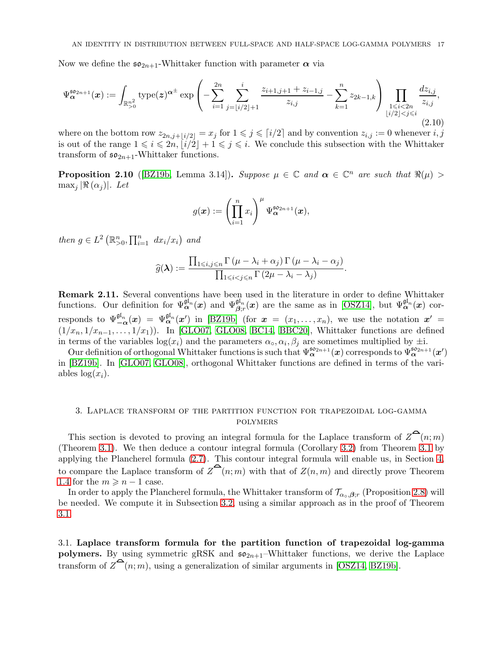<span id="page-16-3"></span>Now we define the  $\mathfrak{so}_{2n+1}$ -Whittaker function with parameter  $\alpha$  via

<span id="page-16-1"></span>
$$
\Psi_{\alpha}^{\mathfrak{so}_{2n+1}}(x) := \int_{\mathbb{R}_{>0}^{n^2}} \text{type}(z)^{\alpha^{\pm}} \exp\left(-\sum_{i=1}^{2n} \sum_{j=\lfloor i/2 \rfloor+1}^{i} \frac{z_{i+1,j+1}+z_{i-1,j}}{z_{i,j}} - \sum_{k=1}^n z_{2k-1,k}\right) \prod_{\substack{1 \leq i < 2n \\ \lfloor i/2 \rfloor < j \leq i}} \frac{dz_{i,j}}{z_{i,j}},\tag{2.10}
$$

where on the bottom row  $z_{2n,j+|i/2|} = x_j$  for  $1 \leq j \leq i/2$  and by convention  $z_{i,j} := 0$  whenever  $i, j$ is out of the range  $1 \leq i \leq 2n$ ,  $\lfloor i/2 \rfloor + 1 \leq j \leq i$ . We conclude this subsection with the Whittaker transform of  $\mathfrak{so}_{2n+1}$ -Whittaker functions.

<span id="page-16-2"></span>**Proposition 2.10** ([\[BZ19b,](#page-34-4) Lemma 3.14]). Suppose  $\mu \in \mathbb{C}$  and  $\alpha \in \mathbb{C}^n$  are such that  $\Re(\mu) >$  $\max_i |\Re(\alpha_i)|$ . Let

$$
g(\boldsymbol{x}) := \left(\prod_{i=1}^n x_i\right)^{\mu} \Psi_{\boldsymbol{\alpha}}^{\mathfrak{so}_{2n+1}}(\boldsymbol{x}),
$$

then  $g \in L^2 \left( \mathbb{R}^n_{>0}, \prod_{i=1}^n dx_i/x_i \right)$  and

$$
\widehat{g}(\boldsymbol{\lambda}) := \frac{\prod_{1 \leq i,j \leq n} \Gamma(\mu - \lambda_i + \alpha_j) \Gamma(\mu - \lambda_i - \alpha_j)}{\prod_{1 \leq i < j \leq n} \Gamma(2\mu - \lambda_i - \lambda_j)}.
$$

Remark 2.11. Several conventions have been used in the literature in order to define Whittaker functions. Our definition for  $\Psi^{\mathfrak{gl}_n}_{\alpha}(\boldsymbol{x})$  and  $\Psi^{\mathfrak{gl}_n}_{\beta;r}(\boldsymbol{x})$  are the same as in [\[OSZ14\]](#page-35-1), but  $\Psi^{\mathfrak{gl}_n}_{\alpha}(\boldsymbol{x})$  corresponds to  $\Psi_{-\alpha}^{\mathfrak{gl}_n}(\boldsymbol{x}) = \Psi_{\alpha}^{\mathfrak{gl}_n}(\boldsymbol{x}')$  in [\[BZ19b\]](#page-34-4) (for  $\boldsymbol{x} = (x_1, \ldots, x_n)$ , we use the notation  $\boldsymbol{x}' =$  $(1/x_n, 1/x_{n-1}, \ldots, 1/x_1)$ ). In [\[GLO07,](#page-35-28) [GLO08,](#page-35-29) [BC14,](#page-34-12) [BBC20\]](#page-34-5), Whittaker functions are defined in terms of the variables  $log(x_i)$  and the parameters  $\alpha_0, \alpha_i, \beta_j$  are sometimes multiplied by  $\pm i$ .

Our definition of orthogonal Whittaker functions is such that  $\Psi_{\alpha}^{\mathfrak{so}_{2n+1}}(x)$  corresponds to  $\Psi_{\alpha}^{\mathfrak{so}_{2n+1}}(x')$ in [\[BZ19b\]](#page-34-4). In [\[GLO07,](#page-35-28) [GLO08\]](#page-35-29), orthogonal Whittaker functions are defined in terms of the variables  $\log(x_i)$ .

## <span id="page-16-0"></span>3. Laplace transform of the partition function for trapezoidal log-gamma polymers

This section is devoted to proving an integral formula for the Laplace transform of  $Z^{\bullet}(n; m)$ (Theorem [3.1\)](#page-17-0). We then deduce a contour integral formula (Corollary [3.2\)](#page-23-0) from Theorem [3.1](#page-17-0) by applying the Plancherel formula [\(2.7\)](#page-14-2). This contour integral formula will enable us, in Section [4,](#page-25-0) to compare the Laplace transform of  $\mathbb{Z}^{\mathbf{C}}(n;m)$  with that of  $\mathbb{Z}(n,m)$  and directly prove Theorem [1.4](#page-3-0) for the  $m \geq n-1$  case.

In order to apply the Plancherel formula, the Whittaker transform of  $\mathcal{T}_{\alpha_{\circ},\beta_{;r}}$  (Proposition [2.8\)](#page-15-1) will be needed. We compute it in Subsection [3.2,](#page-20-0) using a similar approach as in the proof of Theorem [3.1.](#page-17-0)

3.1. Laplace transform formula for the partition function of trapezoidal log-gamma polymers. By using symmetric gRSK and  $\mathfrak{so}_{2n+1}$ -Whittaker functions, we derive the Laplace transform of  $Z^{\bullet}(n;m)$ , using a generalization of similar arguments in [\[OSZ14,](#page-35-1) [BZ19b\]](#page-34-4).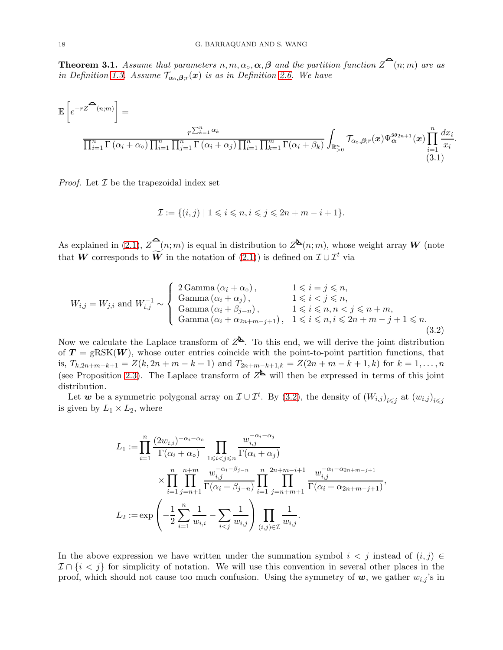<span id="page-17-0"></span>**Theorem 3.1.** Assume that parameters  $n, m, \alpha_o, \alpha, \beta$  and the partition function  $\overline{Z}^{\alpha}(n; m)$  are as in Definition [1.3.](#page-2-2) Assume  $\mathcal{T}_{\alpha_{\circ},\beta;r}(x)$  is as in Definition [2.6.](#page-14-1) We have

$$
\mathbb{E}\left[e^{-rZ^{\widehat{\mathbf{C}}}(n;m)}\right] = \frac{r^{\sum_{k=1}^{n}\alpha_k}}{\prod_{i=1}^{n}\Gamma(\alpha_i+\alpha_o)\prod_{i=1}^{n}\prod_{j=1}^{n}\Gamma(\alpha_i+\alpha_j)\prod_{i=1}^{n}\prod_{k=1}^{m}\Gamma(\alpha_i+\beta_k)}\int_{\mathbb{R}_{>0}^{n}}\mathcal{T}_{\alpha_o,\beta;r}(x)\Psi_{\alpha}^{\mathfrak{so}_{2n+1}}(x)\prod_{\substack{i=1 \ i\in I}}^{n}\frac{dx_i}{x_i}.
$$
\n(3.1)

*Proof.* Let  $\mathcal I$  be the trapezoidal index set

<span id="page-17-2"></span>
$$
\mathcal{I} := \{(i,j) \mid 1 \leqslant i \leqslant n, i \leqslant j \leqslant 2n + m - i + 1\}.
$$

As explained in [\(2.1\)](#page-9-0),  $Z^{\mathbf{a}}(n;m)$  is equal in distribution to  $Z^{\mathbf{b}}(n;m)$ , whose weight array W (note that W corresponds to  $\widetilde{W}$  in the notation of [\(2.1\)](#page-9-0)) is defined on  $\mathcal{I} \cup \mathcal{I}^t$  via

<span id="page-17-1"></span>
$$
W_{i,j} = W_{j,i} \text{ and } W_{i,j}^{-1} \sim \left\{ \begin{array}{ll} 2 \text{ Gamma} \left( \alpha_i + \alpha_o \right), & 1 \leq i = j \leq n, \\ \text{Gamma} \left( \alpha_i + \alpha_j \right), & 1 \leq i < j \leq n, \\ \text{Gamma} \left( \alpha_i + \beta_{j-n} \right), & 1 \leq i \leq n, n < j \leq n+m, \\ \text{Gamma} \left( \alpha_i + \alpha_{2n+m-j+1} \right), & 1 \leq i \leq n, i \leq 2n+m-j+1 \leq n. \end{array} \right. \tag{3.2}
$$

Now we calculate the Laplace transform of  $Z^{\mathbf{b}}$ . To this end, we will derive the joint distribution of  $T = \text{gRSK}(W)$ , whose outer entries coincide with the point-to-point partition functions, that is,  $T_{k,2n+m-k+1} = Z(k,2n+m-k+1)$  and  $T_{2n+m-k+1,k} = Z(2n+m-k+1,k)$  for  $k = 1,\ldots,n$ (see Proposition [2.3\)](#page-10-1). The Laplace transform of  $Z^{\mathbf{b}}$  will then be expressed in terms of this joint distribution.

Let w be a symmetric polygonal array on  $\mathcal{I} \cup \mathcal{I}^t$ . By [\(3.2\)](#page-17-1), the density of  $(W_{i,j})_{i \leq j}$  at  $(w_{i,j})_{i \leq j}$ is given by  $L_1 \times L_2$ , where

$$
L_1 := \prod_{i=1}^n \frac{(2w_{i,i})^{-\alpha_i - \alpha_0}}{\Gamma(\alpha_i + \alpha_0)} \prod_{1 \le i < j \le n} \frac{w_{i,j}^{-\alpha_i - \alpha_j}}{\Gamma(\alpha_i + \alpha_j)} \\
\times \prod_{i=1}^n \prod_{j=n+1}^{n+m} \frac{w_{i,j}^{-\alpha_i - \beta_{j-n}}}{\Gamma(\alpha_i + \beta_{j-n})} \prod_{i=1}^n \prod_{j=n+m+1}^{2n+m-i+1} \frac{w_{i,j}^{-\alpha_i - \alpha_{2n+m-j+1}}}{\Gamma(\alpha_i + \alpha_{2n+m-j+1})},
$$
  

$$
L_2 := \exp\left(-\frac{1}{2} \sum_{i=1}^n \frac{1}{w_{i,i}} - \sum_{i < j} \frac{1}{w_{i,j}}\right) \prod_{(i,j) \in \mathcal{I}} \frac{1}{w_{i,j}}.
$$

In the above expression we have written under the summation symbol  $i < j$  instead of  $(i, j) \in$  $\mathcal{I} \cap \{i < j\}$  for simplicity of notation. We will use this convention in several other places in the proof, which should not cause too much confusion. Using the symmetry of  $w$ , we gather  $w_{i,j}$ 's in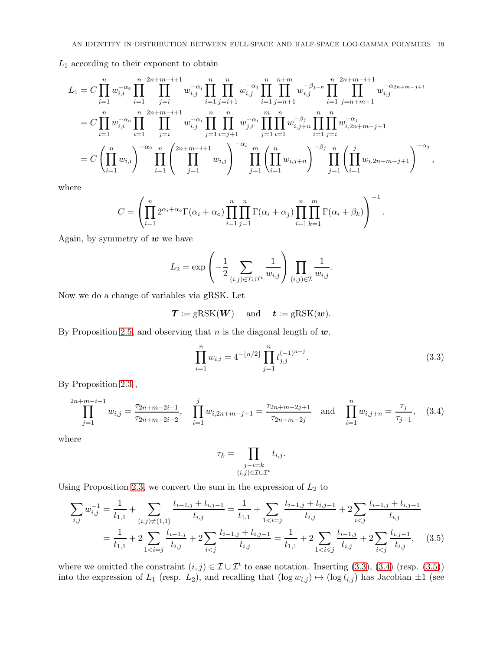$L_1$  according to their exponent to obtain

$$
L_{1} = C \prod_{i=1}^{n} w_{i,i}^{-\alpha_{\circ}} \prod_{i=1}^{n} \prod_{j=i}^{2n+m-i+1} w_{i,j}^{-\alpha_{i}} \prod_{i=1}^{n} \prod_{j=i+1}^{n} w_{i,j}^{-\alpha_{j}} \prod_{i=1}^{n} \prod_{j=n+1}^{n+m-i+1} w_{i,j}^{-\beta_{j-n}} \prod_{i=1}^{n} \prod_{j=n+m+1}^{2n+m-i+1} w_{i,j}^{-\alpha_{2n+m-j+1}}
$$
  
\n
$$
= C \prod_{i=1}^{n} w_{i,i}^{-\alpha_{\circ}} \prod_{i=1}^{n} \prod_{j=i}^{2n+m-i+1} w_{i,j}^{-\alpha_{i}} \prod_{j=1}^{n} \prod_{i=j+1}^{n} w_{i,j}^{-\alpha_{i}} \prod_{j=1}^{m} \prod_{i=1}^{n} w_{i,j+n}^{-\beta_{j}} \prod_{i=1}^{n} \prod_{j=i}^{n} w_{i,2n+m-j+1}^{-\alpha_{j}}
$$
  
\n
$$
= C \left( \prod_{i=1}^{n} w_{i,i} \right)^{-\alpha_{\circ}} \prod_{i=1}^{n} \left( \prod_{j=1}^{2n+m-i+1} w_{i,j} \right)^{-\alpha_{i}} \prod_{j=1}^{m} \left( \prod_{i=1}^{n} w_{i,j+n} \right)^{-\beta_{j}} \prod_{j=1}^{n} \left( \prod_{i=1}^{j} w_{i,2n+m-j+1} \right)^{-\alpha_{j}},
$$

where

$$
C = \left(\prod_{i=1}^n 2^{\alpha_i + \alpha_0} \Gamma(\alpha_i + \alpha_0) \prod_{i=1}^n \prod_{j=1}^n \Gamma(\alpha_i + \alpha_j) \prod_{i=1}^n \prod_{k=1}^m \Gamma(\alpha_i + \beta_k)\right)^{-1}.
$$

Again, by symmetry of  $w$  we have

$$
L_2 = \exp\left(-\frac{1}{2} \sum_{(i,j)\in\mathcal{I}\cup\mathcal{I}^t} \frac{1}{w_{i,j}}\right) \prod_{(i,j)\in\mathcal{I}} \frac{1}{w_{i,j}}.
$$

Now we do a change of variables via gRSK. Let

$$
T :=
$$
gRSK( $W$ ) and  $t :=$ gRSK( $w$ ).

By Proposition [2.5,](#page-11-2) and observing that n is the diagonal length of  $w$ ,

<span id="page-18-0"></span>
$$
\prod_{i=1}^{n} w_{i,i} = 4^{-\lfloor n/2 \rfloor} \prod_{j=1}^{n} t_{j,j}^{(-1)^{n-j}}.
$$
\n(3.3)

By Proposition [2.3](#page-10-1) ,

<span id="page-18-1"></span>
$$
\prod_{j=1}^{2n+m-i+1} w_{i,j} = \frac{\tau_{2n+m-2i+1}}{\tau_{2n+m-2i+2}}, \quad \prod_{i=1}^j w_{i,2n+m-j+1} = \frac{\tau_{2n+m-2j+1}}{\tau_{2n+m-2j}} \quad \text{and} \quad \prod_{i=1}^n w_{i,j+n} = \frac{\tau_j}{\tau_{j-1}}, \quad (3.4)
$$

where

<span id="page-18-2"></span>
$$
\tau_k = \prod_{\substack{j-i=k\\(i,j)\in\mathcal{I}\cup\mathcal{I}^t}} t_{i,j}.
$$

Using Proposition [2.3,](#page-10-1) we convert the sum in the expression of  $L_2$  to

$$
\sum_{i,j} w_{i,j}^{-1} = \frac{1}{t_{1,1}} + \sum_{(i,j)\neq(1,1)} \frac{t_{i-1,j} + t_{i,j-1}}{t_{i,j}} = \frac{1}{t_{1,1}} + \sum_{1 \le i \ne j} \frac{t_{i-1,j} + t_{i,j-1}}{t_{i,j}} + 2 \sum_{i \le j} \frac{t_{i-1,j} + t_{i,j-1}}{t_{i,j}}
$$

$$
= \frac{1}{t_{1,1}} + 2 \sum_{1 \le i \ne j} \frac{t_{i-1,j}}{t_{i,j}} + 2 \sum_{i \le j} \frac{t_{i-1,j} + t_{i,j-1}}{t_{i,j}} = \frac{1}{t_{1,1}} + 2 \sum_{1 \le i \le j} \frac{t_{i-1,j}}{t_{i,j}} + 2 \sum_{i \le j} \frac{t_{i,j-1}}{t_{i,j}}, \quad (3.5)
$$

where we omitted the constraint  $(i, j) \in \mathcal{I} \cup \mathcal{I}^t$  to ease notation. Inserting [\(3.3\)](#page-18-0), [\(3.4\)](#page-18-1) (resp. [\(3.5\)](#page-18-2)) into the expression of  $L_1$  (resp.  $L_2$ ), and recalling that  $(\log w_{i,j}) \mapsto (\log t_{i,j})$  has Jacobian  $\pm 1$  (see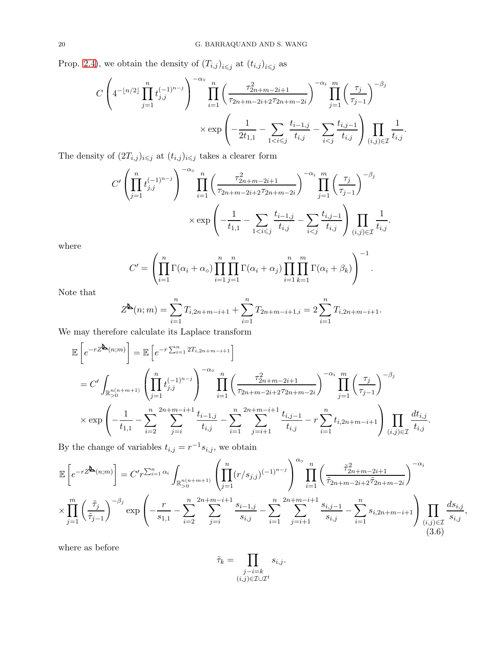Prop. [2.4\)](#page-11-0), we obtain the density of  $(T_{i,j})_{i\leq j}$  at  $(t_{i,j})_{i\leq j}$  as

$$
C\left(4^{-\lfloor n/2\rfloor}\prod_{j=1}^{n}t_{j,j}^{(-1)^{n-j}}\right)^{-\alpha_{\text{o}}}\prod_{i=1}^{n}\left(\frac{\tau_{2n+m-2i+1}^{2}}{\tau_{2n+m-2i+2}\tau_{2n+m-2i}}\right)^{-\alpha_{i}}\prod_{j=1}^{m}\left(\frac{\tau_{j}}{\tau_{j-1}}\right)^{-\beta_{j}}
$$

$$
\times \exp\left(-\frac{1}{2t_{1,1}}-\sum_{1
$$

The density of  $(2T_{i,j})_{i\leqslant j}$  at  $(t_{i,j})_{i\leqslant j}$  takes a clearer form

$$
C' \left( \prod_{j=1}^n t_{j,j}^{(-1)^{n-j}} \right)^{-\alpha_0} \prod_{i=1}^n \left( \frac{\tau_{2n+m-2i+1}^2}{\tau_{2n+m-2i+2}\tau_{2n+m-2i}} \right)^{-\alpha_i} \prod_{j=1}^m \left( \frac{\tau_j}{\tau_{j-1}} \right)^{-\beta_j}
$$

$$
\times \exp\left( -\frac{1}{t_{1,1}} - \sum_{1 < i \leq j} \frac{t_{i-1,j}}{t_{i,j}} - \sum_{i < j} \frac{t_{i,j-1}}{t_{i,j}} \right) \prod_{(i,j) \in \mathcal{I}} \frac{1}{t_{i,j}}.
$$

where

$$
C' = \left(\prod_{i=1}^n \Gamma(\alpha_i + \alpha_0) \prod_{i=1}^n \prod_{j=1}^n \Gamma(\alpha_i + \alpha_j) \prod_{i=1}^n \prod_{k=1}^m \Gamma(\alpha_i + \beta_k)\right)^{-1}.
$$

Note that

$$
Z^{\mathbf{b}}(n;m) = \sum_{i=1}^{n} T_{i,2n+m-i+1} + \sum_{i=1}^{n} T_{2n+m-i+1,i} = 2 \sum_{i=1}^{n} T_{i,2n+m-i+1}.
$$

We may therefore calculate its Laplace transform

$$
\mathbb{E}\left[e^{-rZ^{\mathbf{L}}(n;m)}\right] = \mathbb{E}\left[e^{-r\sum_{i=1}^{n}2T_{i,2n+m-i+1}}\right]
$$
\n
$$
= C' \int_{\mathbb{R}_{>0}^{n(n+m+1)}} \left(\prod_{j=1}^{n} t_{j,j}^{(-1)^{n-j}}\right)^{-\alpha_{\circ}} \prod_{i=1}^{n} \left(\frac{\tau_{2n+m-2i+1}^{2}}{\tau_{2n+m-2i+2}\tau_{2n+m-2i}}\right)^{-\alpha_{i}} \prod_{j=1}^{m} \left(\frac{\tau_{j}}{\tau_{j-1}}\right)^{-\beta_{j}}
$$
\n
$$
\times \exp\left(-\frac{1}{t_{1,1}} - \sum_{i=2}^{n} \sum_{j=i}^{2n+m-i+1} \frac{t_{i-1,j}}{t_{i,j}} - \sum_{i=1}^{n} \sum_{j=i+1}^{2n+m-i+1} \frac{t_{i,j-1}}{t_{i,j}} - r \sum_{i=1}^{n} t_{i,2n+m-i+1}\right) \prod_{(i,j)\in\mathcal{I}} \frac{dt_{i,j}}{t_{i,j}}.
$$

By the change of variables  $t_{i,j} = r^{-1} s_{i,j}$ , we obtain

$$
\mathbb{E}\left[e^{-rZ^{\mathbf{b}}(n;m)}\right] = C'r^{\sum_{i=1}^{n}\alpha_i} \int_{\mathbb{R}_{>0}^{n(n+m+1)}} \left(\prod_{j=1}^{n}(r/s_{j,j})^{(-1)^{n-j}}\right)^{\alpha_0} \prod_{i=1}^{n} \left(\frac{\tilde{\tau}_{2n+m-2i+1}^2}{\tilde{\tau}_{2n+m-2i+2}\tilde{\tau}_{2n+m-2i}}\right)^{-\alpha_i}
$$
\n
$$
\times \prod_{j=1}^{m} \left(\frac{\tilde{\tau}_j}{\tilde{\tau}_{j-1}}\right)^{-\beta_j} \exp\left(-\frac{r}{s_{1,1}} - \sum_{i=2}^{n} \sum_{j=i}^{2n+m-i+1} \frac{s_{i-1,j}}{s_{i,j}} - \sum_{i=1}^{n} \sum_{j=i+1}^{2n+m-i+1} \frac{s_{i,j-1}}{s_{i,j}} - \sum_{i=1}^{n} s_{i,2n+m-i+1}\right) \prod_{(i,j)\in\mathcal{I}} \frac{ds_{i,j}}{s_{i,j}},\tag{3.6}
$$

where as before

<span id="page-19-0"></span>
$$
\tilde{\tau}_k = \prod_{\substack{j-i=k\\(i,j)\in\mathcal{I}\cup\mathcal{I}^t}} s_{i,j}.
$$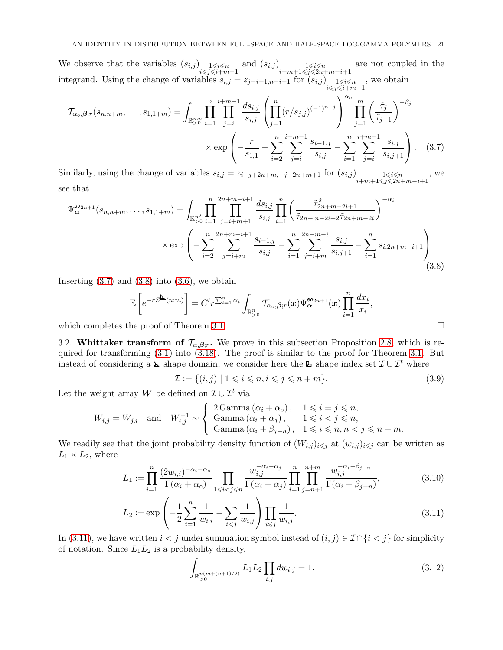We observe that the variables  $(s_{i,j})$   $\underset{i \leq j \leq i+m-1}{\lim}$  and  $(s_{i,j})$   $\underset{i+m+1 \leq j \leq 2n+m-i+1}{\lim}$ are not coupled in the integrand. Using the change of variables  $s_{i,j} = z_{j-i+1,n-i+1}$  for  $(s_{i,j})$ <sub>*i* $\leq i \leq n$ <br> $i \leq j \leq i+m-1$ </sub> , we obtain

$$
\mathcal{T}_{\alpha_o,\beta;r}(s_{n,n+m},\ldots,s_{1,1+m}) = \int_{\mathbb{R}_{>0}^{nm}} \prod_{i=1}^{n} \prod_{j=i}^{i+m-1} \frac{ds_{i,j}}{s_{i,j}} \left( \prod_{j=1}^{n} (r/s_{j,j})^{(-1)^{n-j}} \right)^{\alpha_o} \prod_{j=1}^{m} \left( \frac{\tilde{\tau}_j}{\tilde{\tau}_{j-1}} \right)^{-\beta_j}
$$

$$
\times \exp\left( -\frac{r}{s_{1,1}} - \sum_{i=2}^{n} \sum_{j=i}^{i+m-1} \frac{s_{i-1,j}}{s_{i,j}} - \sum_{i=1}^{n} \sum_{j=i}^{i+m-1} \frac{s_{i,j}}{s_{i,j+1}} \right). \quad (3.7)
$$

Similarly, using the change of variables  $s_{i,j} = z_{i-j+2n+m,-j+2n+m+1}$  for  $(s_{i,j})$   $\underset{i+m+1 \leq j \leq 2n+m-i+1}{1 \leq i \leq n}$ , we see that

$$
\Psi_{\alpha}^{\mathfrak{so}_{2n+1}}(s_{n,n+m},\ldots,s_{1,1+m}) = \int_{\mathbb{R}_{>0}^{n^2}} \prod_{i=1}^{n} \prod_{j=i+m+1}^{2n+m-i+1} \frac{ds_{i,j}}{s_{i,j}} \prod_{i=1}^{n} \left( \frac{\tilde{\tau}_{2n+m-2i+1}^2}{\tilde{\tau}_{2n+m-2i+2} \tilde{\tau}_{2n+m-2i}} \right)^{-\alpha_i}
$$

$$
\times \exp\left(-\sum_{i=2}^{n} \sum_{j=i+m}^{2n+m-i+1} \frac{s_{i-1,j}}{s_{i,j}} - \sum_{i=1}^{n} \sum_{j=i+m}^{2n+m-i} \frac{s_{i,j}}{s_{i,j+1}} - \sum_{i=1}^{n} s_{i,2n+m-i+1} \right).
$$
(3.8)

Inserting  $(3.7)$  and  $(3.8)$  into  $(3.6)$ , we obtain

$$
\mathbb{E}\left[e^{-rZ^{\underline{\mathbf{A}}}(n;m)}\right] = C'r^{\sum_{i=1}^{n}\alpha_i} \int_{\mathbb{R}_{>0}^n} \mathcal{T}_{\alpha_0,\beta;r}(\boldsymbol{x}) \Psi_{\boldsymbol{\alpha}}^{\mathfrak{so}_{2n+1}}(\boldsymbol{x}) \prod_{i=1}^n \frac{dx_i}{x_i},
$$
\nwhich completes the proof of Theorem 3.1.

<span id="page-20-0"></span>

3.2. Whittaker transform of  $\mathcal{T}_{\alpha,\beta,r}$ . We prove in this subsection Proposition [2.8,](#page-15-1) which is required for transforming [\(3.1\)](#page-17-2) into [\(3.18\)](#page-23-1). The proof is similar to the proof for Theorem [3.1.](#page-17-0) But instead of considering a **L**-shape domain, we consider here the **L**-shape index set  $\mathcal{I} \cup \mathcal{I}^t$  where

<span id="page-20-5"></span><span id="page-20-2"></span><span id="page-20-1"></span>
$$
\mathcal{I} := \{(i, j) \mid 1 \leqslant i \leqslant n, i \leqslant j \leqslant n + m\}.
$$
\n
$$
(3.9)
$$

Let the weight array W be defined on  $\mathcal{I} \cup \mathcal{I}^t$  via

$$
W_{i,j} = W_{j,i} \quad \text{and} \quad W_{i,j}^{-1} \sim \left\{ \begin{array}{ll} 2 \text{Gamma}(\alpha_i + \alpha_o), & 1 \leq i = j \leq n, \\ \text{Gamma}(\alpha_i + \alpha_j), & 1 \leq i < j \leq n, \\ \text{Gamma}(\alpha_i + \beta_{j-n}), & 1 \leq i \leq n, n < j \leq n+m. \end{array} \right.
$$

We readily see that the joint probability density function of  $(W_{i,j})_{i\leq j}$  at  $(w_{i,j})_{i\leq j}$  can be written as  $L_1 \times L_2$ , where

$$
L_1 := \prod_{i=1}^n \frac{(2w_{i,i})^{-\alpha_i - \alpha_0}}{\Gamma(\alpha_i + \alpha_0)} \prod_{1 \le i < j \le n} \frac{w_{i,j}^{-\alpha_i - \alpha_j}}{\Gamma(\alpha_i + \alpha_j)} \prod_{i=1}^n \prod_{j=n+1}^{n+m} \frac{w_{i,j}^{-\alpha_i - \beta_{j-n}}}{\Gamma(\alpha_i + \beta_{j-n})},\tag{3.10}
$$

$$
L_2 := \exp\left(-\frac{1}{2}\sum_{i=1}^n \frac{1}{w_{i,i}} - \sum_{i < j} \frac{1}{w_{i,j}}\right) \prod_{i < j} \frac{1}{w_{i,j}}.\tag{3.11}
$$

In [\(3.11\)](#page-20-3), we have written  $i < j$  under summation symbol instead of  $(i, j) \in \mathcal{I} \cap \{i < j\}$  for simplicity of notation. Since  $L_1L_2$  is a probability density,

<span id="page-20-6"></span><span id="page-20-4"></span><span id="page-20-3"></span>
$$
\int_{\mathbb{R}_{>0}^{n(m+(n+1)/2)}} L_1 L_2 \prod_{i,j} dw_{i,j} = 1.
$$
\n(3.12)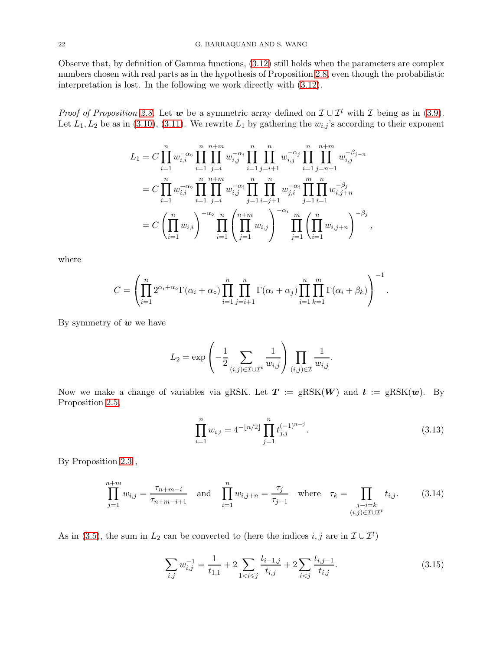Observe that, by definition of Gamma functions, [\(3.12\)](#page-20-4) still holds when the parameters are complex numbers chosen with real parts as in the hypothesis of Proposition [2.8,](#page-15-1) even though the probabilistic interpretation is lost. In the following we work directly with [\(3.12\)](#page-20-4).

*Proof of Proposition [2.8.](#page-15-1)* Let w be a symmetric array defined on  $\mathcal{I} \cup \mathcal{I}^t$  with  $\mathcal{I}$  being as in [\(3.9\)](#page-20-5). Let  $L_1, L_2$  be as in [\(3.10\)](#page-20-6), [\(3.11\)](#page-20-3). We rewrite  $L_1$  by gathering the  $w_{i,j}$ 's according to their exponent

$$
L_{1} = C \prod_{i=1}^{n} w_{i,i}^{-\alpha_{\circ}} \prod_{i=1}^{n} \prod_{j=i}^{n+m} w_{i,j}^{-\alpha_{i}} \prod_{i=1}^{n} \prod_{j=i+1}^{n} w_{i,j}^{-\alpha_{j}} \prod_{i=1}^{n} \prod_{j=n+1}^{n+m} w_{i,j}^{-\beta_{j-n}}
$$
  
\n
$$
= C \prod_{i=1}^{n} w_{i,i}^{-\alpha_{\circ}} \prod_{i=1}^{n} \prod_{j=i}^{n+m} w_{i,j}^{-\alpha_{i}} \prod_{j=1}^{n} \prod_{i=j+1}^{n} w_{j,i}^{-\alpha_{i}} \prod_{j=1}^{m} \prod_{i=1}^{n} w_{i,j+n}^{-\beta_{j}}
$$
  
\n
$$
= C \left( \prod_{i=1}^{n} w_{i,i} \right)^{-\alpha_{\circ}} \prod_{i=1}^{n} \left( \prod_{j=1}^{n+m} w_{i,j} \right)^{-\alpha_{i}} \prod_{j=1}^{m} \left( \prod_{i=1}^{n} w_{i,j+n} \right)^{-\beta_{j}},
$$

where

$$
C = \left(\prod_{i=1}^n 2^{\alpha_i + \alpha_0} \Gamma(\alpha_i + \alpha_0) \prod_{i=1}^n \prod_{j=i+1}^n \Gamma(\alpha_i + \alpha_j) \prod_{i=1}^n \prod_{k=1}^m \Gamma(\alpha_i + \beta_k)\right)^{-1}.
$$

By symmetry of  $w$  we have

$$
L_2 = \exp\left(-\frac{1}{2} \sum_{(i,j)\in\mathcal{I}\cup\mathcal{I}^t} \frac{1}{w_{i,j}}\right) \prod_{(i,j)\in\mathcal{I}} \frac{1}{w_{i,j}}.
$$

Now we make a change of variables via gRSK. Let  $T := \text{gRSK}(W)$  and  $t := \text{gRSK}(w)$ . By Proposition [2.5,](#page-11-2)

<span id="page-21-0"></span>
$$
\prod_{i=1}^{n} w_{i,i} = 4^{-\lfloor n/2 \rfloor} \prod_{j=1}^{n} t_{j,j}^{(-1)^{n-j}}.
$$
\n(3.13)

By Proposition [2.3](#page-10-1) ,

<span id="page-21-1"></span>
$$
\prod_{j=1}^{n+m} w_{i,j} = \frac{\tau_{n+m-i}}{\tau_{n+m-i+1}} \quad \text{and} \quad \prod_{i=1}^{n} w_{i,j+n} = \frac{\tau_j}{\tau_{j-1}} \quad \text{where} \quad \tau_k = \prod_{\substack{j-i=k \ (i,j) \in \mathcal{I} \cup \mathcal{I}^t}} t_{i,j}. \tag{3.14}
$$

As in [\(3.5\)](#page-18-2), the sum in  $L_2$  can be converted to (here the indices  $i, j$  are in  $\mathcal{I} \cup \mathcal{I}^t$ )

<span id="page-21-2"></span>
$$
\sum_{i,j} w_{i,j}^{-1} = \frac{1}{t_{1,1}} + 2 \sum_{1 < i \le j} \frac{t_{i-1,j}}{t_{i,j}} + 2 \sum_{i < j} \frac{t_{i,j-1}}{t_{i,j}}. \tag{3.15}
$$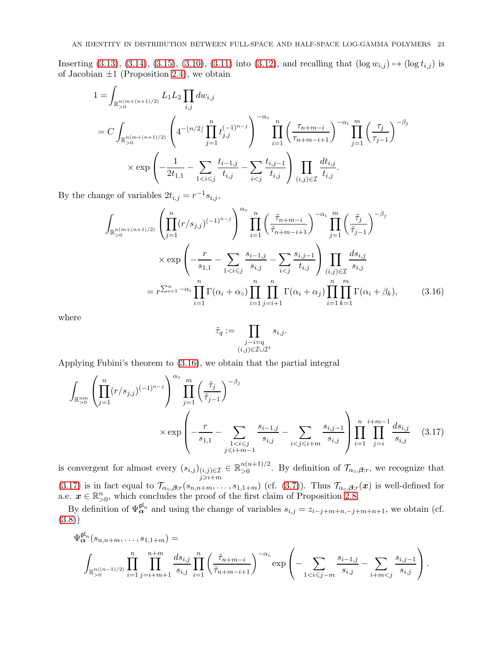Inserting [\(3.13\)](#page-21-0), [\(3.14\)](#page-21-1), [\(3.15\)](#page-21-2), [\(3.10\)](#page-20-6), [\(3.11\)](#page-20-3) into [\(3.12\)](#page-20-4), and recalling that  $(\log w_{i,j}) \mapsto (\log t_{i,j})$  is of Jacobian  $\pm 1$  (Proposition [2.4\)](#page-11-0), we obtain

$$
1 = \int_{\mathbb{R}_{>0}^{n(m+(n+1)/2)}} L_1 L_2 \prod_{i,j} dw_{i,j}
$$
  
=  $C \int_{\mathbb{R}_{>0}^{n(m+(n+1)/2)}} \left( 4^{-\lfloor n/2 \rfloor} \prod_{j=1}^n t_{j,j}^{(-1)^{n-j}} \right)^{-\alpha} \prod_{i=1}^n \left( \frac{\tau_{n+m-i}}{\tau_{n+m-i+1}} \right)^{-\alpha_i} \prod_{j=1}^m \left( \frac{\tau_j}{\tau_{j-1}} \right)^{-\beta_j} \times \exp \left( -\frac{1}{2t_{1,1}} - \sum_{1 < i \le j} \frac{t_{i-1,j}}{t_{i,j}} - \sum_{i < j} \frac{t_{i,j-1}}{t_{i,j}} \right) \prod_{(i,j) \in \mathcal{I}} \frac{dt_{i,j}}{t_{i,j}}.$ 

By the change of variables  $2t_{i,j} = r^{-1} s_{i,j}$ ,

$$
\int_{\mathbb{R}_{>0}^{n(m+(n+1)/2)}} \left( \prod_{j=1}^{n} (r/s_{j,j})^{(-1)^{n-j}} \right)^{\alpha_{\circ}} \prod_{i=1}^{n} \left( \frac{\tilde{\tau}_{n+m-i}}{\tilde{\tau}_{n+m-i+1}} \right)^{-\alpha_{i}} \prod_{j=1}^{m} \left( \frac{\tilde{\tau}_{j}}{\tilde{\tau}_{j-1}} \right)^{-\beta_{j}}
$$
\n
$$
\times \exp \left( -\frac{r}{s_{1,1}} - \sum_{1 < i \leq j} \frac{s_{i-1,j}}{s_{i,j}} - \sum_{i < j} \frac{s_{i,j-1}}{t_{i,j}} \right) \prod_{(i,j) \in \mathcal{I}} \frac{ds_{i,j}}{s_{i,j}}
$$
\n
$$
= r^{\sum_{i=1}^{n} -\alpha_{i}} \prod_{i=1}^{n} \Gamma(\alpha_{i} + \alpha_{\circ}) \prod_{i=1}^{n} \prod_{j=i+1}^{n} \Gamma(\alpha_{i} + \alpha_{j}) \prod_{i=1}^{n} \prod_{k=1}^{m} \Gamma(\alpha_{i} + \beta_{k}), \qquad (3.16)
$$

where

<span id="page-22-1"></span><span id="page-22-0"></span>
$$
\tilde{\tau}_q := \prod_{\substack{j-i=q\\(i,j)\in\mathcal{I}\cup\mathcal{I}^t}}s_{i,j}.
$$

Applying Fubini's theorem to [\(3.16\)](#page-22-0), we obtain that the partial integral

$$
\int_{\mathbb{R}_{>0}^{nm}} \left( \prod_{j=1}^{n} (r/s_{j,j})^{(-1)^{n-j}} \right)^{\alpha_{\circ}} \prod_{j=1}^{m} \left( \frac{\tilde{\tau}_{j}}{\tilde{\tau}_{j-1}} \right)^{-\beta_{j}} \times \exp \left( -\frac{r}{s_{1,1}} - \sum_{\substack{1 < i \leq j \\ j \leq i+m-1}} \frac{s_{i-1,j}}{s_{i,j}} - \sum_{i < j \leq i+m} \frac{s_{i,j-1}}{s_{i,j}} \right) \prod_{i=1}^{n} \prod_{j=i}^{i+m-1} \frac{ds_{i,j}}{s_{i,j}} \tag{3.17}
$$

is convergent for almost every  $(s_{i,j})_{(i,j)\in\mathcal{I}}$  $\sum_{\substack{(i,j)\in\mathcal{I}\j\geqslant i+m}} \in \mathbb{R}_{>0}^{n(n+1)/2}$  $\sum_{n=0}^{n(n+1)/2}$ . By definition of  $\mathcal{T}_{\alpha_{\circ},\beta;r}$ , we recognize that [\(3.17\)](#page-22-1) is in fact equal to  $\mathcal{T}_{\alpha\circ,\beta,r}(s_{n,n+m},\ldots,s_{1,1+m})$  (cf. [\(3.7\)](#page-20-1)). Thus  $\mathcal{T}_{\alpha\circ,\beta,r}(x)$  is well-defined for a.e.  $x \in \mathbb{R}_{\geq 0}^n$ , which concludes the proof of the first claim of Proposition [2.8.](#page-15-1)

By definition of  $\Psi_{\alpha}^{\mathfrak{gl}_n}$  and using the change of variables  $s_{i,j} = z_{i-j+m+n,-j+m+n+1}$ , we obtain (cf. [\(3.8\)](#page-20-2))

$$
\Psi^{\mathfrak{gl}_n}_{\alpha}(s_{n,n+m},\ldots,s_{1,1+m}) =
$$
\n
$$
\int_{\mathbb{R}_{>0}^{n((n-1)/2)}} \prod_{i=1}^{n} \prod_{j=i+m+1}^{n+m} \frac{ds_{i,j}}{s_{i,j}} \prod_{i=1}^{n} \left( \frac{\tilde{\tau}_{n+m-i}}{\tilde{\tau}_{n+m-i+1}} \right)^{-\alpha_i} \exp\left(-\sum_{1
$$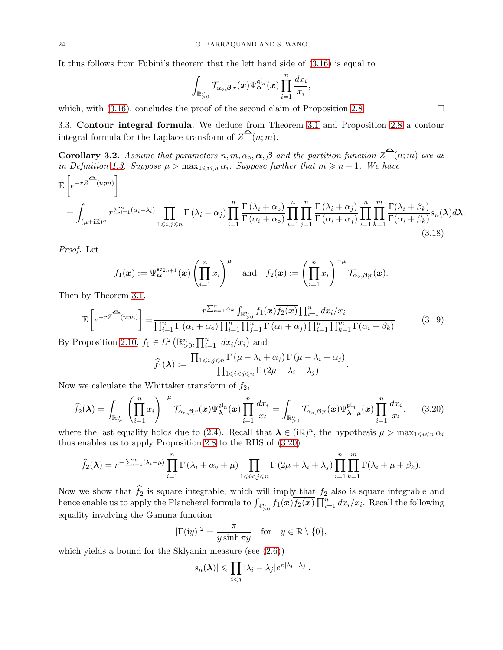It thus follows from Fubini's theorem that the left hand side of [\(3.16\)](#page-22-0) is equal to

$$
\int_{\mathbb{R}_{>0}^n}\mathcal{T}_{\alpha_\circ,\boldsymbol{\beta};r}(\boldsymbol{x})\Psi_{\boldsymbol{\alpha}}^{\mathfrak{gl}_n}(\boldsymbol{x})\prod_{i=1}^n\frac{dx_i}{x_i},
$$

which, with  $(3.16)$ , concludes the proof of the second claim of Proposition [2.8.](#page-15-1)

3.3. Contour integral formula. We deduce from Theorem [3.1](#page-17-0) and Proposition [2.8](#page-15-1) a contour integral formula for the Laplace transform of  $\mathbb{Z}^{\mathbf{a}}(n;m)$ .

<span id="page-23-0"></span>**Corollary 3.2.** Assume that parameters  $n, m, \alpha_o, \alpha, \beta$  and the partition function  $Z^{\alpha}(n; m)$  are as in Definition [1.3.](#page-2-2) Suppose  $\mu > \max_{1 \leq i \leq n} \alpha_i$ . Suppose further that  $m \geq n - 1$ . We have

$$
\mathbb{E}\left[e^{-rZ^{\sum_{i=1}^{n}(n;m)}}\right]
$$
\n
$$
= \int_{(\mu+\mathrm{i}\mathbb{R})^n} r^{\sum_{i=1}^{n}(\alpha_i-\lambda_i)} \prod_{1\leqslant i,j\leqslant n} \Gamma(\lambda_i-\alpha_j) \prod_{i=1}^{n} \frac{\Gamma(\lambda_i+\alpha_o)}{\Gamma(\alpha_i+\alpha_o)} \prod_{i=1}^{n} \prod_{j=1}^{n} \frac{\Gamma(\lambda_i+\alpha_j)}{\Gamma(\alpha_i+\alpha_j)} \prod_{i=1}^{n} \prod_{k=1}^{m} \frac{\Gamma(\lambda_i+\beta_k)}{\Gamma(\alpha_i+\beta_k)} s_n(\lambda) d\lambda. \tag{3.18}
$$

Proof. Let

$$
f_1(\boldsymbol{x}) := \Psi_{\boldsymbol{\alpha}}^{\mathfrak{so}_{2n+1}}(\boldsymbol{x}) \left( \prod_{i=1}^n x_i \right)^{\mu} \quad \text{and} \quad f_2(\boldsymbol{x}) := \left( \prod_{i=1}^n x_i \right)^{-\mu} \mathcal{T}_{\alpha_0, \boldsymbol{\beta}; r}(\boldsymbol{x}).
$$

Then by Theorem [3.1,](#page-17-0)

$$
\mathbb{E}\left[e^{-rZ^{\widehat{\mathbf{C}}}(n;m)}\right] = \frac{r^{\sum_{k=1}^{n}\alpha_k}\int_{\mathbb{R}_{\geq0}^n}f_1(\mathbf{x})\overline{f_2(\mathbf{x})}\prod_{i=1}^n dx_i/x_i}{\prod_{i=1}^{n}\Gamma(\alpha_i+\alpha_0)\prod_{i=1}^n\prod_{j=1}^n\Gamma(\alpha_i+\alpha_j)\prod_{i=1}^n\prod_{k=1}^m\Gamma(\alpha_i+\beta_k)}.
$$
(3.19)

By Proposition [2.10,](#page-16-2)  $f_1 \in L^2(\mathbb{R}_{>0}^n, \prod_{i=1}^n dx_i/x_i)$  and

<span id="page-23-2"></span>
$$
\widehat{f}_1(\boldsymbol{\lambda}) := \frac{\prod_{1 \leq i,j \leq n} \Gamma(\mu - \lambda_i + \alpha_j) \Gamma(\mu - \lambda_i - \alpha_j)}{\prod_{1 \leq i < j \leq n} \Gamma(2\mu - \lambda_i - \lambda_j)}.
$$

Now we calculate the Whittaker transform of  $f_2$ ,

$$
\widehat{f}_2(\boldsymbol{\lambda}) = \int_{\mathbb{R}^n_{>0}} \left( \prod_{i=1}^n x_i \right)^{-\mu} \mathcal{T}_{\alpha_0, \beta; r}(\boldsymbol{x}) \Psi_{\boldsymbol{\lambda}}^{\mathfrak{gl}_n}(\boldsymbol{x}) \prod_{i=1}^n \frac{dx_i}{x_i} = \int_{\mathbb{R}^n_{>0}} \mathcal{T}_{\alpha_0, \beta; r}(\boldsymbol{x}) \Psi_{\boldsymbol{\lambda}+\mu}^{\mathfrak{gl}_n}(\boldsymbol{x}) \prod_{i=1}^n \frac{dx_i}{x_i}, \qquad (3.20)
$$

where the last equality holds due to [\(2.4\)](#page-12-3). Recall that  $\lambda \in (\text{iR})^n$ , the hypothesis  $\mu > \max_{1 \leq i \leq n} \alpha_i$ thus enables us to apply Proposition [2.8](#page-15-1) to the RHS of [\(3.20\)](#page-23-2)

$$
\widehat{f}_2(\boldsymbol{\lambda}) = r^{-\sum_{i=1}^n (\lambda_i + \mu)} \prod_{i=1}^n \Gamma(\lambda_i + \alpha_\circ + \mu) \prod_{1 \leq i < j \leq n} \Gamma(2\mu + \lambda_i + \lambda_j) \prod_{i=1}^n \prod_{k=1}^m \Gamma(\lambda_i + \mu + \beta_k).
$$

Now we show that  $f_2$  is square integrable, which will imply that  $f_2$  also is square integrable and hence enable us to apply the Plancherel formula to  $\int_{\mathbb{R}_{>0}^n} f_1(\bm{x}) \overline{f_2(\bm{x})} \prod_{i=1}^n dx_i/x_i$ . Recall the following equality involving the Gamma function

$$
|\Gamma(iy)|^2 = \frac{\pi}{y \sinh \pi y} \quad \text{for} \quad y \in \mathbb{R} \setminus \{0\},
$$

which yields a bound for the Sklyanin measure (see [\(2.6\)](#page-14-3))

$$
|s_n(\boldsymbol{\lambda})| \leq \prod_{i < j} |\lambda_i - \lambda_j| e^{\pi |\lambda_i - \lambda_j|}.
$$

<span id="page-23-3"></span><span id="page-23-1"></span>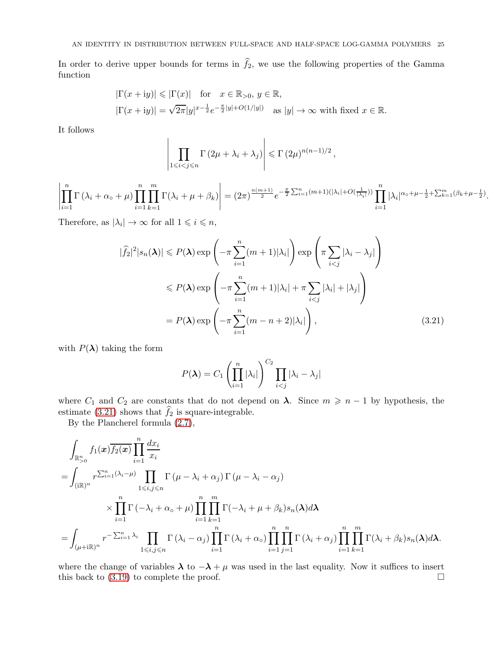In order to derive upper bounds for terms in  $f_2$ , we use the following properties of the Gamma function

$$
|\Gamma(x+iy)| \le |\Gamma(x)| \quad \text{for} \quad x \in \mathbb{R}_{>0}, \ y \in \mathbb{R},
$$
  

$$
|\Gamma(x+iy)| = \sqrt{2\pi}|y|^{x-\frac{1}{2}}e^{-\frac{\pi}{2}|y| + O(1/|y|)} \quad \text{as } |y| \to \infty \text{ with fixed } x \in \mathbb{R}.
$$

It follows

$$
\left|\prod_{1\leq i
$$

 $\begin{array}{c} \begin{array}{c} \begin{array}{c} \begin{array}{c} \end{array} \\ \end{array} \\ \begin{array}{c} \end{array} \end{array} \end{array} \end{array}$  $\prod^n$  $i=1$  $\Gamma(\lambda_i + \alpha_\circ + \mu)$  $i=1$  $\prod$  $k=1$  $\Gamma(\lambda_i + \mu + \beta_k)$  $\begin{array}{c} \begin{array}{c} \begin{array}{c} \begin{array}{c} \end{array}\\ \begin{array}{c} \end{array}\\ \begin{array}{c} \end{array}\\ \begin{array}{c} \end{array}\\ \begin{array}{c} \end{array}\\ \begin{array}{c} \end{array}\\ \begin{array}{c} \end{array}\\ \begin{array}{c} \end{array}\\ \begin{array}{c} \end{array}\\ \begin{array}{c} \end{array}\\ \begin{array}{c} \end{array}\\ \begin{array}{c} \end{array}\\ \begin{array}{c} \end{array}\\ \begin{array}{c} \end{array}\\ \begin{array}{c} \end{array}\\ \begin{array}{c} \end{array}\\ \begin{array}{c}$  $= (2\pi)^{\frac{n(m+1)}{2}} e^{-\frac{\pi}{2} \sum_{i=1}^{n} (m+1)(|\lambda_i|+O(\frac{1}{|\lambda_i|}))} \prod_{i=1}^{n}$  $i=1$  $|\lambda_i|^{\alpha_0 + \mu - \frac{1}{2} + \sum_{k=1}^m (\beta_k + \mu - \frac{1}{2})}.$ 

Therefore, as  $|\lambda_i| \to \infty$  for all  $1 \leq i \leq n$ ,

 $\begin{array}{c} \end{array}$  $\mathsf{I}$  $\left| \right|$  $\mathsf{I}$  $\left| \right|$  $\frac{1}{2}$ 

$$
|\widehat{f}_2|^2 |s_n(\lambda)| \leq P(\lambda) \exp\left(-\pi \sum_{i=1}^n (m+1)|\lambda_i|\right) \exp\left(\pi \sum_{i < j} |\lambda_i - \lambda_j|\right)
$$
  

$$
\leq P(\lambda) \exp\left(-\pi \sum_{i=1}^n (m+1)|\lambda_i| + \pi \sum_{i < j} |\lambda_i| + |\lambda_j|\right)
$$
  

$$
= P(\lambda) \exp\left(-\pi \sum_{i=1}^n (m-n+2)|\lambda_i|\right), \tag{3.21}
$$

with  $P(\lambda)$  taking the form

<span id="page-24-0"></span>
$$
P(\boldsymbol{\lambda}) = C_1 \left( \prod_{i=1}^n |\lambda_i| \right)^{C_2} \prod_{i < j} |\lambda_i - \lambda_j|
$$

where  $C_1$  and  $C_2$  are constants that do not depend on  $\lambda$ . Since  $m \geq n-1$  by hypothesis, the estimate  $(3.21)$  shows that  $f_2$  is square-integrable.

By the Plancherel formula [\(2.7\)](#page-14-2),

$$
\int_{\mathbb{R}_{>0}^{n}} f_1(\mathbf{x}) \overline{f_2(\mathbf{x})} \prod_{i=1}^{n} \frac{dx_i}{x_i}
$$
\n
$$
= \int_{(\mathbf{i}\mathbb{R})^n} r^{\sum_{i=1}^{n} (\lambda_i - \mu)} \prod_{1 \leq i,j \leq n} \Gamma(\mu - \lambda_i + \alpha_j) \Gamma(\mu - \lambda_i - \alpha_j)
$$
\n
$$
\times \prod_{i=1}^{n} \Gamma(-\lambda_i + \alpha_0 + \mu) \prod_{i=1}^{n} \prod_{k=1}^{m} \Gamma(-\lambda_i + \mu + \beta_k) s_n(\lambda) d\lambda
$$
\n
$$
= \int_{(\mu + i\mathbb{R})^n} r^{-\sum_{i=1}^{n} \lambda_i} \prod_{1 \leq i,j \leq n} \Gamma(\lambda_i - \alpha_j) \prod_{i=1}^{n} \Gamma(\lambda_i + \alpha_0) \prod_{i=1}^{n} \prod_{j=1}^{n} \Gamma(\lambda_i + \alpha_j) \prod_{i=1}^{n} \prod_{k=1}^{m} \Gamma(\lambda_i + \beta_k) s_n(\lambda) d\lambda.
$$

where the change of variables  $\lambda$  to  $-\lambda + \mu$  was used in the last equality. Now it suffices to insert this back to (3.19) to complete the proof. this back to [\(3.19\)](#page-23-3) to complete the proof.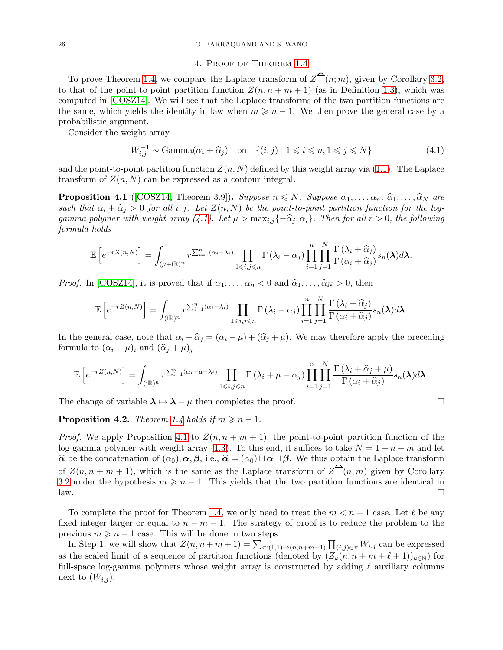#### <span id="page-25-4"></span><span id="page-25-0"></span>26 G. BARRAQUAND AND S. WANG

## 4. Proof of Theorem [1.4](#page-3-0)

To prove Theorem [1.4,](#page-3-0) we compare the Laplace transform of  $\mathbb{Z}^{\mathbf{C}}(n; m)$ , given by Corollary [3.2,](#page-23-0) to that of the point-to-point partition function  $Z(n, n + m + 1)$  (as in Definition [1.3\)](#page-2-2), which was computed in [\[COSZ14\]](#page-35-4). We will see that the Laplace transforms of the two partition functions are the same, which yields the identity in law when  $m \geqslant n - 1$ . We then prove the general case by a probabilistic argument.

Consider the weight array

<span id="page-25-2"></span>
$$
W_{i,j}^{-1} \sim \text{Gamma}(\alpha_i + \widehat{\alpha}_j) \quad \text{on} \quad \{(i,j) \mid 1 \leq i \leq n, 1 \leq j \leq N\} \tag{4.1}
$$

and the point-to-point partition function  $Z(n, N)$  defined by this weight array via [\(1.1\)](#page-1-1). The Laplace transform of  $Z(n, N)$  can be expressed as a contour integral.

<span id="page-25-1"></span>**Proposition 4.1** ([\[COSZ14,](#page-35-4) Theorem 3.9]). Suppose  $n \leq N$ . Suppose  $\alpha_1, \ldots, \alpha_n, \hat{\alpha}_1, \ldots, \hat{\alpha}_N$  are such that  $\alpha_i + \widehat{\alpha}_j > 0$  for all i, j. Let  $Z(n, N)$  be the point-to-point partition function for the log-gamma polymer with weight array [\(4.1\)](#page-25-2). Let  $\mu > \max_{i,j} \{-\hat{\alpha}_j, \alpha_i\}$ . Then for all  $r > 0$ , the following formula holds

$$
\mathbb{E}\left[e^{-rZ(n,N)}\right] = \int_{(\mu+i\mathbb{R})^n} r^{\sum_{i=1}^n(\alpha_i-\lambda_i)} \prod_{1\leqslant i,j\leqslant n} \Gamma\left(\lambda_i-\alpha_j\right) \prod_{i=1}^n \prod_{j=1}^N \frac{\Gamma\left(\lambda_i+\widehat{\alpha}_j\right)}{\Gamma\left(\alpha_i+\widehat{\alpha}_j\right)} s_n(\lambda) d\lambda.
$$

*Proof.* In [\[COSZ14\]](#page-35-4), it is proved that if  $\alpha_1, \ldots, \alpha_n < 0$  and  $\hat{\alpha}_1, \ldots, \hat{\alpha}_N > 0$ , then

$$
\mathbb{E}\left[e^{-rZ(n,N)}\right] = \int_{(i\mathbb{R})^n} r^{\sum_{i=1}^n (\alpha_i - \lambda_i)} \prod_{1 \leq i,j \leq n} \Gamma\left(\lambda_i - \alpha_j\right) \prod_{i=1}^n \prod_{j=1}^N \frac{\Gamma\left(\lambda_i + \widehat{\alpha}_j\right)}{\Gamma\left(\alpha_i + \widehat{\alpha}_j\right)} s_n(\lambda) d\lambda.
$$

In the general case, note that  $\alpha_i + \widehat{\alpha}_j = (\alpha_i - \mu) + (\widehat{\alpha}_j + \mu)$ . We may therefore apply the preceding formula to  $(\alpha_i - \mu)_i$  and  $(\widehat{\alpha}_j + \mu)_j$ 

$$
\mathbb{E}\left[e^{-rZ(n,N)}\right] = \int_{(\text{iR})^n} r^{\sum_{i=1}^n (\alpha_i - \mu - \lambda_i)} \prod_{1 \leq i,j \leq n} \Gamma\left(\lambda_i + \mu - \alpha_j\right) \prod_{i=1}^n \prod_{j=1}^N \frac{\Gamma\left(\lambda_i + \widehat{\alpha}_j + \mu\right)}{\Gamma\left(\alpha_i + \widehat{\alpha}_j\right)} s_n(\boldsymbol{\lambda}) d\boldsymbol{\lambda}.
$$

The change of variable  $\lambda \mapsto \lambda - \mu$  then completes the proof.

<span id="page-25-3"></span>**Proposition 4.2.** Theorem [1.4](#page-3-0) holds if  $m \geq n - 1$ .

*Proof.* We apply Proposition [4.1](#page-25-1) to  $Z(n, n + m + 1)$ , the point-to-point partition function of the log-gamma polymer with weight array [\(1.3\)](#page-3-2). To this end, it suffices to take  $N = 1 + n + m$  and let  $\hat{\alpha}$  be the concatenation of  $(\alpha_0), \alpha, \beta$ , i.e.,  $\hat{\alpha} = (\alpha_0) \sqcup \alpha \sqcup \beta$ . We thus obtain the Laplace transform of  $Z(n, n + m + 1)$ , which is the same as the Laplace transform of  $Z^{\bullet}(n; m)$  given by Corollary [3.2](#page-23-0) under the hypothesis  $m \geq n - 1$ . This yields that the two partition functions are identical in  $\Box$  $\Box$  law.

To complete the proof for Theorem [1.4,](#page-3-0) we only need to treat the  $m < n - 1$  case. Let  $\ell$  be any fixed integer larger or equal to  $n - m - 1$ . The strategy of proof is to reduce the problem to the previous  $m \geq n - 1$  case. This will be done in two steps.

In Step 1, we will show that  $Z(n, n+m+1) = \sum_{\pi:(1,1)\to(n,n+m+1)} \prod_{(i,j)\in\pi} W_{i,j}$  can be expressed as the scaled limit of a sequence of partition functions (denoted by  $(Z_k(n, n + m + \ell + 1))_{k \in \mathbb{N}}$ ) for full-space log-gamma polymers whose weight array is constructed by adding  $\ell$  auxiliary columns next to  $(W_{i,j})$ .

$$
\Box
$$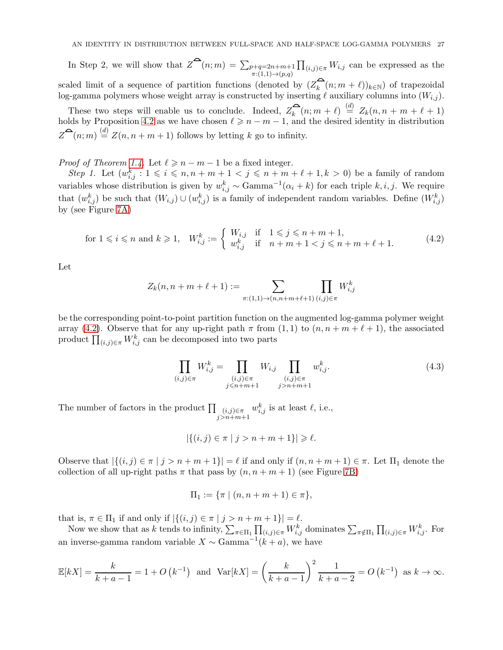In Step 2, we will show that  $Z^{\bullet}(n;m) = \sum_{p+q=2n+m+1}$  $\pi:(1,1)\rightarrow(p,q)$  $\prod_{(i,j)\in\pi} W_{i,j}$  can be expressed as the scaled limit of a sequence of partition functions (denoted by  $(Z_k^-(n; m + \ell))_{k \in \mathbb{N}}$ ) of trapezoidal

log-gamma polymers whose weight array is constructed by inserting  $\ell$  auxiliary columns into  $(W_{i,j})$ .

These two steps will enable us to conclude. Indeed,  $Z_k^{\mathbf{a}}(n; m + \ell) \stackrel{(d)}{=} Z_k(n, n + m + \ell + 1)$ holds by Proposition [4.2](#page-25-3) as we have chosen  $\ell \geq n-m-1$ , and the desired identity in distribution  $Z^{\spadesuit}(n;m) \stackrel{(d)}{=} Z(n,n+m+1)$  follows by letting k go to infinity.

*Proof of Theorem [1.4.](#page-3-0)* Let  $\ell \geq n-m-1$  be a fixed integer.

Step 1. Let  $(w_{i,j}^k : 1 \leq i \leq n, n+m+1 \leq j \leq n+m+\ell+1, k > 0)$  be a family of random variables whose distribution is given by  $w_{i,j}^k \sim \text{Gamma}^{-1}(\alpha_i + k)$  for each triple  $k, i, j$ . We require that  $(w_{i,j}^k)$  be such that  $(W_{i,j}) \cup (w_{i,j}^k)$  is a family of independent random variables. Define  $(W_{i,j}^k)$ by (see Figure [7A\)](#page-27-0)

<span id="page-26-0"></span>for 
$$
1 \le i \le n
$$
 and  $k \ge 1$ ,  $W_{i,j}^k := \begin{cases} W_{i,j} & \text{if } 1 \le j \le n+m+1, \\ w_{i,j}^k & \text{if } n+m+1 < j \le n+m+\ell+1. \end{cases}$  (4.2)

Let

$$
Z_k(n, n + m + \ell + 1) := \sum_{\pi: (1, 1) \to (n, n + m + \ell + 1)} \prod_{(i, j) \in \pi} W_{i, j}^k
$$

be the corresponding point-to-point partition function on the augmented log-gamma polymer weight array [\(4.2\)](#page-26-0). Observe that for any up-right path  $\pi$  from  $(1, 1)$  to  $(n, n + m + \ell + 1)$ , the associated product  $\prod_{(i,j)\in\pi} W_{i,j}^k$  can be decomposed into two parts

<span id="page-26-1"></span>
$$
\prod_{(i,j)\in\pi} W_{i,j}^k = \prod_{\substack{(i,j)\in\pi\\j\leq n+m+1}} W_{i,j} \prod_{\substack{(i,j)\in\pi\\j>n+m+1}} w_{i,j}^k.
$$
\n(4.3)

The number of factors in the product  $\prod_{(i,j)\in\pi}$  $j>n+m+1$  $w_{i,j}^k$  is at least  $\ell$ , i.e.,

$$
|\{(i,j)\in\pi\mid j>n+m+1\}|\geqslant\ell.
$$

Observe that  $|\{(i,j) \in \pi \mid j > n+m+1\}| = \ell$  if and only if  $(n, n+m+1) \in \pi$ . Let  $\Pi_1$  denote the collection of all up-right paths  $\pi$  that pass by  $(n, n + m + 1)$  (see Figure [7B\)](#page-27-0)

$$
\Pi_1 := \{ \pi \mid (n, n + m + 1) \in \pi \},\
$$

that is,  $\pi \in \Pi_1$  if and only if  $|\{(i,j) \in \pi \mid j > n+m+1\}| = \ell$ .

Now we show that as k tends to infinity,  $\sum_{\pi \in \Pi_1} \prod_{(i,j) \in \pi} W_{i,j}^k$  dominates  $\sum_{\pi \notin \Pi_1} \prod_{(i,j) \in \pi} W_{i,j}^k$ . For an inverse-gamma random variable  $X \sim \text{Gamma}^{-1}(k + a)$ , we have

$$
\mathbb{E}[kX] = \frac{k}{k+a-1} = 1 + O(k^{-1}) \text{ and } \text{Var}[kX] = \left(\frac{k}{k+a-1}\right)^2 \frac{1}{k+a-2} = O(k^{-1}) \text{ as } k \to \infty.
$$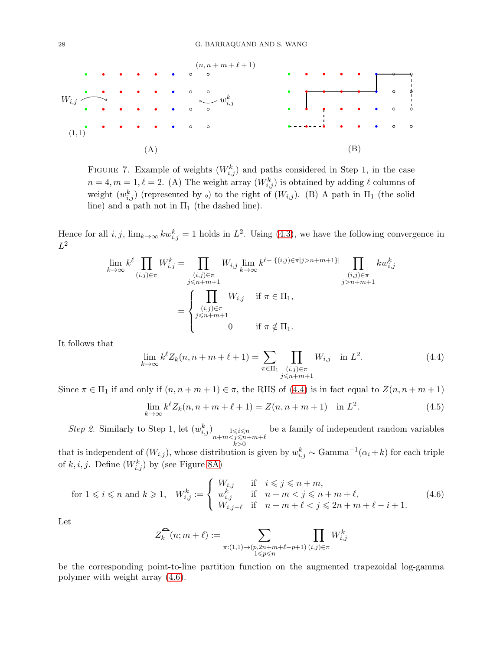<span id="page-27-0"></span>

FIGURE 7. Example of weights  $(W_{i,j}^k)$  and paths considered in Step 1, in the case  $n = 4, m = 1, \ell = 2.$  (A) The weight array  $(W_{i,j}^k)$  is obtained by adding  $\ell$  columns of weight  $(w_{i,j}^k)$  (represented by  $\circ$ ) to the right of  $(W_{i,j})$ . (B) A path in  $\Pi_1$  (the solid line) and a path not in  $\Pi_1$  (the dashed line).

Hence for all  $i, j$ ,  $\lim_{k \to \infty} kw_{i,j}^k = 1$  holds in  $L^2$ . Using [\(4.3\)](#page-26-1), we have the following convergence in  $L^2$ 

$$
\lim_{k \to \infty} k^{\ell} \prod_{(i,j) \in \pi} W_{i,j}^{k} = \prod_{\substack{(i,j) \in \pi \\ j \le n+m+1}} W_{i,j} \lim_{k \to \infty} k^{\ell-|\{(i,j) \in \pi | j>n+m+1\}} \prod_{\substack{(i,j) \in \pi \\ j>n+m+1}} k w_{i,j}^{k}
$$
\n
$$
= \begin{cases}\n\prod_{(i,j) \in \pi} W_{i,j} & \text{if } \pi \in \Pi_1, \\
\prod_{j \le n+m+1} W_{i,j} & \text{if } \pi \notin \Pi_1.\n\end{cases}
$$

It follows that

<span id="page-27-1"></span>
$$
\lim_{k \to \infty} k^{\ell} Z_k(n, n + m + \ell + 1) = \sum_{\pi \in \Pi_1} \prod_{\substack{(i,j) \in \pi \\ j \le n + m + 1}} W_{i,j} \quad \text{in } L^2.
$$
 (4.4)

Since  $\pi \in \Pi_1$  if and only if  $(n, n + m + 1) \in \pi$ , the RHS of [\(4.4\)](#page-27-1) is in fact equal to  $Z(n, n + m + 1)$ 

<span id="page-27-3"></span>
$$
\lim_{k \to \infty} k^{\ell} Z_k(n, n + m + \ell + 1) = Z(n, n + m + 1) \quad \text{in } L^2.
$$
 (4.5)

Step 2. Similarly to Step 1, let  $(w_{i,j}^k)$   $\underset{n+m < j \leq n+m+\ell}{\lim}$  $_{k>0}$ be a family of independent random variables

that is independent of  $(W_{i,j})$ , whose distribution is given by  $w_{i,j}^k \sim \text{Gamma}^{-1}(\alpha_i + k)$  for each triple of  $k, i, j$ . Define  $(W_{i,j}^k)$  by (see Figure [8A\)](#page-29-3)

<span id="page-27-2"></span>
$$
\text{for } 1 \leqslant i \leqslant n \text{ and } k \geqslant 1, \quad W_{i,j}^k := \begin{cases} W_{i,j} & \text{if } i \leqslant j \leqslant n+m, \\ w_{i,j}^k & \text{if } n+m < j \leqslant n+m+\ell, \\ W_{i,j-\ell} & \text{if } n+m+\ell < j \leqslant 2n+m+\ell-i+1. \end{cases} \tag{4.6}
$$

Let

$$
Z_k^{\widehat{\bullet}}(n; m+\ell) := \sum_{\substack{\pi: (1,1) \to (p, 2n+m+\ell-p+1) \\ 1 \leqslant p \leqslant n}} \prod_{(i,j) \in \pi} W_{i,j}^k
$$

be the corresponding point-to-line partition function on the augmented trapezoidal log-gamma polymer with weight array [\(4.6\)](#page-27-2).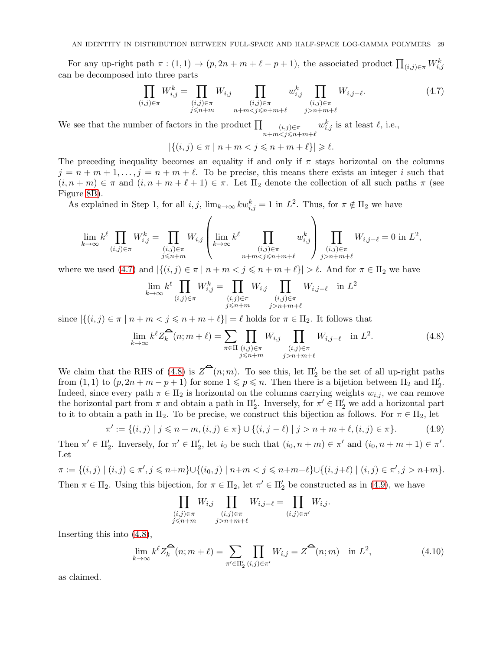For any up-right path  $\pi$  :  $(1,1) \rightarrow (p, 2n+m+\ell-p+1)$ , the associated product  $\prod_{(i,j)\in\pi} W_{i,j}^k$ can be decomposed into three parts

<span id="page-28-0"></span>
$$
\prod_{(i,j)\in\pi} W_{i,j}^k = \prod_{\substack{(i,j)\in\pi\\j\leq n+m}} W_{i,j} \prod_{\substack{(i,j)\in\pi\\n+mn+m+\ell}} W_{i,j-\ell}.
$$
\n(4.7)

We see that the number of factors in the product  $\prod$   $(i,j) \in \pi$  $n+m < j \leqslant n+m+\ell$  $w_{i,j}^k$  is at least  $\ell$ , i.e.,

$$
|\{(i,j)\in \pi\mid n+m
$$

The preceding inequality becomes an equality if and only if  $\pi$  stays horizontal on the columns  $j = n + m + 1, \ldots, j = n + m + \ell$ . To be precise, this means there exists an integer i such that  $(i, n + m) \in \pi$  and  $(i, n + m + \ell + 1) \in \pi$ . Let  $\Pi_2$  denote the collection of all such paths  $\pi$  (see Figure [8B\)](#page-29-3).

As explained in Step 1, for all  $i, j$ ,  $\lim_{k \to \infty} kw_{i,j}^k = 1$  in  $L^2$ . Thus, for  $\pi \notin \Pi_2$  we have

$$
\lim_{k \to \infty} k^{\ell} \prod_{(i,j) \in \pi} W_{i,j}^{k} = \prod_{\substack{(i,j) \in \pi \\ j \leq n+m}} W_{i,j} \left( \lim_{\substack{k \to \infty \\ k \to \infty}} k^{\ell} \prod_{\substack{(i,j) \in \pi \\ n+m < j \leq n+m+\ell}} w_{i,j}^{k} \right) \prod_{\substack{(i,j) \in \pi \\ j > n+m+\ell}} W_{i,j-\ell} = 0 \text{ in } L^{2},
$$

where we used [\(4.7\)](#page-28-0) and  $|\{(i,j) \in \pi \mid n+m < j \leq n+m+\ell\}| > \ell$ . And for  $\pi \in \Pi_2$  we have

$$
\lim_{k \to \infty} k^{\ell} \prod_{(i,j) \in \pi} W_{i,j}^{k} = \prod_{\substack{(i,j) \in \pi \\ j \le n+m}} W_{i,j} \prod_{\substack{(i,j) \in \pi \\ j > n+m+\ell}} W_{i,j-\ell} \quad \text{in } L^{2}
$$

since  $|\{(i,j)\in \pi \mid n+m < j \leqslant n+m+\ell\}| = \ell$  holds for  $\pi \in \Pi_2$ . It follows that

<span id="page-28-1"></span>
$$
\lim_{k \to \infty} k^{\ell} Z_k^{\widehat{\bullet}}(n; m + \ell) = \sum_{\substack{\pi \in \Pi \\ j \le n+m}} \prod_{\substack{(i,j) \in \pi \\ j > n+m+\ell}} W_{i,j-\ell} \quad \text{in } L^2. \tag{4.8}
$$

We claim that the RHS of [\(4.8\)](#page-28-1) is  $Z^{\bullet}(n;m)$ . To see this, let  $\Pi'_{2}$  be the set of all up-right paths from  $(1, 1)$  to  $(p, 2n + m - p + 1)$  for some  $1 \leqslant p \leqslant n$ . Then there is a bijetion between  $\Pi_2$  and  $\Pi'_2$ . Indeed, since every path  $\pi \in \Pi_2$  is horizontal on the columns carrying weights  $w_{i,j}$ , we can remove the horizontal part from  $\pi$  and obtain a path in  $\Pi'_{2}$ . Inversely, for  $\pi' \in \Pi'_{2}$  we add a horizontal part to it to obtain a path in  $\Pi_2$ . To be precise, we construct this bijection as follows. For  $\pi \in \Pi_2$ , let

<span id="page-28-2"></span>
$$
\pi' := \{(i, j) \mid j \le n + m, (i, j) \in \pi\} \cup \{(i, j - \ell) \mid j > n + m + \ell, (i, j) \in \pi\}.
$$
 (4.9)

Then  $\pi' \in \Pi'_2$ . Inversely, for  $\pi' \in \Pi'_2$ , let  $i_0$  be such that  $(i_0, n+m) \in \pi'$  and  $(i_0, n+m+1) \in \pi'$ . Let

$$
\pi := \{(i,j) \mid (i,j) \in \pi', j \leq n+m\} \cup \{(i_0,j) \mid n+m < j \leq n+m+\ell\} \cup \{(i,j+\ell) \mid (i,j) \in \pi', j > n+m\}.
$$

Then  $\pi \in \Pi_2$ . Using this bijection, for  $\pi \in \Pi_2$ , let  $\pi' \in \Pi'_2$  be constructed as in [\(4.9\)](#page-28-2), we have

$$
\prod_{\substack{(i,j)\in\pi\\j\leq n+m}} W_{i,j} \prod_{\substack{(i,j)\in\pi\\j>n+m+\ell}} W_{i,j-\ell} = \prod_{(i,j)\in\pi'} W_{i,j}.
$$

Inserting this into [\(4.8\)](#page-28-1),

<span id="page-28-3"></span>
$$
\lim_{k \to \infty} k^{\ell} Z_k^{\widehat{\bullet}}(n; m + \ell) = \sum_{\pi' \in \Pi'_2} \prod_{(i,j) \in \pi'} W_{i,j} = Z^{\widehat{\bullet}}(n; m) \quad \text{in } L^2,
$$
\n(4.10)

as claimed.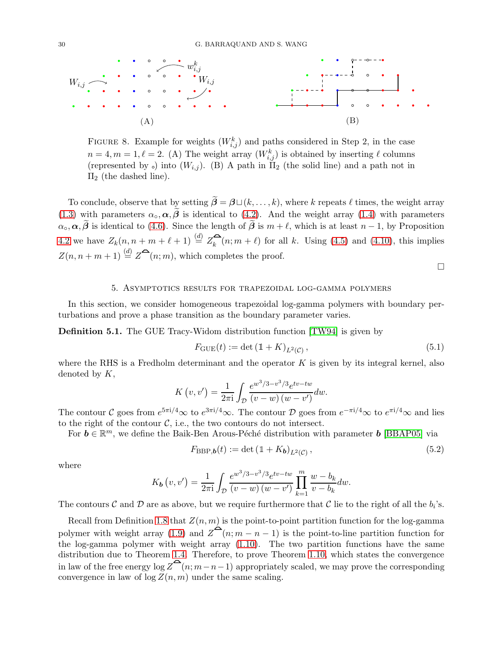<span id="page-29-4"></span><span id="page-29-3"></span>

FIGURE 8. Example for weights  $(W_{i,j}^k)$  and paths considered in Step 2, in the case  $n = 4, m = 1, \ell = 2.$  (A) The weight array  $(W_{i,j}^k)$  is obtained by inserting  $\ell$  columns (represented by  $\circ$ ) into  $(W_{i,j})$ . (B) A path in  $\Pi_2$  (the solid line) and a path not in  $\Pi_2$  (the dashed line).

To conclude, observe that by setting  $\widetilde{\beta} = \beta \sqcup (k, \ldots, k)$ , where k repeats  $\ell$  times, the weight array [\(1.3\)](#page-3-2) with parameters  $\alpha_{\circ}, \alpha, \tilde{\beta}$  is identical to [\(4.2\)](#page-26-0). And the weight array [\(1.4\)](#page-3-3) with parameters  $\alpha_{\circ}, \alpha, \tilde{\beta}$  is identical to [\(4.6\)](#page-27-2). Since the length of  $\tilde{\beta}$  is  $m + \ell$ , which is at least  $n - 1$ , by Proposition [4.2](#page-25-3) we have  $Z_k(n, n + m + \ell + 1) \stackrel{(d)}{=} Z_k^{\bigtriangleup}(n; m + \ell)$  for all k. Using [\(4.5\)](#page-27-3) and [\(4.10\)](#page-28-3), this implies  $Z(n, n+m+1) \stackrel{(d)}{=} Z^{\bullet}(n; m)$ , which completes the proof.

 $\Box$ 

### 5. Asymptotics results for trapezoidal log-gamma polymers

<span id="page-29-0"></span>In this section, we consider homogeneous trapezoidal log-gamma polymers with boundary perturbations and prove a phase transition as the boundary parameter varies.

Definition 5.1. The GUE Tracy-Widom distribution function [\[TW94\]](#page-36-1) is given by

<span id="page-29-1"></span>
$$
F_{\text{GUE}}(t) := \det\left(1 + K\right)_{L^2(\mathcal{C})},\tag{5.1}
$$

where the RHS is a Fredholm determinant and the operator  $K$  is given by its integral kernel, also denoted by  $K$ ,

$$
K(v, v') = \frac{1}{2\pi i} \int_{D} \frac{e^{w^3/3 - v^3/3} e^{iv - tw}}{(v - w)(w - v')} dw.
$$

The contour C goes from  $e^{5\pi i/4} \infty$  to  $e^{3\pi i/4} \infty$ . The contour D goes from  $e^{-\pi i/4} \infty$  to  $e^{\pi i/4} \infty$  and lies to the right of the contour  $\mathcal{C}$ , i.e., the two contours do not intersect.

For  $\mathbf{b} \in \mathbb{R}^m$ , we define the Baik-Ben Arous-Péché distribution with parameter  $\mathbf{b}$  [\[BBAP05\]](#page-34-16) via

<span id="page-29-2"></span>
$$
F_{\text{BBP},b}(t) := \det\left(\mathbb{1} + K_b\right)_{L^2(\mathcal{C})},\tag{5.2}
$$

where

$$
K_{\mathbf{b}}(v,v') = \frac{1}{2\pi i} \int_{\mathcal{D}} \frac{e^{w^3/3 - v^3/3} e^{iv - tw}}{(v - w)(w - v')} \prod_{k=1}^{m} \frac{w - b_k}{v - b_k} dw.
$$

The contours  $\mathcal C$  and  $\mathcal D$  are as above, but we require furthermore that  $\mathcal C$  lie to the right of all the  $b_i$ 's.

Recall from Definition [1.8](#page-5-3) that  $Z(n, m)$  is the point-to-point partition function for the log-gamma polymer with weight array [\(1.9\)](#page-5-1) and  $Z^{\bullet}(n; m - n - 1)$  is the point-to-line partition function for the log-gamma polymer with weight array [\(1.10\)](#page-5-2). The two partition functions have the same distribution due to Theorem [1.4.](#page-3-0) Therefore, to prove Theorem [1.10,](#page-6-1) which states the convergence in law of the free energy  $\log Z^{\bullet}(n; m-n-1)$  appropriately scaled, we may prove the corresponding convergence in law of  $\log Z(n, m)$  under the same scaling.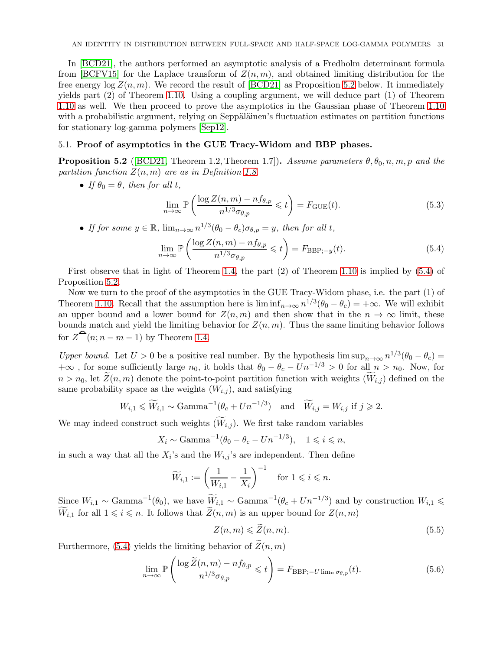<span id="page-30-5"></span>In [\[BCD21\]](#page-34-7), the authors performed an asymptotic analysis of a Fredholm determinant formula from [\[BCFV15\]](#page-34-14) for the Laplace transform of  $Z(n, m)$ , and obtained limiting distribution for the free energy  $\log Z(n, m)$ . We record the result of [\[BCD21\]](#page-34-7) as Proposition [5.2](#page-30-0) below. It immediately yields part (2) of Theorem [1.10.](#page-6-1) Using a coupling argument, we will deduce part (1) of Theorem [1.10](#page-6-1) as well. We then proceed to prove the asymptotics in the Gaussian phase of Theorem [1.10](#page-6-1) with a probabilistic argument, relying on Seppäläinen's fluctuation estimates on partition functions for stationary log-gamma polymers [\[Sep12\]](#page-35-5).

### 5.1. Proof of asymptotics in the GUE Tracy-Widom and BBP phases.

<span id="page-30-0"></span>**Proposition 5.2** ([\[BCD21,](#page-34-7) Theorem 1.2, Theorem 1.7]). Assume parameters  $\theta$ ,  $\theta$ <sub>0</sub>, n, m, p and the partition function  $Z(n, m)$  are as in Definition [1.8.](#page-5-3)

• If  $\theta_0 = \theta$ , then for all t,

<span id="page-30-4"></span>
$$
\lim_{n \to \infty} \mathbb{P}\left(\frac{\log Z(n, m) - n f_{\theta, p}}{n^{1/3} \sigma_{\theta, p}} \leqslant t\right) = F_{\text{GUE}}(t). \tag{5.3}
$$

• If for some  $y \in \mathbb{R}$ ,  $\lim_{n \to \infty} n^{1/3} (\theta_0 - \theta_c) \sigma_{\theta, p} = y$ , then for all t,

<span id="page-30-1"></span>
$$
\lim_{n \to \infty} \mathbb{P}\left(\frac{\log Z(n, m) - n f_{\theta, p}}{n^{1/3} \sigma_{\theta, p}} \leqslant t\right) = F_{\text{BBP}; -y}(t). \tag{5.4}
$$

First observe that in light of Theorem [1.4,](#page-3-0) the part (2) of Theorem [1.10](#page-6-1) is implied by [\(5.4\)](#page-30-1) of Proposition [5.2.](#page-30-0)

Now we turn to the proof of the asymptotics in the GUE Tracy-Widom phase, i.e. the part (1) of Theorem [1.10.](#page-6-1) Recall that the assumption here is  $\liminf_{n\to\infty} n^{1/3}(\theta_0 - \theta_c) = +\infty$ . We will exhibit an upper bound and a lower bound for  $Z(n, m)$  and then show that in the  $n \to \infty$  limit, these bounds match and yield the limiting behavior for  $Z(n, m)$ . Thus the same limiting behavior follows for  $Z^{\mathbf{a}}(n; n-m-1)$  by Theorem [1.4.](#page-3-0)

Upper bound. Let  $U > 0$  be a positive real number. By the hypothesis  $\limsup_{n\to\infty} n^{1/3}(\theta_0 - \theta_c) =$  $+\infty$ , for some sufficiently large  $n_0$ , it holds that  $\theta_0 - \theta_c - Un^{-1/3} > 0$  for all  $n > n_0$ . Now, for  $n > n_0$ , let  $Z(n, m)$  denote the point-to-point partition function with weights  $(W_{i,j})$  defined on the same probability space as the weights  $(W_{i,j})$ , and satisfying

$$
W_{i,1} \le W_{i,1} \sim \text{Gamma}^{-1}(\theta_c + Un^{-1/3}) \quad \text{and} \quad \widetilde{W}_{i,j} = W_{i,j} \text{ if } j \ge 2.
$$

We may indeed construct such weights  $(W_{i,j})$ . We first take random variables

$$
X_i \sim \text{Gamma}^{-1}(\theta_0 - \theta_c - Un^{-1/3}), \quad 1 \leqslant i \leqslant n,
$$

in such a way that all the  $X_i$ 's and the  $W_{i,j}$ 's are independent. Then define

$$
\widetilde{W}_{i,1} := \left(\frac{1}{W_{i,1}} - \frac{1}{X_i}\right)^{-1} \quad \text{for } 1 \leqslant i \leqslant n.
$$

Since  $W_{i,1} \sim \text{Gamma}^{-1}(\theta_0)$ , we have  $\widetilde{W}_{i,1} \sim \text{Gamma}^{-1}(\theta_c + Un^{-1/3})$  and by construction  $W_{i,1} \leq$  $\widetilde{W}_{i,1}$  for all  $1 \leq i \leq n$ . It follows that  $\widetilde{Z}(n,m)$  is an upper bound for  $Z(n,m)$ 

<span id="page-30-2"></span>
$$
Z(n,m) \leqslant \widetilde{Z}(n,m). \tag{5.5}
$$

Furthermore, [\(5.4\)](#page-30-1) yields the limiting behavior of  $\widetilde{Z}(n,m)$ 

<span id="page-30-3"></span>
$$
\lim_{n \to \infty} \mathbb{P}\left(\frac{\log \widetilde{Z}(n,m) - n f_{\theta,p}}{n^{1/3} \sigma_{\theta,p}} \leqslant t\right) = F_{\text{BBP};-U \lim_{n} \sigma_{\theta,p}}(t). \tag{5.6}
$$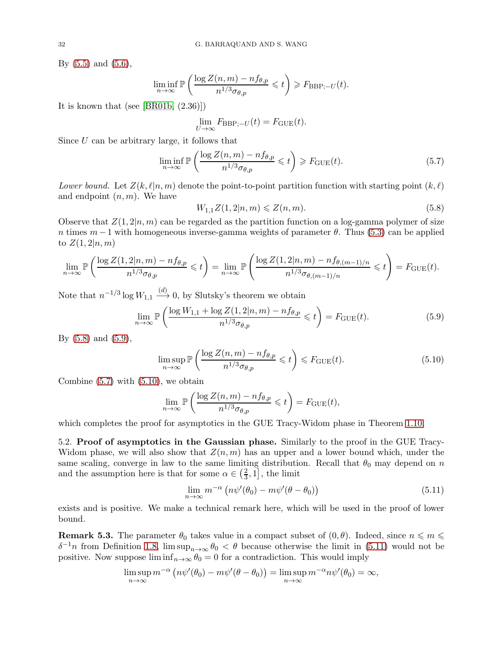<span id="page-31-6"></span>By  $(5.5)$  and  $(5.6)$ ,

$$
\liminf_{n \to \infty} \mathbb{P}\left(\frac{\log Z(n,m) - n f_{\theta,p}}{n^{1/3} \sigma_{\theta,p}} \leqslant t\right) \geqslant F_{\textnormal{BBP};-U}(t).
$$

It is known that (see [\[BR01b,](#page-34-2) (2.36)])

<span id="page-31-2"></span>
$$
\lim_{U \to \infty} F_{\text{BBP};-U}(t) = F_{\text{GUE}}(t).
$$

Since  $U$  can be arbitrary large, it follows that

$$
\liminf_{n \to \infty} \mathbb{P}\left(\frac{\log Z(n, m) - n f_{\theta, p}}{n^{1/3} \sigma_{\theta, p}} \leqslant t\right) \geqslant F_{\text{GUE}}(t). \tag{5.7}
$$

Lower bound. Let  $Z(k, \ell | n, m)$  denote the point-to-point partition function with starting point  $(k, \ell)$ and endpoint  $(n, m)$ . We have

<span id="page-31-0"></span>
$$
W_{1,1}Z(1,2|n,m) \leq Z(n,m). \tag{5.8}
$$

Observe that  $Z(1, 2|n, m)$  can be regarded as the partition function on a log-gamma polymer of size n times  $m-1$  with homogeneous inverse-gamma weights of parameter  $\theta$ . Thus [\(5.3\)](#page-30-4) can be applied to  $Z(1, 2|n, m)$ 

$$
\lim_{n \to \infty} \mathbb{P}\left(\frac{\log Z(1, 2|n, m) - n f_{\theta, p}}{n^{1/3} \sigma_{\theta, p}} \leq t\right) = \lim_{n \to \infty} \mathbb{P}\left(\frac{\log Z(1, 2|n, m) - n f_{\theta, (m-1)/n}}{n^{1/3} \sigma_{\theta, (m-1)/n}} \leq t\right) = F_{\text{GUE}}(t).
$$

Note that  $n^{-1/3} \log W_{1,1} \xrightarrow{(d)} 0$ , by Slutsky's theorem we obtain

<span id="page-31-1"></span>
$$
\lim_{n \to \infty} \mathbb{P}\left(\frac{\log W_{1,1} + \log Z(1,2|n,m) - nf_{\theta,p}}{n^{1/3}\sigma_{\theta,p}} \leqslant t\right) = F_{\text{GUE}}(t). \tag{5.9}
$$

By [\(5.8\)](#page-31-0) and [\(5.9\)](#page-31-1),

$$
\limsup_{n \to \infty} \mathbb{P}\left(\frac{\log Z(n, m) - n f_{\theta, p}}{n^{1/3} \sigma_{\theta, p}} \leq t\right) \leq F_{\text{GUE}}(t). \tag{5.10}
$$

Combine  $(5.7)$  with  $(5.10)$ , we obtain

<span id="page-31-3"></span>
$$
\lim_{n \to \infty} \mathbb{P}\left(\frac{\log Z(n, m) - n f_{\theta, p}}{n^{1/3} \sigma_{\theta, p}} \leq t\right) = F_{\text{GUE}}(t),
$$

which completes the proof for asymptotics in the GUE Tracy-Widom phase in Theorem [1.10.](#page-6-1)

5.2. Proof of asymptotics in the Gaussian phase. Similarly to the proof in the GUE Tracy-Widom phase, we will also show that  $Z(n, m)$  has an upper and a lower bound which, under the same scaling, converge in law to the same limiting distribution. Recall that  $\theta_0$  may depend on n and the assumption here is that for some  $\alpha \in \left(\frac{2}{3}\right)$  $\left[\frac{2}{3}, 1\right]$ , the limit

<span id="page-31-4"></span>
$$
\lim_{n \to \infty} m^{-\alpha} \left( n\psi'(\theta_0) - m\psi'(\theta - \theta_0) \right) \tag{5.11}
$$

exists and is positive. We make a technical remark here, which will be used in the proof of lower bound.

<span id="page-31-5"></span>**Remark 5.3.** The parameter  $\theta_0$  takes value in a compact subset of  $(0, \theta)$ . Indeed, since  $n \leq m \leq \theta$  $\delta^{-1}n$  from Definition [1.8,](#page-5-3)  $\limsup_{n\to\infty}\theta_0 < \theta$  because otherwise the limit in [\(5.11\)](#page-31-4) would not be positive. Now suppose  $\liminf_{n\to\infty} \theta_0 = 0$  for a contradiction. This would imply

$$
\limsup_{n \to \infty} m^{-\alpha} \left( n \psi'(\theta_0) - m \psi'(\theta - \theta_0) \right) = \limsup_{n \to \infty} m^{-\alpha} n \psi'(\theta_0) = \infty,
$$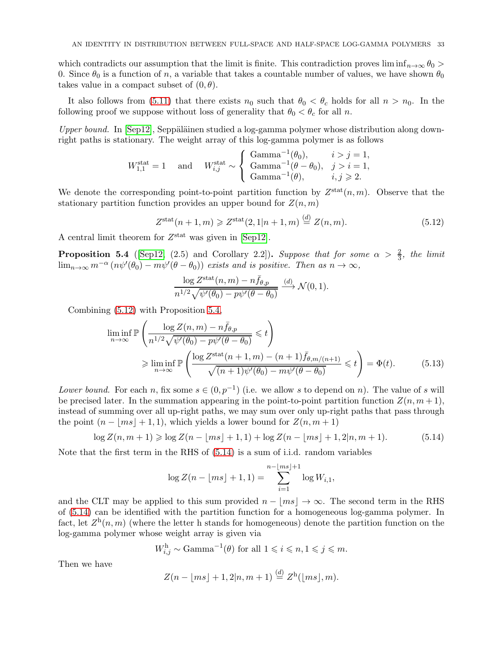<span id="page-32-4"></span>which contradicts our assumption that the limit is finite. This contradiction proves  $\liminf_{n\to\infty}\theta_0$ 0. Since  $\theta_0$  is a function of n, a variable that takes a countable number of values, we have shown  $\theta_0$ takes value in a compact subset of  $(0, \theta)$ .

It also follows from [\(5.11\)](#page-31-4) that there exists  $n_0$  such that  $\theta_0 < \theta_c$  holds for all  $n > n_0$ . In the following proof we suppose without loss of generality that  $\theta_0 < \theta_c$  for all n.

Upper bound. In  $\lceil \text{Sep12} \rceil$ , Seppäläinen studied a log-gamma polymer whose distribution along downright paths is stationary. The weight array of this log-gamma polymer is as follows

$$
W_{1,1}^{\text{stat}} = 1 \quad \text{ and } \quad W_{i,j}^{\text{stat}} \sim \left\{ \begin{array}{ll} \text{Gamma}^{-1}(\theta_0), & i > j = 1, \\ \text{Gamma}^{-1}(\theta - \theta_0), & j > i = 1, \\ \text{Gamma}^{-1}(\theta), & i, j \geqslant 2. \end{array} \right.
$$

We denote the corresponding point-to-point partition function by  $Z<sup>stat</sup>(n,m)$ . Observe that the stationary partition function provides an upper bound for  $Z(n, m)$ 

<span id="page-32-0"></span>
$$
Z^{\text{stat}}(n+1,m) \geq Z^{\text{stat}}(2,1|n+1,m) \stackrel{(d)}{=} Z(n,m). \tag{5.12}
$$

A central limit theorem for  $Z<sup>stat</sup>$  was given in [\[Sep12\]](#page-35-5).

<span id="page-32-1"></span>**Proposition 5.4** ([\[Sep12,](#page-35-5) (2.5) and Corollary 2.2]). Suppose that for some  $\alpha > \frac{2}{3}$ , the limit  $\lim_{n\to\infty} m^{-\alpha} (n\psi'(\theta_0) - m\psi'(\theta - \theta_0))$  exists and is positive. Then as  $n \to \infty$ ,

<span id="page-32-3"></span>
$$
\frac{\log Z^{\text{stat}}(n,m) - n\bar{f}_{\theta,p}}{n^{1/2}\sqrt{\psi'(\theta_0) - p\psi'(\theta - \theta_0)}} \xrightarrow{(d)} \mathcal{N}(0,1).
$$

Combining [\(5.12\)](#page-32-0) with Proposition [5.4,](#page-32-1)

$$
\liminf_{n \to \infty} \mathbb{P}\left(\frac{\log Z(n, m) - n\bar{f}_{\theta, p}}{n^{1/2}\sqrt{\psi'(\theta_0) - p\psi'(\theta - \theta_0)}} \leq t\right)
$$
\n
$$
\geq \liminf_{n \to \infty} \mathbb{P}\left(\frac{\log Z^{\text{stat}}(n+1, m) - (n+1)\bar{f}_{\theta, m/(n+1)}}{\sqrt{(n+1)\psi'(\theta_0) - m\psi'(\theta - \theta_0)}} \leq t\right) = \Phi(t). \tag{5.13}
$$

Lower bound. For each n, fix some  $s \in (0, p^{-1})$  (i.e. we allow s to depend on n). The value of s will be precised later. In the summation appearing in the point-to-point partition function  $Z(n, m+1)$ , instead of summing over all up-right paths, we may sum over only up-right paths that pass through the point  $(n - |ms| + 1, 1)$ , which yields a lower bound for  $Z(n, m + 1)$ 

<span id="page-32-2"></span>
$$
\log Z(n, m+1) \geq \log Z(n - \lfloor ms \rfloor + 1, 1) + \log Z(n - \lfloor ms \rfloor + 1, 2|n, m+1). \tag{5.14}
$$

Note that the first term in the RHS of [\(5.14\)](#page-32-2) is a sum of i.i.d. random variables

$$
\log Z(n - \lfloor ms \rfloor + 1, 1) = \sum_{i=1}^{n - \lfloor ms \rfloor + 1} \log W_{i,1},
$$

and the CLT may be applied to this sum provided  $n - |ms| \to \infty$ . The second term in the RHS of [\(5.14\)](#page-32-2) can be identified with the partition function for a homogeneous log-gamma polymer. In fact, let  $Z<sup>h</sup>(n,m)$  (where the letter h stands for homogeneous) denote the partition function on the log-gamma polymer whose weight array is given via

$$
W_{i,j}^{\mathrm{h}} \sim \text{Gamma}^{-1}(\theta) \text{ for all } 1 \leqslant i \leqslant n, 1 \leqslant j \leqslant m.
$$

Then we have

$$
Z(n - \lfloor ms \rfloor + 1, 2|n, m + 1) \stackrel{(d)}{=} Z^{\mathbf{h}}(\lfloor ms \rfloor, m).
$$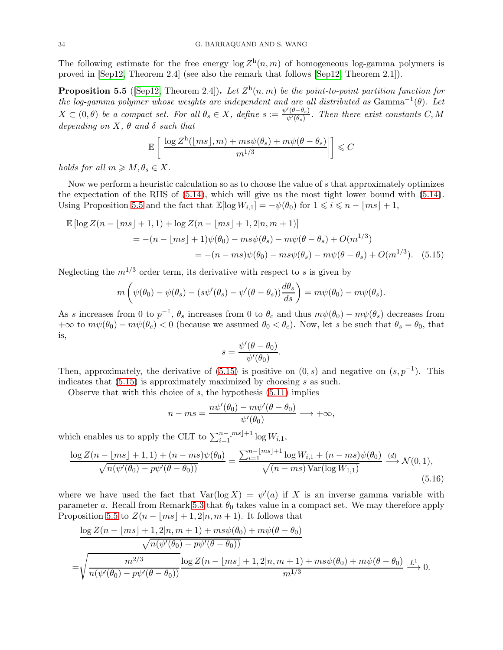<span id="page-33-3"></span>The following estimate for the free energy  $\log Z^{\text{h}}(n,m)$  of homogeneous log-gamma polymers is proved in [\[Sep12,](#page-35-5) Theorem 2.4] (see also the remark that follows [\[Sep12,](#page-35-5) Theorem 2.1]).

<span id="page-33-0"></span>**Proposition 5.5** ([\[Sep12,](#page-35-5) Theorem 2.4]). Let  $Z<sup>h</sup>(n,m)$  be the point-to-point partition function for the log-gamma polymer whose weights are independent and are all distributed as  $\text{Gamma}^{-1}(\theta)$ . Let  $X \subset (0, \theta)$  be a compact set. For all  $\theta_s \in X$ , define  $s := \frac{\psi'(\theta - \theta_s)}{\psi'(\theta_s)}$  $\frac{(\theta - \theta_s)}{\psi'(\theta_s)}$ . Then there exist constants C, M depending on  $X, \theta$  and  $\delta$  such that

$$
\mathbb{E}\left[\left|\frac{\log Z^{\text{h}}(\lfloor ms \rfloor, m) + ms\psi(\theta_s) + m\psi(\theta - \theta_s)}{m^{1/3}}\right|\right] \leq C
$$

holds for all  $m \geqslant M, \theta_s \in X$ .

Now we perform a heuristic calculation so as to choose the value of s that approximately optimizes the expectation of the RHS of [\(5.14\)](#page-32-2), which will give us the most tight lower bound with [\(5.14\)](#page-32-2). Using Proposition [5.5](#page-33-0) and the fact that  $\mathbb{E}[\log W_{i,1}] = -\psi(\theta_0)$  for  $1 \leq i \leq n - |ms| + 1$ ,

$$
\mathbb{E} [\log Z(n - \lfloor ms \rfloor + 1, 1) + \log Z(n - \lfloor ms \rfloor + 1, 2|n, m + 1)]
$$
  
= -(n - \lfloor ms \rfloor + 1)\psi(\theta\_0) - ms\psi(\theta\_s) - m\psi(\theta - \theta\_s) + O(m^{1/3})  
= -(n - ms)\psi(\theta\_0) - ms\psi(\theta\_s) - m\psi(\theta - \theta\_s) + O(m^{1/3}). (5.15)

Neglecting the  $m^{1/3}$  order term, its derivative with respect to s is given by

$$
m\left(\psi(\theta_0)-\psi(\theta_s)-\left(s\psi'(\theta_s)-\psi'(\theta-\theta_s)\right)\frac{d\theta_s}{ds}\right)=m\psi(\theta_0)-m\psi(\theta_s).
$$

As s increases from 0 to  $p^{-1}$ ,  $\theta_s$  increases from 0 to  $\theta_c$  and thus  $m\psi(\theta_0) - m\psi(\theta_s)$  decreases from  $+\infty$  to  $m\psi(\theta_0) - m\psi(\theta_c) < 0$  (because we assumed  $\theta_0 < \theta_c$ ). Now, let s be such that  $\theta_s = \theta_0$ , that is,

<span id="page-33-2"></span><span id="page-33-1"></span>
$$
s = \frac{\psi'(\theta - \theta_0)}{\psi'(\theta_0)}.
$$

Then, approximately, the derivative of  $(5.15)$  is positive on  $(0, s)$  and negative on  $(s, p^{-1})$ . This indicates that [\(5.15\)](#page-33-1) is approximately maximized by choosing s as such.

Observe that with this choice of  $s$ , the hypothesis  $(5.11)$  implies

$$
n - ms = \frac{n\psi'(\theta_0) - m\psi'(\theta - \theta_0)}{\psi'(\theta_0)} \longrightarrow +\infty,
$$

which enables us to apply the CLT to  $\sum_{i=1}^{n-\lfloor ms \rfloor+1} \log W_{i,1}$ ,

$$
\frac{\log Z(n - \lfloor ms \rfloor + 1, 1) + (n - ms)\psi(\theta_0)}{\sqrt{n(\psi'(\theta_0) - p\psi'(\theta - \theta_0))}} = \frac{\sum_{i=1}^{n - \lfloor ms \rfloor + 1} \log W_{i,1} + (n - ms)\psi(\theta_0)}{\sqrt{(n - ms)\operatorname{Var}(\log W_{1,1})}} \xrightarrow{(d)} \mathcal{N}(0, 1),
$$
\n(5.16)

where we have used the fact that  $Var(log X) = \psi'(a)$  if X is an inverse gamma variable with parameter a. Recall from Remark [5.3](#page-31-5) that  $\theta_0$  takes value in a compact set. We may therefore apply Proposition [5.5](#page-33-0) to  $Z(n - |ms| + 1, 2|n, m + 1)$ . It follows that

$$
\frac{\log Z(n - \lfloor ms \rfloor + 1, 2 \lfloor n, m + 1 \rfloor + ms\psi(\theta_0) + m\psi(\theta - \theta_0))}{\sqrt{n(\psi'(\theta_0) - p\psi'(\theta - \theta_0))}}
$$
  
=
$$
\sqrt{\frac{m^{2/3}}{n(\psi'(\theta_0) - p\psi'(\theta - \theta_0))}} \frac{\log Z(n - \lfloor ms \rfloor + 1, 2 \lfloor n, m + 1 \rfloor + ms\psi(\theta_0) + m\psi(\theta - \theta_0)}{m^{1/3}} \xrightarrow{L^1} 0.
$$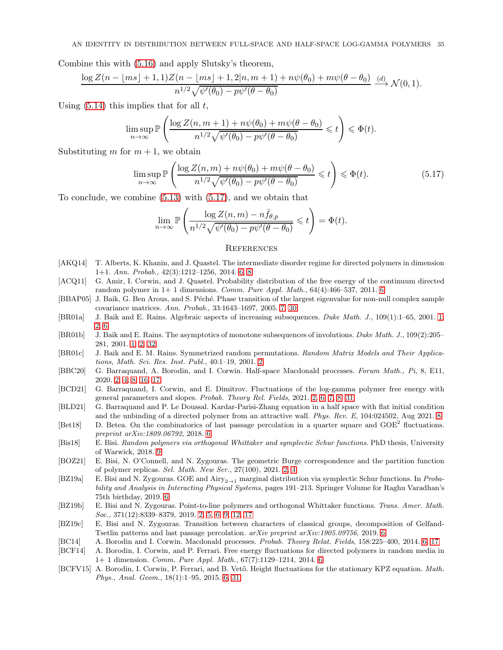Combine this with [\(5.16\)](#page-33-2) and apply Slutsky's theorem,

$$
\frac{\log Z(n - \lfloor ms \rfloor + 1, 1)Z(n - \lfloor ms \rfloor + 1, 2|n, m + 1) + n\psi(\theta_0) + m\psi(\theta - \theta_0)}{n^{1/2}\sqrt{\psi'(\theta_0) - p\psi'(\theta - \theta_0)}} \xrightarrow{(d)} \mathcal{N}(0, 1).
$$

Using  $(5.14)$  this implies that for all t,

$$
\limsup_{n\to\infty} \mathbb{P}\left(\frac{\log Z(n,m+1)+n\psi(\theta_0)+m\psi(\theta-\theta_0)}{n^{1/2}\sqrt{\psi'(\theta_0)-p\psi'(\theta-\theta_0)}}\leqslant t\right)\leqslant \Phi(t).
$$

Substituting m for  $m + 1$ , we obtain

$$
\limsup_{n \to \infty} \mathbb{P}\left(\frac{\log Z(n, m) + n\psi(\theta_0) + m\psi(\theta - \theta_0)}{n^{1/2}\sqrt{\psi'(\theta_0) - p\psi'(\theta - \theta_0)}} \leq t\right) \leq \Phi(t). \tag{5.17}
$$

To conclude, we combine [\(5.13\)](#page-32-3) with [\(5.17\)](#page-34-19), and we obtain that

$$
\lim_{n \to \infty} \mathbb{P}\left(\frac{\log Z(n,m) - n\bar{f}_{\theta,p}}{n^{1/2}\sqrt{\psi'(\theta_0) - p\psi'(\theta - \theta_0)}} \leq t\right) = \Phi(t).
$$

#### <span id="page-34-19"></span><span id="page-34-0"></span>**REFERENCES**

- <span id="page-34-15"></span>[AKQ14] T. Alberts, K. Khanin, and J. Quastel. The intermediate disorder regime for directed polymers in dimension 1+1. *Ann. Probab.*, 42(3):1212–1256, 2014. [6,](#page-5-4) [8](#page-7-7)
- <span id="page-34-11"></span>[ACQ11] G. Amir, I. Corwin, and J. Quastel. Probability distribution of the free energy of the continuum directed random polymer in 1+ 1 dimensions. *Comm. Pure Appl. Math.*, 64(4):466–537, 2011. [6](#page-5-4)
- <span id="page-34-16"></span>[BBAP05] J. Baik, G. Ben Arous, and S. Péché. Phase transition of the largest eigenvalue for non-null complex sample covariance matrices. *Ann. Probab.*, 33:1643–1697, 2005. [7,](#page-6-4) [30](#page-29-4)
- <span id="page-34-1"></span>[BR01a] J. Baik and E. Rains. Algebraic aspects of increasing subsequences. *Duke Math. J.*, 109(1):1–65, 2001. [1,](#page-0-1) [2,](#page-1-2) [6](#page-5-4)
- <span id="page-34-2"></span>[BR01b] J. Baik and E. Rains. The asymptotics of monotone subsequences of involutions. *Duke Math. J.*, 109(2):205– 281, 2001. [1,](#page-0-1) [2,](#page-1-2) [32](#page-31-6)
- <span id="page-34-3"></span>[BR01c] J. Baik and E. M. Rains. Symmetrized random permutations. *Random Matrix Models and Their Applications, Math. Sci. Res. Inst. Publ.*, 40:1–19, 2001. [2](#page-1-2)
- <span id="page-34-5"></span>[BBC20] G. Barraquand, A. Borodin, and I. Corwin. Half-space Macdonald processes. *Forum Math., Pi*, 8, E11, 2020. [2,](#page-1-2) [4,](#page-3-5) [8,](#page-7-7) [16,](#page-15-3) [17](#page-16-3)
- <span id="page-34-7"></span>[BCD21] G. Barraquand, I. Corwin, and E. Dimitrov. Fluctuations of the log-gamma polymer free energy with general parameters and slopes. *Probab. Theory Rel. Fields*, 2021. [2,](#page-1-2) [6,](#page-5-4) [7,](#page-6-4) [8,](#page-7-7) [31](#page-30-5)
- <span id="page-34-17"></span>[BLD21] G. Barraquand and P. Le Doussal. Kardar-Parisi-Zhang equation in a half space with flat initial condition and the unbinding of a directed polymer from an attractive wall. *Phys. Rev. E*, 104:024502, Aug 2021. [8](#page-7-7)
- <span id="page-34-10"></span>[Bet18] D. Betea. On the combinatorics of last passage percolation in a quarter square and  $GOE<sup>2</sup>$  fluctuations. *preprint arXiv:1809.06792*, 2018. [6](#page-5-4)
- <span id="page-34-18"></span>[Bis18] E. Bisi. *Random polymers via orthogonal Whittaker and symplectic Schur functions*. PhD thesis, University of Warwick, 2018. [9](#page-8-2)
- <span id="page-34-6"></span>[BOZ21] E. Bisi, N. O'Connell, and N. Zygouras. The geometric Burge correspondence and the partition function of polymer replicas. *Sel. Math. New Ser.*, 27(100), 2021. [2,](#page-1-2) [4](#page-3-5)
- <span id="page-34-8"></span>[BZ19a] E. Bisi and N. Zygouras. GOE and Airy2→<sup>1</sup> marginal distribution via symplectic Schur functions. In *Probability and Analysis in Interacting Physical Systems*, pages 191–213. Springer Volume for Raghu Varadhan's 75th birthday, 2019. [6](#page-5-4)
- <span id="page-34-4"></span>[BZ19b] E. Bisi and N. Zygouras. Point-to-line polymers and orthogonal Whittaker functions. *Trans. Amer. Math. Soc.*, 371(12):8339–8379, 2019. [2,](#page-1-2) [5,](#page-4-2) [6,](#page-5-4) [9,](#page-8-2) [12,](#page-11-3) [17](#page-16-3)
- <span id="page-34-9"></span>[BZ19c] E. Bisi and N. Zygouras. Transition between characters of classical groups, decomposition of Gelfand-Tsetlin patterns and last passage percolation. *arXiv preprint arXiv:1905.09756*, 2019. [6](#page-5-4)
- <span id="page-34-12"></span>[BC14] A. Borodin and I. Corwin. Macdonald processes. *Probab. Theory Relat. Fields*, 158:225–400, 2014. [6,](#page-5-4) [17](#page-16-3)
- <span id="page-34-13"></span>[BCF14] A. Borodin, I. Corwin, and P. Ferrari. Free energy fluctuations for directed polymers in random media in 1+ 1 dimension. *Comm. Pure Appl. Math.*, 67(7):1129–1214, 2014. [6](#page-5-4)
- <span id="page-34-14"></span>[BCFV15] A. Borodin, I. Corwin, P. Ferrari, and B. Vet˝o. Height fluctuations for the stationary KPZ equation. *Math. Phys., Anal. Geom.*, 18(1):1–95, 2015. [6,](#page-5-4) [31](#page-30-5)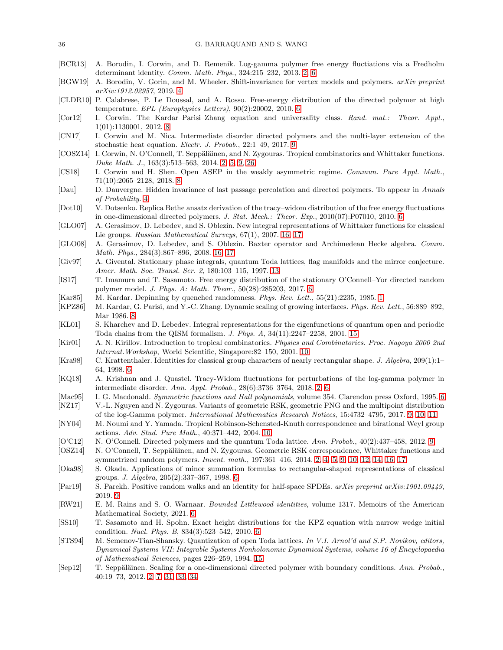- <span id="page-35-2"></span>[BCR13] A. Borodin, I. Corwin, and D. Remenik. Log-gamma polymer free energy fluctiations via a Fredholm determinant identity. *Comm. Math. Phys.*, 324:215–232, 2013. [2,](#page-1-2) [6](#page-5-4)
- <span id="page-35-7"></span>[BGW19] A. Borodin, V. Gorin, and M. Wheeler. Shift-invariance for vertex models and polymers. *arXiv preprint arXiv:1912.02957*, 2019. [4](#page-3-5)
- <span id="page-35-13"></span>[CLDR10] P. Calabrese, P. Le Doussal, and A. Rosso. Free-energy distribution of the directed polymer at high temperature. *EPL (Europhysics Letters)*, 90(2):20002, 2010. [6](#page-5-4)
- <span id="page-35-17"></span>[Cor12] I. Corwin. The Kardar–Parisi–Zhang equation and universality class. *Rand. mat.: Theor. Appl.*, 1(01):1130001, 2012. [8](#page-7-7)
- <span id="page-35-19"></span>[CN17] I. Corwin and M. Nica. Intermediate disorder directed polymers and the multi-layer extension of the stochastic heat equation. *Electr. J. Probab.*, 22:1–49, 2017. [9](#page-8-2)
- <span id="page-35-4"></span>[COSZ14] I. Corwin, N. O'Connell, T. Seppäläinen, and N. Zygouras. Tropical combinatorics and Whittaker functions. *Duke Math. J.*, 163(3):513–563, 2014. [2,](#page-1-2) [5,](#page-4-2) [9,](#page-8-2) [26](#page-25-4)
- <span id="page-35-18"></span>[CS18] I. Corwin and H. Shen. Open ASEP in the weakly asymmetric regime. *Commun. Pure Appl. Math.*, 71(10):2065–2128, 2018. [8](#page-7-7)
- <span id="page-35-6"></span>[Dau] D. Dauvergne. Hidden invariance of last passage percolation and directed polymers. To appear in *Annals of Probability.* [4](#page-3-5)
- <span id="page-35-14"></span>[Dot10] V. Dotsenko. Replica Bethe ansatz derivation of the tracy–widom distribution of the free energy fluctuations in one-dimensional directed polymers. *J. Stat. Mech.: Theor. Exp.*, 2010(07):P07010, 2010. [6](#page-5-4)
- <span id="page-35-28"></span>[GLO07] A. Gerasimov, D. Lebedev, and S. Oblezin. New integral representations of Whittaker functions for classical Lie groups. *Russian Mathematical Surveys*, 67(1), 2007. [16,](#page-15-3) [17](#page-16-3)
- <span id="page-35-29"></span>[GLO08] A. Gerasimov, D. Lebedev, and S. Oblezin. Baxter operator and Archimedean Hecke algebra. *Comm. Math. Phys.*, 284(3):867–896, 2008. [16,](#page-15-3) [17](#page-16-3)
- <span id="page-35-25"></span>[Giv97] A. Givental. Stationary phase integrals, quantum Toda lattices, flag manifolds and the mirror conjecture. *Amer. Math. Soc. Transl. Ser. 2*, 180:103–115, 1997. [13](#page-12-4)
- <span id="page-35-15"></span>[IS17] T. Imamura and T. Sasamoto. Free energy distribution of the stationary O'Connell–Yor directed random polymer model. *J. Phys. A: Math. Theor.*, 50(28):285203, 2017. [6](#page-5-4)
- <span id="page-35-0"></span>[Kar85] M. Kardar. Depinning by quenched randomness. *Phys. Rev. Lett.*, 55(21):2235, 1985. [1](#page-0-1)
- <span id="page-35-16"></span>[KPZ86] M. Kardar, G. Parisi, and Y.-C. Zhang. Dynamic scaling of growing interfaces. *Phys. Rev. Lett.*, 56:889–892, Mar 1986. [8](#page-7-7)
- <span id="page-35-27"></span>[KL01] S. Kharchev and D. Lebedev. Integral representations for the eigenfunctions of quantum open and periodic Toda chains from the QISM formalism. *J. Phys. A*, 34(11):2247–2258, 2001. [15](#page-14-4)
- <span id="page-35-23"></span>[Kir01] A. N. Kirillov. Introduction to tropical combinatorics. *Physics and Combinatorics. Proc. Nagoya 2000 2nd Internat.Workshop*, World Scientific, Singapore:82–150, 2001. [10](#page-9-1)
- <span id="page-35-10"></span>[Kra98] C. Krattenthaler. Identities for classical group characters of nearly rectangular shape. *J. Algebra*, 209(1):1– 64, 1998. [6](#page-5-4)
- <span id="page-35-3"></span>[KQ18] A. Krishnan and J. Quastel. Tracy-Widom fluctuations for perturbations of the log-gamma polymer in intermediate disorder. *Ann. Appl. Probab.*, 28(6):3736–3764, 2018. [2,](#page-1-2) [6](#page-5-4)
- <span id="page-35-8"></span>[Mac95] I. G. Macdonald. *Symmetric functions and Hall polynomials*, volume 354. Clarendon press Oxford, 1995. [6](#page-5-4)
- <span id="page-35-22"></span>[NZ17] V.-L. Nguyen and N. Zygouras. Variants of geometric RSK, geometric PNG and the multipoint distribution of the log-Gamma polymer. *International Mathematics Research Notices*, 15:4732–4795, 2017. [9,](#page-8-2) [10,](#page-9-1) [11](#page-10-2)
- <span id="page-35-24"></span>[NY04] M. Noumi and Y. Yamada. Tropical Robinson-Schensted-Knuth correspondence and birational Weyl group actions. *Adv. Stud. Pure Math.*, 40:371–442, 2004. [10](#page-9-1)
- <span id="page-35-21"></span>[O'C12] N. O'Connell. Directed polymers and the quantum Toda lattice. *Ann. Probab.*, 40(2):437–458, 2012. [9](#page-8-2)
- <span id="page-35-1"></span>[OSZ14] N. O'Connell, T. Seppäläinen, and N. Zygouras. Geometric RSK correspondence, Whittaker functions and symmetrized random polymers. *Invent. math.*, 197:361–416, 2014. [2,](#page-1-2) [4,](#page-3-5) [5,](#page-4-2) [9,](#page-8-2) [10,](#page-9-1) [12,](#page-11-3) [14,](#page-13-1) [16,](#page-15-3) [17](#page-16-3)
- <span id="page-35-9"></span>[Oka98] S. Okada. Applications of minor summation formulas to rectangular-shaped representations of classical groups. *J. Algebra*, 205(2):337–367, 1998. [6](#page-5-4)
- <span id="page-35-20"></span>[Par19] S. Parekh. Positive random walks and an identity for half-space SPDEs. *arXiv preprint arXiv:1901.09449*, 2019. [9](#page-8-2)
- <span id="page-35-11"></span>[RW21] E. M. Rains and S. O. Warnaar. *Bounded Littlewood identities*, volume 1317. Memoirs of the American Mathematical Society, 2021. [6](#page-5-4)
- <span id="page-35-12"></span>[SS10] T. Sasamoto and H. Spohn. Exact height distributions for the KPZ equation with narrow wedge initial condition. *Nucl. Phys. B*, 834(3):523–542, 2010. [6](#page-5-4)
- <span id="page-35-26"></span>[STS94] M. Semenov-Tian-Shansky. Quantization of open Toda lattices. *In V.I. Arnol'd and S.P. Novikov, editors, Dynamical Systems VII: Integrable Systems Nonholonomic Dynamical Systems, volume 16 of Encyclopaedia of Mathematical Sciences*, pages 226–259, 1994. [15](#page-14-4)
- <span id="page-35-5"></span>[Sep12] T. Seppäläinen. Scaling for a one-dimensional directed polymer with boundary conditions. *Ann. Probab.*, 40:19–73, 2012. [2,](#page-1-2) [7,](#page-6-4) [31,](#page-30-5) [33,](#page-32-4) [34](#page-33-3)